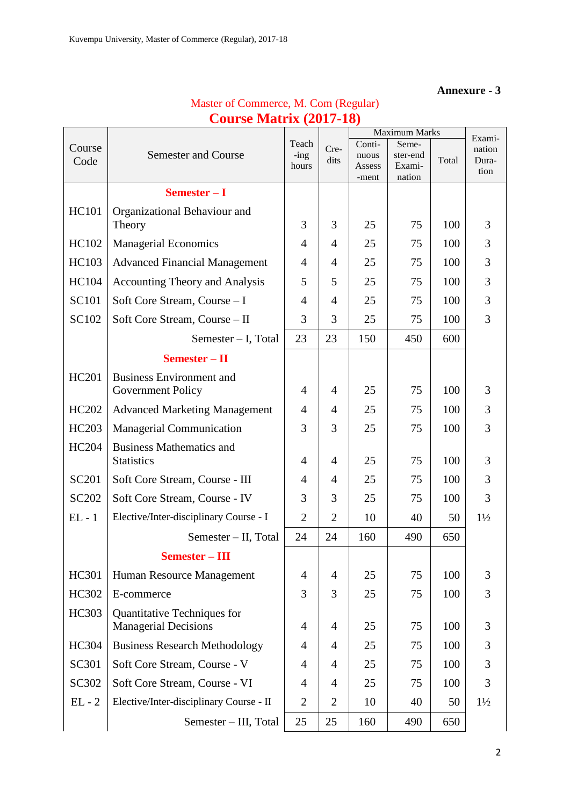### **Annexure - 3**

| Master of Commerce, M. Com (Regular) |
|--------------------------------------|
| <b>Course Matrix (2017-18)</b>       |

|              |                                                            |                  |                |                 | Maximum Marks     |       | Exami-         |
|--------------|------------------------------------------------------------|------------------|----------------|-----------------|-------------------|-------|----------------|
| Course       | <b>Semester and Course</b>                                 | Teach<br>$-$ ing | Cre-           | Conti-<br>nuous | Seme-<br>ster-end |       | nation         |
| Code         |                                                            | hours            | dits           | Assess          | Exami-<br>nation  | Total | Dura-<br>tion  |
|              | Semester $-I$                                              |                  |                | -ment           |                   |       |                |
| <b>HC101</b> | Organizational Behaviour and                               |                  |                |                 |                   |       |                |
|              | Theory                                                     | 3                | 3              | 25              | 75                | 100   | 3              |
| HC102        | <b>Managerial Economics</b>                                | $\overline{4}$   | $\overline{4}$ | 25              | 75                | 100   | 3              |
| <b>HC103</b> | <b>Advanced Financial Management</b>                       | 4                | $\overline{4}$ | 25              | 75                | 100   | 3              |
| <b>HC104</b> | <b>Accounting Theory and Analysis</b>                      | 5                | 5              | 25              | 75                | 100   | 3              |
| <b>SC101</b> | Soft Core Stream, Course - I                               | 4                | $\overline{4}$ | 25              | 75                | 100   | 3              |
| SC102        | Soft Core Stream, Course - II                              | 3                | 3              | 25              | 75                | 100   | 3              |
|              | Semester - I, Total                                        | 23               | 23             | 150             | 450               | 600   |                |
|              | $Semester - II$                                            |                  |                |                 |                   |       |                |
| HC201        | <b>Business Environment and</b>                            |                  |                |                 |                   |       |                |
|              | Government Policy                                          | 4                | $\overline{4}$ | 25              | 75                | 100   | 3              |
| HC202        | <b>Advanced Marketing Management</b>                       | $\overline{4}$   | $\overline{4}$ | 25              | 75                | 100   | 3              |
| HC203        | <b>Managerial Communication</b>                            | 3                | 3              | 25              | 75                | 100   | 3              |
| <b>HC204</b> | <b>Business Mathematics and</b>                            |                  |                |                 |                   |       |                |
|              | <b>Statistics</b>                                          | 4                | 4              | 25              | 75                | 100   | 3              |
| <b>SC201</b> | Soft Core Stream, Course - III                             | 4                | $\overline{4}$ | 25              | 75                | 100   | 3              |
| <b>SC202</b> | Soft Core Stream, Course - IV                              | 3                | 3              | 25              | 75                | 100   | 3              |
| $EL - 1$     | Elective/Inter-disciplinary Course - I                     | $\overline{2}$   | $\overline{2}$ | 10              | 40                | 50    | $1\frac{1}{2}$ |
|              | Semester - II, Total                                       | 24               | 24             | 160             | 490               | 650   |                |
|              | Semester – III                                             |                  |                |                 |                   |       |                |
| HC301        | Human Resource Management                                  | 4                | $\overline{4}$ | 25              | 75                | 100   | 3              |
| HC302        | E-commerce                                                 | 3                | 3              | 25              | 75                | 100   | 3              |
| HC303        | Quantitative Techniques for<br><b>Managerial Decisions</b> | $\overline{4}$   | $\overline{4}$ | 25              | 75                | 100   | 3              |
| HC304        | <b>Business Research Methodology</b>                       | 4                | $\overline{4}$ | 25              | 75                | 100   | 3              |
| SC301        | Soft Core Stream, Course - V                               | 4                | 4              | 25              | 75                | 100   | 3              |
| SC302        | Soft Core Stream, Course - VI                              | 4                | $\overline{4}$ | 25              | 75                | 100   | 3              |
| $EL - 2$     | Elective/Inter-disciplinary Course - II                    | $\overline{2}$   | $\overline{2}$ | 10              | 40                | 50    | $1\frac{1}{2}$ |
|              | Semester - III, Total                                      | 25               | 25             | 160             | 490               | 650   |                |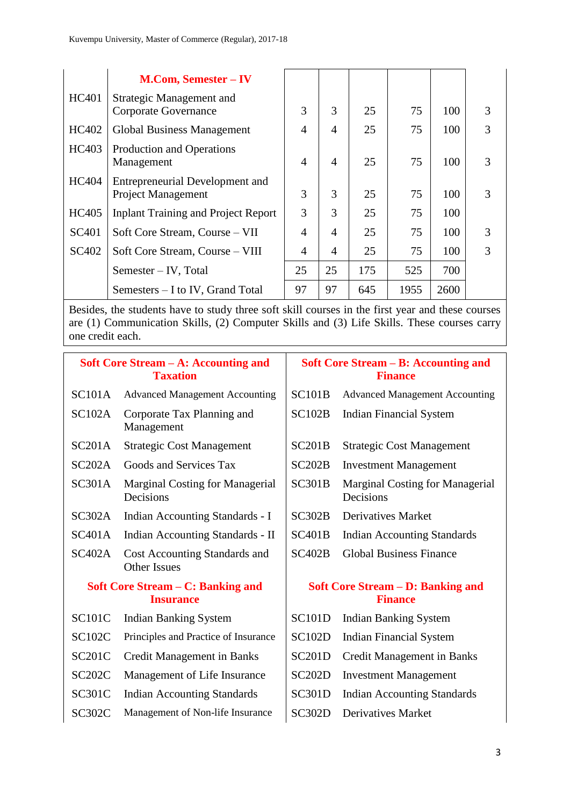|              | <b>M.Com, Semester – IV</b>                                  |                |                |     |      |      |   |
|--------------|--------------------------------------------------------------|----------------|----------------|-----|------|------|---|
| HC401        | Strategic Management and<br>Corporate Governance             | 3              | 3              | 25  | 75   | 100  | 3 |
| <b>HC402</b> | Global Business Management                                   | $\overline{4}$ | $\overline{4}$ | 25  | 75   | 100  | 3 |
| HC403        | Production and Operations<br>Management                      | $\overline{4}$ | $\overline{4}$ | 25  | 75   | 100  | 3 |
| <b>HC404</b> | Entrepreneurial Development and<br><b>Project Management</b> | 3              | 3              | 25  | 75   | 100  | 3 |
| HC405        | <b>Inplant Training and Project Report</b>                   | 3              | 3              | 25  | 75   | 100  |   |
| SC401        | Soft Core Stream, Course - VII                               | 4              | $\overline{4}$ | 25  | 75   | 100  | 3 |
| SC402        | Soft Core Stream, Course - VIII                              | 4              | $\overline{4}$ | 25  | 75   | 100  | 3 |
|              | Semester – IV, Total                                         | 25             | 25             | 175 | 525  | 700  |   |
|              | Semesters – I to IV, Grand Total                             | 97             | 97             | 645 | 1955 | 2600 |   |

Besides, the students have to study three soft skill courses in the first year and these courses are (1) Communication Skills, (2) Computer Skills and (3) Life Skills. These courses carry one credit each.

|               | Soft Core Stream – A: Accounting and<br><b>Taxation</b> | Soft Core Stream – B: Accounting and<br><b>Finance</b>     |                                              |
|---------------|---------------------------------------------------------|------------------------------------------------------------|----------------------------------------------|
| <b>SC101A</b> | <b>Advanced Management Accounting</b>                   | <b>SC101B</b>                                              | <b>Advanced Management Accounting</b>        |
| SC102A        | Corporate Tax Planning and<br>Management                | <b>SC102B</b>                                              | <b>Indian Financial System</b>               |
| SC201A        | <b>Strategic Cost Management</b>                        | SC201B                                                     | <b>Strategic Cost Management</b>             |
| SC202A        | Goods and Services Tax                                  | SC202B                                                     | <b>Investment Management</b>                 |
| <b>SC301A</b> | <b>Marginal Costing for Managerial</b><br>Decisions     | <b>SC301B</b>                                              | Marginal Costing for Managerial<br>Decisions |
| SC302A        | Indian Accounting Standards - I                         | SC302B                                                     | <b>Derivatives Market</b>                    |
| <b>SC401A</b> | Indian Accounting Standards - II                        | <b>SC401B</b>                                              | <b>Indian Accounting Standards</b>           |
| SC402A        | Cost Accounting Standards and<br><b>Other Issues</b>    | <b>SC402B</b>                                              | <b>Global Business Finance</b>               |
|               | Soft Core Stream – C: Banking and<br><b>Insurance</b>   | <b>Soft Core Stream – D: Banking and</b><br><b>Finance</b> |                                              |
| <b>SC101C</b> | <b>Indian Banking System</b>                            | <b>SC101D</b>                                              | <b>Indian Banking System</b>                 |
| <b>SC102C</b> | Principles and Practice of Insurance                    | <b>SC102D</b>                                              | <b>Indian Financial System</b>               |
| <b>SC201C</b> | <b>Credit Management in Banks</b>                       | <b>SC201D</b>                                              | <b>Credit Management in Banks</b>            |
| SC202C        | Management of Life Insurance                            | SC202D                                                     | <b>Investment Management</b>                 |
| <b>SC301C</b> | <b>Indian Accounting Standards</b>                      | <b>SC301D</b>                                              | <b>Indian Accounting Standards</b>           |
| <b>SC302C</b> | Management of Non-life Insurance                        | <b>SC302D</b>                                              | <b>Derivatives Market</b>                    |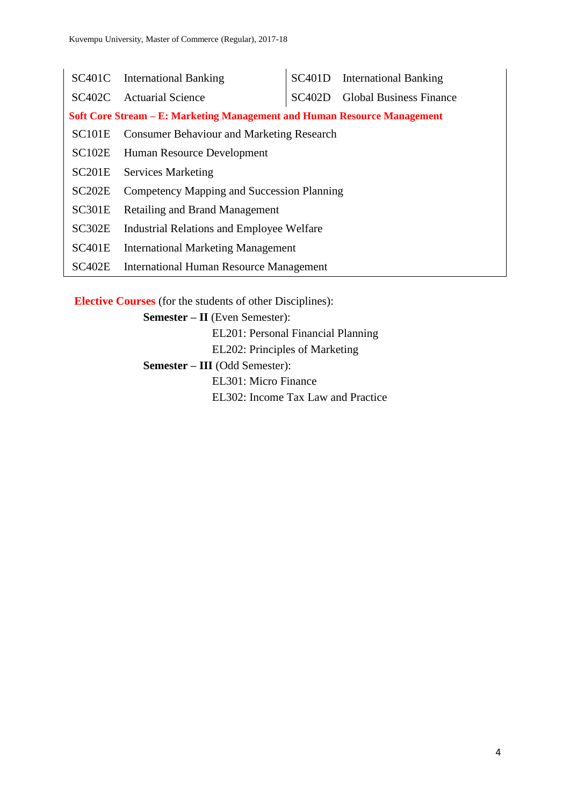|                                                                                 | SC401C International Banking                     |  | SC401D International Banking   |  |  |
|---------------------------------------------------------------------------------|--------------------------------------------------|--|--------------------------------|--|--|
|                                                                                 | SC402C Actuarial Science                         |  | SC402D Global Business Finance |  |  |
| <b>Soft Core Stream – E: Marketing Management and Human Resource Management</b> |                                                  |  |                                |  |  |
| <b>SC101E</b>                                                                   | <b>Consumer Behaviour and Marketing Research</b> |  |                                |  |  |
|                                                                                 | <b>SC102E</b> Human Resource Development         |  |                                |  |  |
|                                                                                 | SC201E Services Marketing                        |  |                                |  |  |
| SC <sub>202</sub> E                                                             | Competency Mapping and Succession Planning       |  |                                |  |  |
| SC301E                                                                          | <b>Retailing and Brand Management</b>            |  |                                |  |  |
| SC302E                                                                          | <b>Industrial Relations and Employee Welfare</b> |  |                                |  |  |
| SC401E                                                                          | <b>International Marketing Management</b>        |  |                                |  |  |
| <b>SC402E</b>                                                                   | <b>International Human Resource Management</b>   |  |                                |  |  |

**Elective Courses** (for the students of other Disciplines):

**Semester – II** (Even Semester):

EL201: Personal Financial Planning

EL202: Principles of Marketing

**Semester – III** (Odd Semester):

EL301: Micro Finance

EL302: Income Tax Law and Practice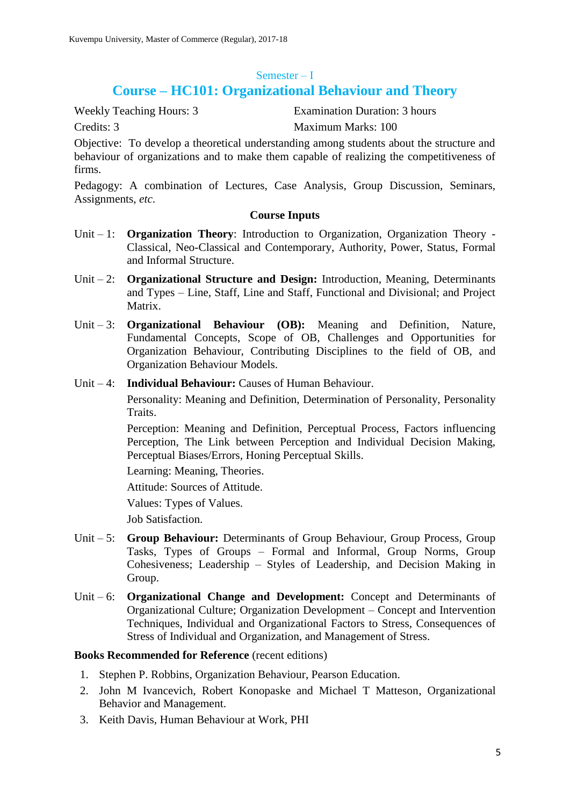#### Semester – I

# **Course – HC101: Organizational Behaviour and Theory**

Weekly Teaching Hours: 3 Examination Duration: 3 hours Credits: 3 Maximum Marks: 100

Objective: To develop a theoretical understanding among students about the structure and behaviour of organizations and to make them capable of realizing the competitiveness of firms.

Pedagogy: A combination of Lectures, Case Analysis, Group Discussion, Seminars, Assignments, *etc*.

### **Course Inputs**

- Unit 1: **Organization Theory**: Introduction to Organization, Organization Theory Classical, Neo-Classical and Contemporary, Authority, Power, Status, Formal and Informal Structure.
- Unit 2: **Organizational Structure and Design:** Introduction, Meaning, Determinants and Types – Line, Staff, Line and Staff, Functional and Divisional; and Project Matrix.
- Unit 3: **Organizational Behaviour (OB):** Meaning and Definition, Nature, Fundamental Concepts, Scope of OB, Challenges and Opportunities for Organization Behaviour, Contributing Disciplines to the field of OB, and Organization Behaviour Models.
- Unit 4: **Individual Behaviour:** Causes of Human Behaviour.

Personality: Meaning and Definition, Determination of Personality, Personality Traits.

Perception: Meaning and Definition, Perceptual Process, Factors influencing Perception, The Link between Perception and Individual Decision Making, Perceptual Biases/Errors, Honing Perceptual Skills.

Learning: Meaning, Theories.

Attitude: Sources of Attitude.

Values: Types of Values.

Job Satisfaction.

- Unit 5: **Group Behaviour:** Determinants of Group Behaviour, Group Process, Group Tasks, Types of Groups – Formal and Informal, Group Norms, Group Cohesiveness; Leadership – Styles of Leadership, and Decision Making in Group.
- Unit 6: **Organizational Change and Development:** Concept and Determinants of Organizational Culture; Organization Development – Concept and Intervention Techniques, Individual and Organizational Factors to Stress, Consequences of Stress of Individual and Organization, and Management of Stress.

- 1. Stephen P. Robbins, Organization Behaviour, Pearson Education.
- 2. John M Ivancevich, Robert Konopaske and Michael T Matteson, Organizational Behavior and Management.
- 3. Keith Davis, Human Behaviour at Work, PHI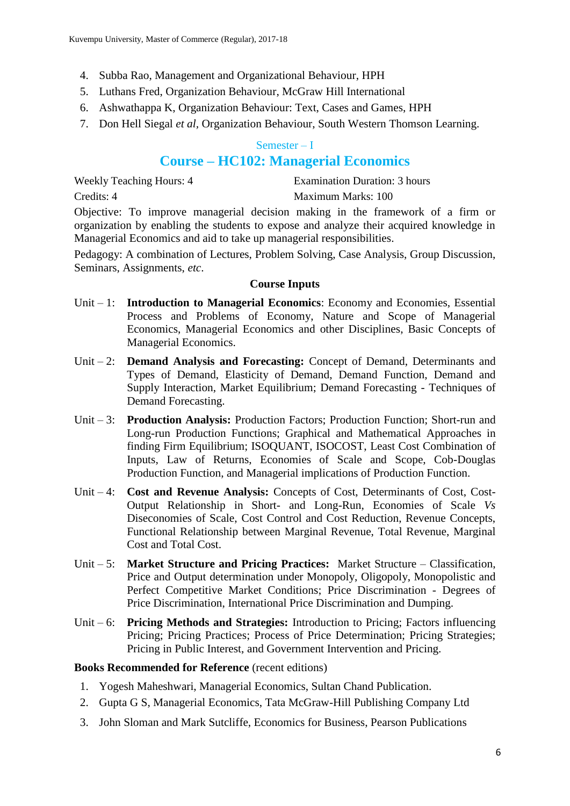- 4. Subba Rao, Management and Organizational Behaviour, HPH
- 5. Luthans Fred, Organization Behaviour, McGraw Hill International
- 6. Ashwathappa K, Organization Behaviour: Text, Cases and Games, HPH
- 7. Don Hell Siegal *et al,* Organization Behaviour, South Western Thomson Learning.

### Semester – I

# **Course – HC102: Managerial Economics**

| <b>Weekly Teaching Hours: 4</b> | Examination Duration: 3 hours |
|---------------------------------|-------------------------------|
| Credits: 4                      | Maximum Marks: 100            |

Objective: To improve managerial decision making in the framework of a firm or organization by enabling the students to expose and analyze their acquired knowledge in Managerial Economics and aid to take up managerial responsibilities.

Pedagogy: A combination of Lectures, Problem Solving, Case Analysis, Group Discussion, Seminars, Assignments, *etc*.

### **Course Inputs**

- Unit 1: **Introduction to Managerial Economics**: Economy and Economies, Essential Process and Problems of Economy, Nature and Scope of Managerial Economics, Managerial Economics and other Disciplines, Basic Concepts of Managerial Economics.
- Unit 2: **Demand Analysis and Forecasting:** Concept of Demand, Determinants and Types of Demand, Elasticity of Demand, Demand Function, Demand and Supply Interaction, Market Equilibrium; Demand Forecasting - Techniques of Demand Forecasting.
- Unit 3: **Production Analysis:** Production Factors; Production Function; Short-run and Long-run Production Functions; Graphical and Mathematical Approaches in finding Firm Equilibrium; ISOQUANT, ISOCOST, Least Cost Combination of Inputs, Law of Returns, Economies of Scale and Scope, Cob-Douglas Production Function, and Managerial implications of Production Function.
- Unit 4: **Cost and Revenue Analysis:** Concepts of Cost, Determinants of Cost, Cost-Output Relationship in Short- and Long-Run, Economies of Scale *Vs* Diseconomies of Scale, Cost Control and Cost Reduction, Revenue Concepts, Functional Relationship between Marginal Revenue, Total Revenue, Marginal Cost and Total Cost.
- Unit 5: **Market Structure and Pricing Practices:** Market Structure Classification, Price and Output determination under Monopoly, Oligopoly, Monopolistic and Perfect Competitive Market Conditions; Price Discrimination - Degrees of Price Discrimination, International Price Discrimination and Dumping.
- Unit 6: **Pricing Methods and Strategies:** Introduction to Pricing; Factors influencing Pricing; Pricing Practices; Process of Price Determination; Pricing Strategies; Pricing in Public Interest, and Government Intervention and Pricing.

- 1. Yogesh Maheshwari, Managerial Economics, Sultan Chand Publication.
- 2. Gupta G S, Managerial Economics, Tata McGraw-Hill Publishing Company Ltd
- 3. John Sloman and Mark Sutcliffe, Economics for Business, Pearson Publications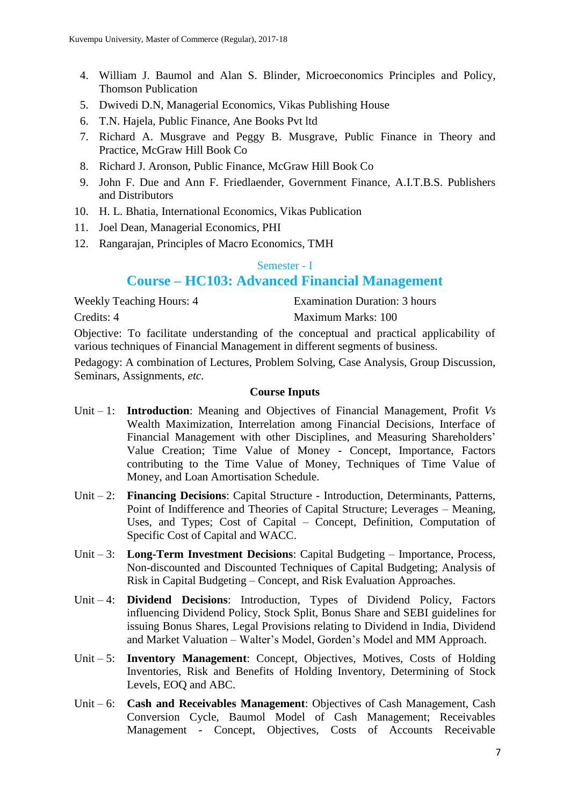- 4. William J. Baumol and Alan S. Blinder, Microeconomics Principles and Policy, Thomson Publication
- 5. Dwivedi D.N, Managerial Economics, Vikas Publishing House
- 6. T.N. Hajela, Public Finance, Ane Books Pvt ltd
- 7. Richard A. Musgrave and Peggy B. Musgrave, Public Finance in Theory and Practice, McGraw Hill Book Co
- 8. Richard J. Aronson, Public Finance, McGraw Hill Book Co
- 9. John F. Due and Ann F. Friedlaender, Government Finance, A.I.T.B.S. Publishers and Distributors
- 10. H. L. Bhatia, International Economics, Vikas Publication
- 11. Joel Dean, Managerial Economics, PHI
- 12. Rangarajan, Principles of Macro Economics, TMH

#### Semester - I

# **Course – HC103: Advanced Financial Management**

| <b>Weekly Teaching Hours: 4</b> | Examination Duration: 3 hours |
|---------------------------------|-------------------------------|
| Credits: 4                      | Maximum Marks: 100            |

Objective: To facilitate understanding of the conceptual and practical applicability of various techniques of Financial Management in different segments of business.

Pedagogy: A combination of Lectures, Problem Solving, Case Analysis, Group Discussion, Seminars, Assignments, *etc*.

- Unit 1: **Introduction**: Meaning and Objectives of Financial Management, Profit *Vs*  Wealth Maximization, Interrelation among Financial Decisions, Interface of Financial Management with other Disciplines, and Measuring Shareholders' Value Creation; Time Value of Money - Concept, Importance, Factors contributing to the Time Value of Money, Techniques of Time Value of Money, and Loan Amortisation Schedule.
- Unit 2: **Financing Decisions**: Capital Structure Introduction, Determinants, Patterns, Point of Indifference and Theories of Capital Structure; Leverages – Meaning, Uses, and Types; Cost of Capital – Concept, Definition, Computation of Specific Cost of Capital and WACC.
- Unit 3: **Long-Term Investment Decisions**: Capital Budgeting Importance, Process, Non-discounted and Discounted Techniques of Capital Budgeting; Analysis of Risk in Capital Budgeting – Concept, and Risk Evaluation Approaches.
- Unit 4: **Dividend Decisions**: Introduction, Types of Dividend Policy, Factors influencing Dividend Policy, Stock Split, Bonus Share and SEBI guidelines for issuing Bonus Shares, Legal Provisions relating to Dividend in India, Dividend and Market Valuation – Walter's Model, Gorden's Model and MM Approach.
- Unit 5: **Inventory Management**: Concept, Objectives, Motives, Costs of Holding Inventories, Risk and Benefits of Holding Inventory, Determining of Stock Levels, EOQ and ABC.
- Unit 6: **Cash and Receivables Management**: Objectives of Cash Management, Cash Conversion Cycle, Baumol Model of Cash Management; Receivables Management - Concept, Objectives, Costs of Accounts Receivable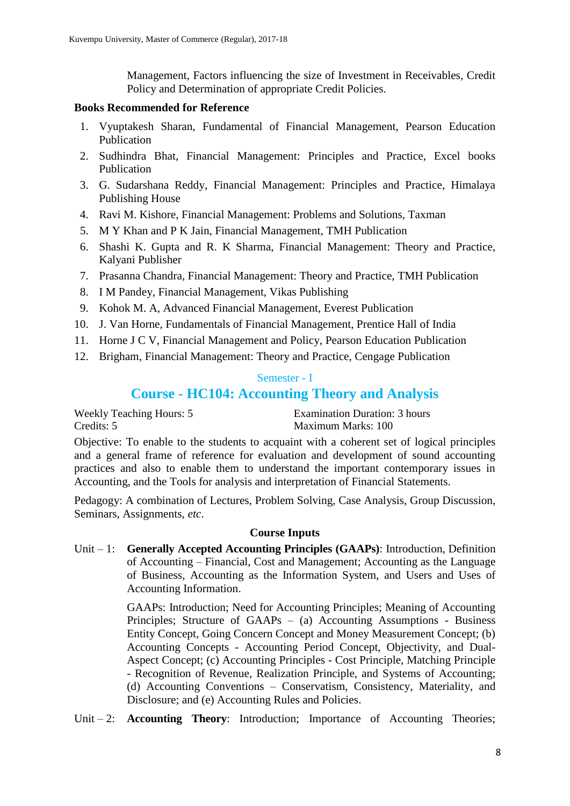Management, Factors influencing the size of Investment in Receivables, Credit Policy and Determination of appropriate Credit Policies.

### **Books Recommended for Reference**

- 1. Vyuptakesh Sharan, Fundamental of Financial Management, Pearson Education Publication
- 2. Sudhindra Bhat, Financial Management: Principles and Practice, Excel books Publication
- 3. G. Sudarshana Reddy, Financial Management: Principles and Practice, Himalaya Publishing House
- 4. Ravi M. Kishore, Financial Management: Problems and Solutions, Taxman
- 5. M Y Khan and P K Jain, Financial Management, TMH Publication
- 6. Shashi K. Gupta and R. K Sharma, Financial Management: Theory and Practice, Kalyani Publisher
- 7. Prasanna Chandra, Financial Management: Theory and Practice, TMH Publication
- 8. I M Pandey, Financial Management, Vikas Publishing
- 9. Kohok M. A, Advanced Financial Management, Everest Publication
- 10. J. Van Horne, Fundamentals of Financial Management, Prentice Hall of India
- 11. Horne J C V, Financial Management and Policy, Pearson Education Publication
- 12. Brigham, Financial Management: Theory and Practice, Cengage Publication

### Semester - I

# **Course - HC104: Accounting Theory and Analysis**

| <b>Weekly Teaching Hours: 5</b> | Examination Duration: 3 hours |
|---------------------------------|-------------------------------|
| Credits: 5                      | Maximum Marks: 100            |

Objective: To enable to the students to acquaint with a coherent set of logical principles and a general frame of reference for evaluation and development of sound accounting practices and also to enable them to understand the important contemporary issues in Accounting, and the Tools for analysis and interpretation of Financial Statements.

Pedagogy: A combination of Lectures, Problem Solving, Case Analysis, Group Discussion, Seminars, Assignments, *etc*.

### **Course Inputs**

Unit – 1: **Generally Accepted Accounting Principles (GAAPs)**: Introduction, Definition of Accounting – Financial, Cost and Management; Accounting as the Language of Business, Accounting as the Information System, and Users and Uses of Accounting Information.

> GAAPs: Introduction; Need for Accounting Principles; Meaning of Accounting Principles; Structure of GAAPs – (a) Accounting Assumptions - Business Entity Concept, Going Concern Concept and Money Measurement Concept; (b) Accounting Concepts - Accounting Period Concept, Objectivity, and Dual-Aspect Concept; (c) Accounting Principles - Cost Principle, Matching Principle - Recognition of Revenue, Realization Principle, and Systems of Accounting; (d) Accounting Conventions – Conservatism, Consistency, Materiality, and Disclosure; and (e) Accounting Rules and Policies.

Unit – 2: **Accounting Theory**: Introduction; Importance of Accounting Theories;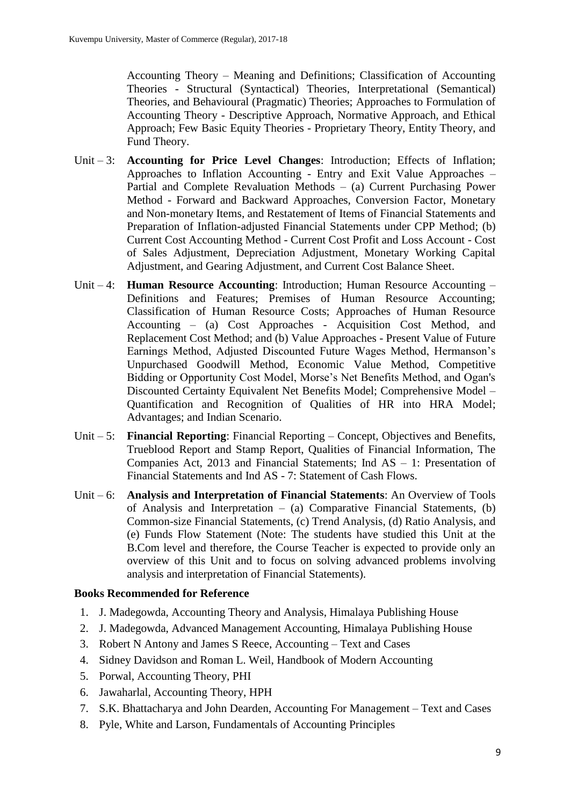Accounting Theory – Meaning and Definitions; Classification of Accounting Theories - Structural (Syntactical) Theories, Interpretational (Semantical) Theories, and Behavioural (Pragmatic) Theories; Approaches to Formulation of Accounting Theory - Descriptive Approach, Normative Approach, and Ethical Approach; Few Basic Equity Theories - Proprietary Theory, Entity Theory, and Fund Theory.

- Unit 3: **Accounting for Price Level Changes**: Introduction; Effects of Inflation; Approaches to Inflation Accounting - Entry and Exit Value Approaches – Partial and Complete Revaluation Methods – (a) Current Purchasing Power Method - Forward and Backward Approaches, Conversion Factor, Monetary and Non-monetary Items, and Restatement of Items of Financial Statements and Preparation of Inflation-adjusted Financial Statements under CPP Method; (b) Current Cost Accounting Method - Current Cost Profit and Loss Account - Cost of Sales Adjustment, Depreciation Adjustment, Monetary Working Capital Adjustment, and Gearing Adjustment, and Current Cost Balance Sheet.
- Unit 4: **Human Resource Accounting**: Introduction; Human Resource Accounting Definitions and Features; Premises of Human Resource Accounting; Classification of Human Resource Costs; Approaches of Human Resource Accounting – (a) Cost Approaches - Acquisition Cost Method, and Replacement Cost Method; and (b) Value Approaches - Present Value of Future Earnings Method, Adjusted Discounted Future Wages Method, Hermanson's Unpurchased Goodwill Method, Economic Value Method, Competitive Bidding or Opportunity Cost Model, Morse's Net Benefits Method, and Ogan's Discounted Certainty Equivalent Net Benefits Model; Comprehensive Model – Quantification and Recognition of Qualities of HR into HRA Model; Advantages; and Indian Scenario.
- Unit 5: **Financial Reporting**: Financial Reporting Concept, Objectives and Benefits, Trueblood Report and Stamp Report, Qualities of Financial Information, The Companies Act, 2013 and Financial Statements; Ind AS – 1: Presentation of Financial Statements and Ind AS - 7: Statement of Cash Flows.
- Unit 6: **Analysis and Interpretation of Financial Statements**: An Overview of Tools of Analysis and Interpretation – (a) Comparative Financial Statements, (b) Common-size Financial Statements, (c) Trend Analysis, (d) Ratio Analysis, and (e) Funds Flow Statement (Note: The students have studied this Unit at the B.Com level and therefore, the Course Teacher is expected to provide only an overview of this Unit and to focus on solving advanced problems involving analysis and interpretation of Financial Statements).

### **Books Recommended for Reference**

- 1. J. Madegowda, Accounting Theory and Analysis, Himalaya Publishing House
- 2. J. Madegowda, Advanced Management Accounting, Himalaya Publishing House
- 3. Robert N Antony and James S Reece, Accounting Text and Cases
- 4. Sidney Davidson and Roman L. Weil, Handbook of Modern Accounting
- 5. Porwal, Accounting Theory, PHI
- 6. Jawaharlal, Accounting Theory, HPH
- 7. S.K. Bhattacharya and John Dearden, Accounting For Management Text and Cases
- 8. Pyle, White and Larson, Fundamentals of Accounting Principles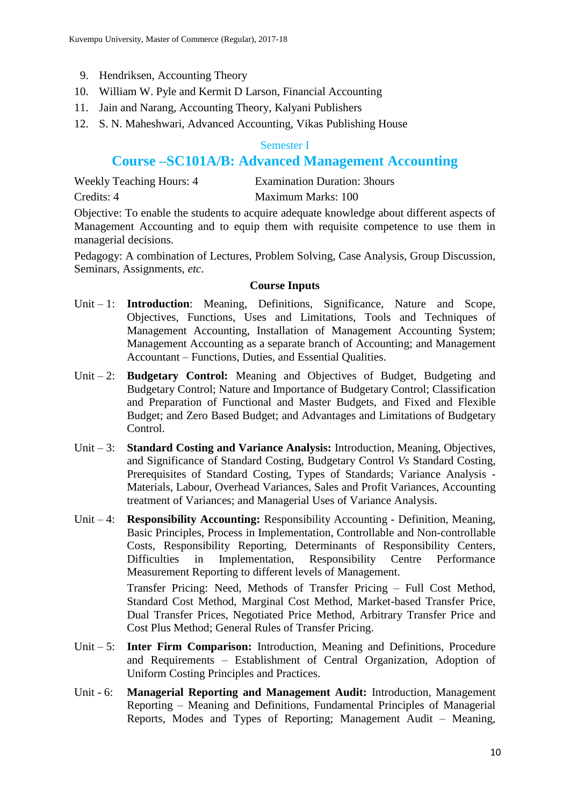- 9. Hendriksen, Accounting Theory
- 10. William W. Pyle and Kermit D Larson, Financial Accounting
- 11. Jain and Narang, Accounting Theory, Kalyani Publishers
- 12. S. N. Maheshwari, Advanced Accounting, Vikas Publishing House

### Semester I

# **Course –SC101A/B: Advanced Management Accounting**

| <b>Weekly Teaching Hours: 4</b> | <b>Examination Duration: 3hours</b> |
|---------------------------------|-------------------------------------|
| Credits: 4                      | Maximum Marks: 100                  |

Objective: To enable the students to acquire adequate knowledge about different aspects of Management Accounting and to equip them with requisite competence to use them in managerial decisions.

Pedagogy: A combination of Lectures, Problem Solving, Case Analysis, Group Discussion, Seminars, Assignments, *etc*.

### **Course Inputs**

- Unit 1: **Introduction**: Meaning, Definitions, Significance, Nature and Scope, Objectives, Functions, Uses and Limitations, Tools and Techniques of Management Accounting, Installation of Management Accounting System; Management Accounting as a separate branch of Accounting; and Management Accountant – Functions, Duties, and Essential Qualities.
- Unit 2: **Budgetary Control:** Meaning and Objectives of Budget, Budgeting and Budgetary Control; Nature and Importance of Budgetary Control; Classification and Preparation of Functional and Master Budgets, and Fixed and Flexible Budget; and Zero Based Budget; and Advantages and Limitations of Budgetary Control.
- Unit 3: **Standard Costing and Variance Analysis:** Introduction, Meaning, Objectives, and Significance of Standard Costing, Budgetary Control *Vs* Standard Costing, Prerequisites of Standard Costing, Types of Standards; Variance Analysis - Materials, Labour, Overhead Variances, Sales and Profit Variances, Accounting treatment of Variances; and Managerial Uses of Variance Analysis.
- Unit 4: **Responsibility Accounting:** Responsibility Accounting Definition, Meaning, Basic Principles, Process in Implementation, Controllable and Non-controllable Costs, Responsibility Reporting, Determinants of Responsibility Centers, Difficulties in Implementation, Responsibility Centre Performance Measurement Reporting to different levels of Management.

Transfer Pricing: Need, Methods of Transfer Pricing – Full Cost Method, Standard Cost Method, Marginal Cost Method, Market-based Transfer Price, Dual Transfer Prices, Negotiated Price Method, Arbitrary Transfer Price and Cost Plus Method; General Rules of Transfer Pricing.

- Unit 5: **Inter Firm Comparison:** Introduction, Meaning and Definitions, Procedure and Requirements – Establishment of Central Organization, Adoption of Uniform Costing Principles and Practices.
- Unit 6: **Managerial Reporting and Management Audit:** Introduction, Management Reporting – Meaning and Definitions, Fundamental Principles of Managerial Reports, Modes and Types of Reporting; Management Audit – Meaning,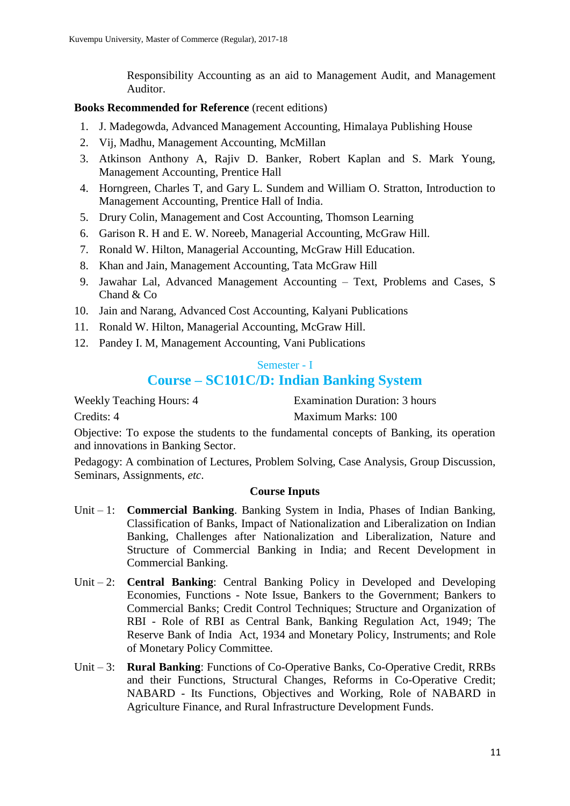Responsibility Accounting as an aid to Management Audit, and Management Auditor.

### **Books Recommended for Reference** (recent editions)

- 1. J. Madegowda, Advanced Management Accounting, Himalaya Publishing House
- 2. Vij, Madhu, Management Accounting, McMillan
- 3. Atkinson Anthony A, Rajiv D. Banker, Robert Kaplan and S. Mark Young, Management Accounting, Prentice Hall
- 4. Horngreen, Charles T, and Gary L. Sundem and William O. Stratton, Introduction to Management Accounting, Prentice Hall of India.
- 5. Drury Colin, Management and Cost Accounting, Thomson Learning
- 6. Garison R. H and E. W. Noreeb, Managerial Accounting, McGraw Hill.
- 7. Ronald W. Hilton, Managerial Accounting, McGraw Hill Education.
- 8. Khan and Jain, Management Accounting, Tata McGraw Hill
- 9. Jawahar Lal, Advanced Management Accounting Text, Problems and Cases, S Chand & Co
- 10. Jain and Narang, Advanced Cost Accounting, Kalyani Publications
- 11. Ronald W. Hilton, Managerial Accounting, McGraw Hill.
- 12. Pandey I. M, Management Accounting, Vani Publications

### Semester - I

# **Course – SC101C/D: Indian Banking System**

Weekly Teaching Hours: 4 Examination Duration: 3 hours

Credits: 4 Maximum Marks: 100

Objective: To expose the students to the fundamental concepts of Banking, its operation and innovations in Banking Sector.

Pedagogy: A combination of Lectures, Problem Solving, Case Analysis, Group Discussion, Seminars, Assignments, *etc*.

- Unit 1: **Commercial Banking**. Banking System in India, Phases of Indian Banking, Classification of Banks, Impact of Nationalization and Liberalization on Indian Banking, Challenges after Nationalization and Liberalization, Nature and Structure of Commercial Banking in India; and Recent Development in Commercial Banking.
- Unit 2: **Central Banking**: Central Banking Policy in Developed and Developing Economies, Functions - Note Issue, Bankers to the Government; Bankers to Commercial Banks; Credit Control Techniques; Structure and Organization of RBI - Role of RBI as Central Bank, Banking Regulation Act, 1949; The Reserve Bank of India Act, 1934 and Monetary Policy, Instruments; and Role of Monetary Policy Committee.
- Unit 3: **Rural Banking**: Functions of Co-Operative Banks, Co-Operative Credit, RRBs and their Functions, Structural Changes, Reforms in Co-Operative Credit; NABARD - Its Functions, Objectives and Working, Role of NABARD in Agriculture Finance, and Rural Infrastructure Development Funds.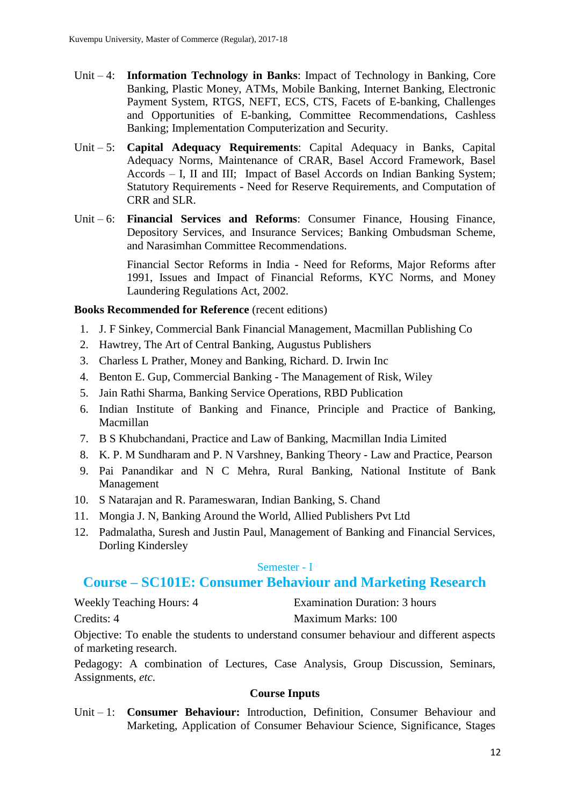- Unit 4: **Information Technology in Banks**: Impact of Technology in Banking, Core Banking, Plastic Money, ATMs, Mobile Banking, Internet Banking, Electronic Payment System, RTGS, NEFT, ECS, CTS, Facets of E-banking, Challenges and Opportunities of E-banking, Committee Recommendations, Cashless Banking; Implementation Computerization and Security.
- Unit 5: **Capital Adequacy Requirements**: Capital Adequacy in Banks, Capital Adequacy Norms, Maintenance of CRAR, Basel Accord Framework, Basel Accords – I, II and III; Impact of Basel Accords on Indian Banking System; Statutory Requirements - Need for Reserve Requirements, and Computation of CRR and SLR.
- Unit 6: **Financial Services and Reforms**: Consumer Finance, Housing Finance, Depository Services, and Insurance Services; Banking Ombudsman Scheme, and Narasimhan Committee Recommendations.

Financial Sector Reforms in India - Need for Reforms, Major Reforms after 1991, Issues and Impact of Financial Reforms, KYC Norms, and Money Laundering Regulations Act, 2002.

### **Books Recommended for Reference** (recent editions)

- 1. J. F Sinkey, Commercial Bank Financial Management, Macmillan Publishing Co
- 2. Hawtrey, The Art of Central Banking, Augustus Publishers
- 3. Charless L Prather, Money and Banking, Richard. D. Irwin Inc
- 4. Benton E. Gup, Commercial Banking The Management of Risk, Wiley
- 5. Jain Rathi Sharma, Banking Service Operations, RBD Publication
- 6. Indian Institute of Banking and Finance, Principle and Practice of Banking, Macmillan
- 7. B S Khubchandani, Practice and Law of Banking, Macmillan India Limited
- 8. K. P. M Sundharam and P. N Varshney, Banking Theory Law and Practice, Pearson
- 9. Pai Panandikar and N C Mehra, Rural Banking, National Institute of Bank Management
- 10. S Natarajan and R. Parameswaran, Indian Banking, S. Chand
- 11. Mongia J. N, Banking Around the World, Allied Publishers Pvt Ltd
- 12. Padmalatha, Suresh and Justin Paul, Management of Banking and Financial Services, Dorling Kindersley

### Semester - I

# **Course – SC101E: Consumer Behaviour and Marketing Research**

Weekly Teaching Hours: 4 Examination Duration: 3 hours Credits: 4 Maximum Marks: 100

Objective: To enable the students to understand consumer behaviour and different aspects of marketing research.

Pedagogy: A combination of Lectures, Case Analysis, Group Discussion, Seminars, Assignments, *etc*.

### **Course Inputs**

Unit – 1: **Consumer Behaviour:** Introduction, Definition, Consumer Behaviour and Marketing, Application of Consumer Behaviour Science, Significance, Stages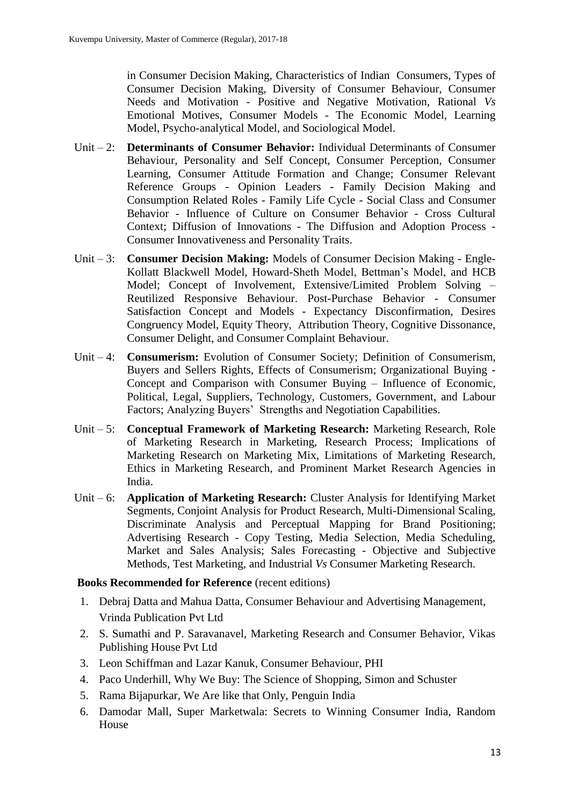in Consumer Decision Making, Characteristics of Indian Consumers, Types of Consumer Decision Making, Diversity of Consumer Behaviour, Consumer Needs and Motivation - Positive and Negative Motivation, Rational *Vs* Emotional Motives, Consumer Models - The Economic Model, Learning Model, Psycho-analytical Model, and Sociological Model.

- Unit 2: **Determinants of Consumer Behavior:** Individual Determinants of Consumer Behaviour, Personality and Self Concept, Consumer Perception, Consumer Learning, Consumer Attitude Formation and Change; Consumer Relevant Reference Groups - Opinion Leaders - Family Decision Making and Consumption Related Roles - Family Life Cycle - Social Class and Consumer Behavior - Influence of Culture on Consumer Behavior - Cross Cultural Context; Diffusion of Innovations - The Diffusion and Adoption Process - Consumer Innovativeness and Personality Traits.
- Unit 3: **Consumer Decision Making:** Models of Consumer Decision Making Engle-Kollatt Blackwell Model, Howard-Sheth Model, Bettman's Model, and HCB Model; Concept of Involvement, Extensive/Limited Problem Solving – Reutilized Responsive Behaviour. Post-Purchase Behavior - Consumer Satisfaction Concept and Models - Expectancy Disconfirmation, Desires Congruency Model, Equity Theory, Attribution Theory, Cognitive Dissonance, Consumer Delight, and Consumer Complaint Behaviour.
- Unit 4: **Consumerism:** Evolution of Consumer Society; Definition of Consumerism, Buyers and Sellers Rights, Effects of Consumerism; Organizational Buying - Concept and Comparison with Consumer Buying – Influence of Economic, Political, Legal, Suppliers, Technology, Customers, Government, and Labour Factors; Analyzing Buyers' Strengths and Negotiation Capabilities.
- Unit 5: **Conceptual Framework of Marketing Research:** Marketing Research, Role of Marketing Research in Marketing, Research Process; Implications of Marketing Research on Marketing Mix, Limitations of Marketing Research, Ethics in Marketing Research, and Prominent Market Research Agencies in India.
- Unit 6: **Application of Marketing Research:** Cluster Analysis for Identifying Market Segments, Conjoint Analysis for Product Research, Multi-Dimensional Scaling, Discriminate Analysis and Perceptual Mapping for Brand Positioning; Advertising Research - Copy Testing, Media Selection, Media Scheduling, Market and Sales Analysis; Sales Forecasting - Objective and Subjective Methods, Test Marketing, and Industrial *Vs* Consumer Marketing Research.

- 1. Debraj Datta and Mahua Datta, Consumer Behaviour and Advertising Management, Vrinda Publication Pvt Ltd
- 2. S. Sumathi and P. Saravanavel, Marketing Research and Consumer Behavior, Vikas Publishing House Pvt Ltd
- 3. Leon Schiffman and Lazar Kanuk, Consumer Behaviour, PHI
- 4. Paco Underhill, Why We Buy: The Science of Shopping, Simon and Schuster
- 5. Rama Bijapurkar, We Are like that Only, Penguin India
- 6. Damodar Mall, Super Marketwala: Secrets to Winning Consumer India, Random House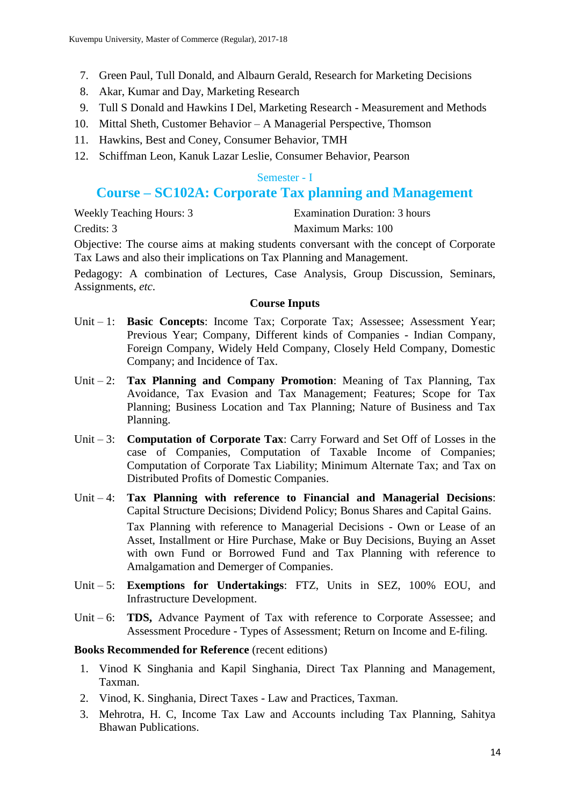- 7. Green Paul, Tull Donald, and Albaurn Gerald, Research for Marketing Decisions
- 8. Akar, Kumar and Day, Marketing Research
- 9. Tull S Donald and Hawkins I Del, Marketing Research Measurement and Methods
- 10. Mittal Sheth, Customer Behavior A Managerial Perspective, Thomson
- 11. Hawkins, Best and Coney, Consumer Behavior, TMH
- 12. Schiffman Leon, Kanuk Lazar Leslie, Consumer Behavior, Pearson

#### Semester - I

# **Course – SC102A: Corporate Tax planning and Management**

| <b>Weekly Teaching Hours: 3</b> | Examination Duration: 3 hours |
|---------------------------------|-------------------------------|
| Credits: 3                      | Maximum Marks: 100            |

Objective: The course aims at making students conversant with the concept of Corporate Tax Laws and also their implications on Tax Planning and Management.

Pedagogy: A combination of Lectures, Case Analysis, Group Discussion, Seminars, Assignments, *etc*.

#### **Course Inputs**

- Unit 1: **Basic Concepts**: Income Tax; Corporate Tax; Assessee; Assessment Year; Previous Year; Company, Different kinds of Companies - Indian Company, Foreign Company, Widely Held Company, Closely Held Company, Domestic Company; and Incidence of Tax.
- Unit 2: **Tax Planning and Company Promotion**: Meaning of Tax Planning, Tax Avoidance, Tax Evasion and Tax Management; Features; Scope for Tax Planning; Business Location and Tax Planning; Nature of Business and Tax Planning.
- Unit 3: **Computation of Corporate Tax**: Carry Forward and Set Off of Losses in the case of Companies, Computation of Taxable Income of Companies; Computation of Corporate Tax Liability; Minimum Alternate Tax; and Tax on Distributed Profits of Domestic Companies.
- Unit 4: **Tax Planning with reference to Financial and Managerial Decisions**: Capital Structure Decisions; Dividend Policy; Bonus Shares and Capital Gains. Tax Planning with reference to Managerial Decisions - Own or Lease of an Asset, Installment or Hire Purchase, Make or Buy Decisions, Buying an Asset with own Fund or Borrowed Fund and Tax Planning with reference to Amalgamation and Demerger of Companies.
- Unit 5: **Exemptions for Undertakings**: FTZ, Units in SEZ, 100% EOU, and Infrastructure Development.
- Unit 6: **TDS,** Advance Payment of Tax with reference to Corporate Assessee; and Assessment Procedure - Types of Assessment; Return on Income and E-filing.

- 1. Vinod K Singhania and Kapil Singhania, Direct Tax Planning and Management, Taxman.
- 2. Vinod, K. Singhania, Direct Taxes Law and Practices, Taxman.
- 3. Mehrotra, H. C, Income Tax Law and Accounts including Tax Planning, Sahitya Bhawan Publications.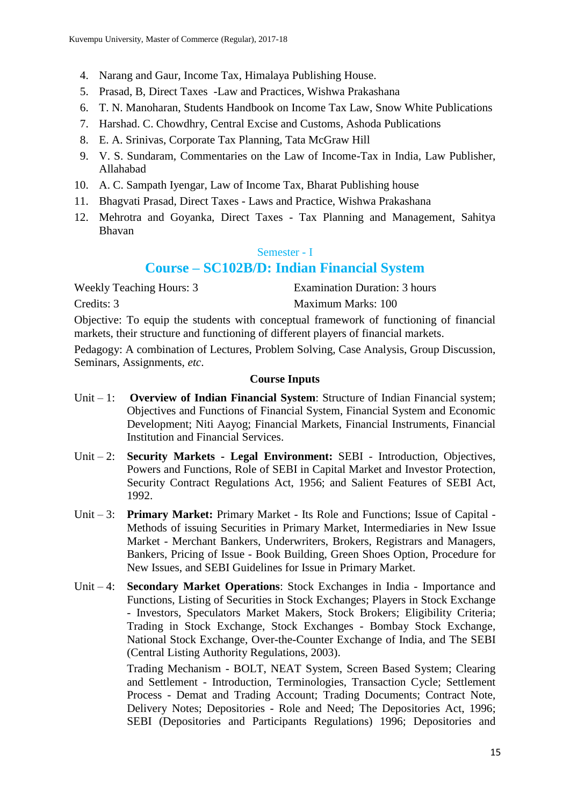- 4. Narang and Gaur, Income Tax, Himalaya Publishing House.
- 5. Prasad, B, Direct Taxes -Law and Practices, Wishwa Prakashana
- 6. T. N. Manoharan, Students Handbook on Income Tax Law, Snow White Publications
- 7. Harshad. C. Chowdhry, Central Excise and Customs, Ashoda Publications
- 8. E. A. Srinivas, Corporate Tax Planning, Tata McGraw Hill
- 9. V. S. Sundaram, Commentaries on the Law of Income-Tax in India, Law Publisher, Allahabad
- 10. A. C. Sampath Iyengar, Law of Income Tax, Bharat Publishing house
- 11. Bhagvati Prasad, Direct Taxes Laws and Practice, Wishwa Prakashana
- 12. Mehrotra and Goyanka, Direct Taxes Tax Planning and Management, Sahitya Bhavan

#### Semester - I

# **Course – SC102B/D: Indian Financial System**

Weekly Teaching Hours: 3 Examination Duration: 3 hours Credits: 3 Maximum Marks: 100

Objective: To equip the students with conceptual framework of functioning of financial markets, their structure and functioning of different players of financial markets.

Pedagogy: A combination of Lectures, Problem Solving, Case Analysis, Group Discussion, Seminars, Assignments, *etc*.

### **Course Inputs**

- Unit 1: **Overview of Indian Financial System**: Structure of Indian Financial system; Objectives and Functions of Financial System, Financial System and Economic Development; Niti Aayog; Financial Markets, Financial Instruments, Financial Institution and Financial Services.
- Unit 2: **Security Markets - Legal Environment:** SEBI Introduction, Objectives, Powers and Functions, Role of SEBI in Capital Market and Investor Protection, Security Contract Regulations Act, 1956; and Salient Features of SEBI Act, 1992.
- Unit 3: **Primary Market:** Primary Market Its Role and Functions; Issue of Capital Methods of issuing Securities in Primary Market, Intermediaries in New Issue Market - Merchant Bankers, Underwriters, Brokers, Registrars and Managers, Bankers, Pricing of Issue - Book Building, Green Shoes Option, Procedure for New Issues, and SEBI Guidelines for Issue in Primary Market.
- Unit 4: **Secondary Market Operations**: Stock Exchanges in India Importance and Functions, Listing of Securities in Stock Exchanges; Players in Stock Exchange - Investors, Speculators Market Makers, Stock Brokers; Eligibility Criteria; Trading in Stock Exchange, Stock Exchanges - Bombay Stock Exchange, National Stock Exchange, Over-the-Counter Exchange of India, and The SEBI (Central Listing Authority Regulations, 2003).

Trading Mechanism - BOLT, NEAT System, Screen Based System; Clearing and Settlement - Introduction, Terminologies, Transaction Cycle; Settlement Process - Demat and Trading Account; Trading Documents; Contract Note, Delivery Notes; Depositories - Role and Need; The Depositories Act, 1996; SEBI (Depositories and Participants Regulations) 1996; Depositories and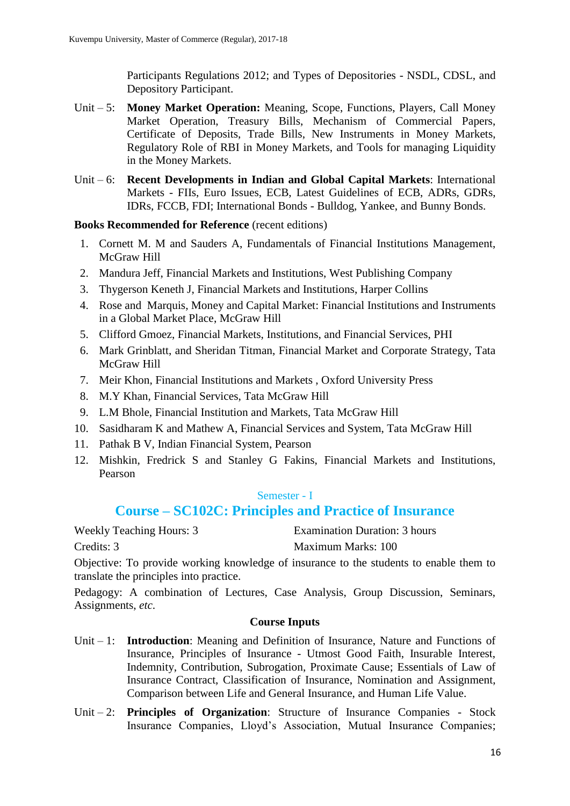Participants Regulations 2012; and Types of Depositories - NSDL, CDSL, and Depository Participant.

- Unit 5: **Money Market Operation:** Meaning, Scope, Functions, Players, Call Money Market Operation, Treasury Bills, Mechanism of Commercial Papers, Certificate of Deposits, Trade Bills, New Instruments in Money Markets, Regulatory Role of RBI in Money Markets, and Tools for managing Liquidity in the Money Markets.
- Unit 6: **Recent Developments in Indian and Global Capital Markets**: International Markets - FIIs, Euro Issues, ECB, Latest Guidelines of ECB, ADRs, GDRs, IDRs, FCCB, FDI; International Bonds - Bulldog, Yankee, and Bunny Bonds.

### **Books Recommended for Reference** (recent editions)

- 1. Cornett M. M and Sauders A, Fundamentals of Financial Institutions Management, McGraw Hill
- 2. Mandura Jeff, Financial Markets and Institutions, West Publishing Company
- 3. Thygerson Keneth J, Financial Markets and Institutions, Harper Collins
- 4. Rose and Marquis, Money and Capital Market: Financial Institutions and Instruments in a Global Market Place, McGraw Hill
- 5. Clifford Gmoez, Financial Markets, Institutions, and Financial Services, PHI
- 6. Mark Grinblatt, and Sheridan Titman, Financial Market and Corporate Strategy, Tata McGraw Hill
- 7. Meir Khon, Financial Institutions and Markets , Oxford University Press
- 8. M.Y Khan, Financial Services, Tata McGraw Hill
- 9. L.M Bhole, Financial Institution and Markets, Tata McGraw Hill
- 10. Sasidharam K and Mathew A, Financial Services and System, Tata McGraw Hill
- 11. Pathak B V, Indian Financial System, Pearson
- 12. Mishkin, Fredrick S and Stanley G Fakins, Financial Markets and Institutions, Pearson

# Semester - I

# **Course – SC102C: Principles and Practice of Insurance**

Weekly Teaching Hours: 3 Examination Duration: 3 hours Credits: 3 Maximum Marks: 100

Objective: To provide working knowledge of insurance to the students to enable them to translate the principles into practice.

Pedagogy: A combination of Lectures, Case Analysis, Group Discussion, Seminars, Assignments, *etc*.

- Unit 1: **Introduction**: Meaning and Definition of Insurance, Nature and Functions of Insurance, Principles of Insurance - Utmost Good Faith, Insurable Interest, Indemnity, Contribution, Subrogation, Proximate Cause; Essentials of Law of Insurance Contract, Classification of Insurance, Nomination and Assignment, Comparison between Life and General Insurance, and Human Life Value.
- Unit 2: **Principles of Organization**: Structure of Insurance Companies Stock Insurance Companies, Lloyd's Association, Mutual Insurance Companies;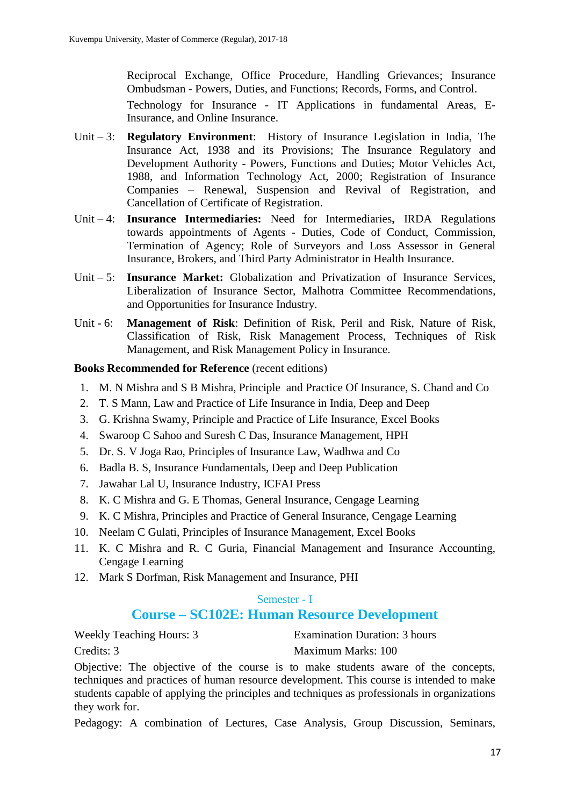Reciprocal Exchange, Office Procedure, Handling Grievances; Insurance Ombudsman - Powers, Duties, and Functions; Records, Forms, and Control. Technology for Insurance - IT Applications in fundamental Areas, E-Insurance, and Online Insurance.

- Unit 3: **Regulatory Environment**: History of Insurance Legislation in India, The Insurance Act, 1938 and its Provisions; The Insurance Regulatory and Development Authority - Powers, Functions and Duties; Motor Vehicles Act, 1988, and Information Technology Act, 2000; Registration of Insurance Companies – Renewal, Suspension and Revival of Registration, and Cancellation of Certificate of Registration.
- Unit 4: **Insurance Intermediaries:** Need for Intermediaries**,** IRDA Regulations towards appointments of Agents - Duties, Code of Conduct, Commission, Termination of Agency; Role of Surveyors and Loss Assessor in General Insurance, Brokers, and Third Party Administrator in Health Insurance.
- Unit 5: **Insurance Market:** Globalization and Privatization of Insurance Services, Liberalization of Insurance Sector, Malhotra Committee Recommendations, and Opportunities for Insurance Industry.
- Unit 6: **Management of Risk**: Definition of Risk, Peril and Risk, Nature of Risk, Classification of Risk, Risk Management Process, Techniques of Risk Management, and Risk Management Policy in Insurance.

### **Books Recommended for Reference** (recent editions)

- 1. M. N Mishra and S B Mishra, Principle and Practice Of Insurance, S. Chand and Co
- 2. T. S Mann, Law and Practice of Life Insurance in India, Deep and Deep
- 3. G. Krishna Swamy, Principle and Practice of Life Insurance, Excel Books
- 4. Swaroop C Sahoo and Suresh C Das, Insurance Management, HPH
- 5. Dr. S. V Joga Rao, Principles of Insurance Law, Wadhwa and Co
- 6. Badla B. S, Insurance Fundamentals, Deep and Deep Publication
- 7. Jawahar Lal U, Insurance Industry, ICFAI Press
- 8. K. C Mishra and G. E Thomas, General Insurance, Cengage Learning
- 9. K. C Mishra, Principles and Practice of General Insurance, Cengage Learning
- 10. Neelam C Gulati, Principles of Insurance Management, Excel Books
- 11. K. C Mishra and R. C Guria, Financial Management and Insurance Accounting, Cengage Learning
- 12. Mark S Dorfman, Risk Management and Insurance, PHI

### Semester - I

# **Course – SC102E: Human Resource Development**

Weekly Teaching Hours: 3 Examination Duration: 3 hours Credits: 3 Maximum Marks: 100

Objective: The objective of the course is to make students aware of the concepts, techniques and practices of human resource development. This course is intended to make students capable of applying the principles and techniques as professionals in organizations they work for.

Pedagogy: A combination of Lectures, Case Analysis, Group Discussion, Seminars,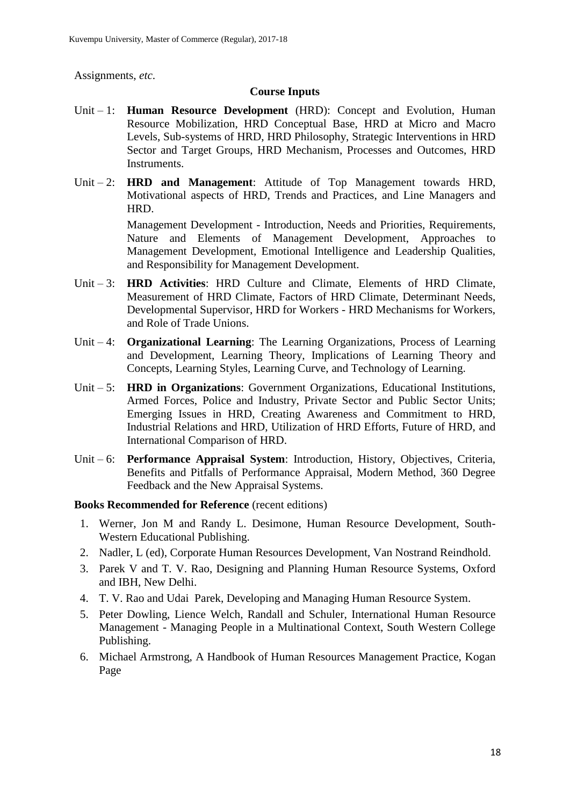Assignments, *etc*.

### **Course Inputs**

- Unit 1: **Human Resource Development** (HRD): Concept and Evolution, Human Resource Mobilization, HRD Conceptual Base, HRD at Micro and Macro Levels, Sub-systems of HRD, HRD Philosophy, Strategic Interventions in HRD Sector and Target Groups, HRD Mechanism, Processes and Outcomes, HRD Instruments.
- Unit 2: **HRD and Management**: Attitude of Top Management towards HRD, Motivational aspects of HRD, Trends and Practices, and Line Managers and HRD.

Management Development - Introduction, Needs and Priorities, Requirements, Nature and Elements of Management Development, Approaches to Management Development, Emotional Intelligence and Leadership Qualities, and Responsibility for Management Development.

- Unit 3: **HRD Activities**: HRD Culture and Climate, Elements of HRD Climate, Measurement of HRD Climate, Factors of HRD Climate, Determinant Needs, Developmental Supervisor, HRD for Workers - HRD Mechanisms for Workers, and Role of Trade Unions.
- Unit 4: **Organizational Learning**: The Learning Organizations, Process of Learning and Development, Learning Theory, Implications of Learning Theory and Concepts, Learning Styles, Learning Curve, and Technology of Learning.
- Unit 5: **HRD in Organizations**: Government Organizations, Educational Institutions, Armed Forces, Police and Industry, Private Sector and Public Sector Units; Emerging Issues in HRD, Creating Awareness and Commitment to HRD, Industrial Relations and HRD, Utilization of HRD Efforts, Future of HRD, and International Comparison of HRD.
- Unit 6: **Performance Appraisal System**: Introduction, History, Objectives, Criteria, Benefits and Pitfalls of Performance Appraisal, Modern Method, 360 Degree Feedback and the New Appraisal Systems.

- 1. Werner, Jon M and Randy L. Desimone, Human Resource Development, South-Western Educational Publishing.
- 2. Nadler, L (ed), Corporate Human Resources Development, Van Nostrand Reindhold.
- 3. Parek V and T. V. Rao, Designing and Planning Human Resource Systems, Oxford and IBH, New Delhi.
- 4. T. V. Rao and Udai Parek, Developing and Managing Human Resource System.
- 5. Peter Dowling, Lience Welch, Randall and Schuler, International Human Resource Management - Managing People in a Multinational Context, South Western College Publishing.
- 6. Michael Armstrong, A Handbook of Human Resources Management Practice, Kogan Page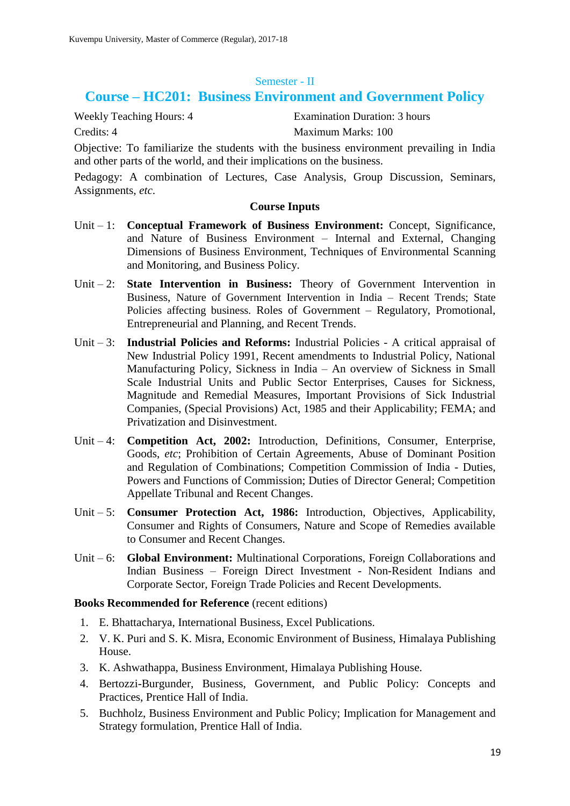#### Semester - II

# **Course – HC201: Business Environment and Government Policy**

Weekly Teaching Hours: 4 Examination Duration: 3 hours

Credits: 4 Maximum Marks: 100

Objective: To familiarize the students with the business environment prevailing in India and other parts of the world, and their implications on the business.

Pedagogy: A combination of Lectures, Case Analysis, Group Discussion, Seminars, Assignments, *etc*.

#### **Course Inputs**

- Unit 1: **Conceptual Framework of Business Environment:** Concept, Significance, and Nature of Business Environment – Internal and External, Changing Dimensions of Business Environment, Techniques of Environmental Scanning and Monitoring, and Business Policy.
- Unit 2: **State Intervention in Business:** Theory of Government Intervention in Business, Nature of Government Intervention in India – Recent Trends; State Policies affecting business. Roles of Government – Regulatory, Promotional, Entrepreneurial and Planning, and Recent Trends.
- Unit 3: **Industrial Policies and Reforms:** Industrial Policies A critical appraisal of New Industrial Policy 1991, Recent amendments to Industrial Policy, National Manufacturing Policy, Sickness in India – An overview of Sickness in Small Scale Industrial Units and Public Sector Enterprises, Causes for Sickness, Magnitude and Remedial Measures, Important Provisions of Sick Industrial Companies, (Special Provisions) Act, 1985 and their Applicability; FEMA; and Privatization and Disinvestment.
- Unit 4: **Competition Act, 2002:** Introduction, Definitions, Consumer, Enterprise, Goods, *etc*; Prohibition of Certain Agreements, Abuse of Dominant Position and Regulation of Combinations; Competition Commission of India - Duties, Powers and Functions of Commission; Duties of Director General; Competition Appellate Tribunal and Recent Changes.
- Unit 5: **Consumer Protection Act, 1986:** Introduction, Objectives, Applicability, Consumer and Rights of Consumers, Nature and Scope of Remedies available to Consumer and Recent Changes.
- Unit 6: **Global Environment:** Multinational Corporations, Foreign Collaborations and Indian Business – Foreign Direct Investment - Non-Resident Indians and Corporate Sector, Foreign Trade Policies and Recent Developments.

- 1. E. Bhattacharya, International Business, Excel Publications.
- 2. V. K. Puri and S. K. Misra, Economic Environment of Business, Himalaya Publishing House.
- 3. K. Ashwathappa, Business Environment, Himalaya Publishing House.
- 4. Bertozzi-Burgunder, Business, Government, and Public Policy: Concepts and Practices, Prentice Hall of India.
- 5. Buchholz, Business Environment and Public Policy; Implication for Management and Strategy formulation, Prentice Hall of India.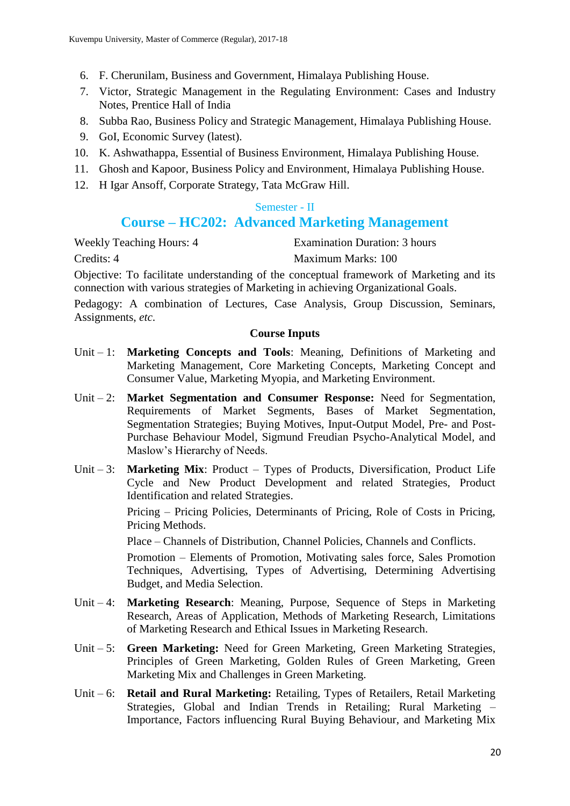- 6. F. Cherunilam, Business and Government, Himalaya Publishing House.
- 7. Victor, Strategic Management in the Regulating Environment: Cases and Industry Notes, Prentice Hall of India
- 8. Subba Rao, Business Policy and Strategic Management, Himalaya Publishing House.
- 9. GoI, Economic Survey (latest).
- 10. K. Ashwathappa, Essential of Business Environment, Himalaya Publishing House.
- 11. Ghosh and Kapoor, Business Policy and Environment, Himalaya Publishing House.
- 12. H Igar Ansoff, Corporate Strategy, Tata McGraw Hill.

### Semester - II

# **Course – HC202: Advanced Marketing Management**

Weekly Teaching Hours: 4 **Examination Duration: 3 hours** Credits: 4 Maximum Marks: 100

Objective: To facilitate understanding of the conceptual framework of Marketing and its connection with various strategies of Marketing in achieving Organizational Goals.

Pedagogy: A combination of Lectures, Case Analysis, Group Discussion, Seminars, Assignments, *etc*.

### **Course Inputs**

- Unit 1: **Marketing Concepts and Tools**: Meaning, Definitions of Marketing and Marketing Management, Core Marketing Concepts, Marketing Concept and Consumer Value, Marketing Myopia, and Marketing Environment.
- Unit 2: **Market Segmentation and Consumer Response:** Need for Segmentation, Requirements of Market Segments, Bases of Market Segmentation, Segmentation Strategies; Buying Motives, Input-Output Model, Pre- and Post-Purchase Behaviour Model, Sigmund Freudian Psycho-Analytical Model, and Maslow's Hierarchy of Needs.
- Unit 3: **Marketing Mix**: Product Types of Products, Diversification, Product Life Cycle and New Product Development and related Strategies, Product Identification and related Strategies.

Pricing – Pricing Policies, Determinants of Pricing, Role of Costs in Pricing, Pricing Methods.

Place – Channels of Distribution, Channel Policies, Channels and Conflicts.

Promotion – Elements of Promotion, Motivating sales force, Sales Promotion Techniques, Advertising, Types of Advertising, Determining Advertising Budget, and Media Selection.

- Unit 4: **Marketing Research**: Meaning, Purpose, Sequence of Steps in Marketing Research, Areas of Application, Methods of Marketing Research, Limitations of Marketing Research and Ethical Issues in Marketing Research.
- Unit 5: **Green Marketing:** Need for Green Marketing, Green Marketing Strategies, Principles of Green Marketing, Golden Rules of Green Marketing, Green Marketing Mix and Challenges in Green Marketing.
- Unit 6: **Retail and Rural Marketing:** Retailing, Types of Retailers, Retail Marketing Strategies, Global and Indian Trends in Retailing; Rural Marketing – Importance, Factors influencing Rural Buying Behaviour, and Marketing Mix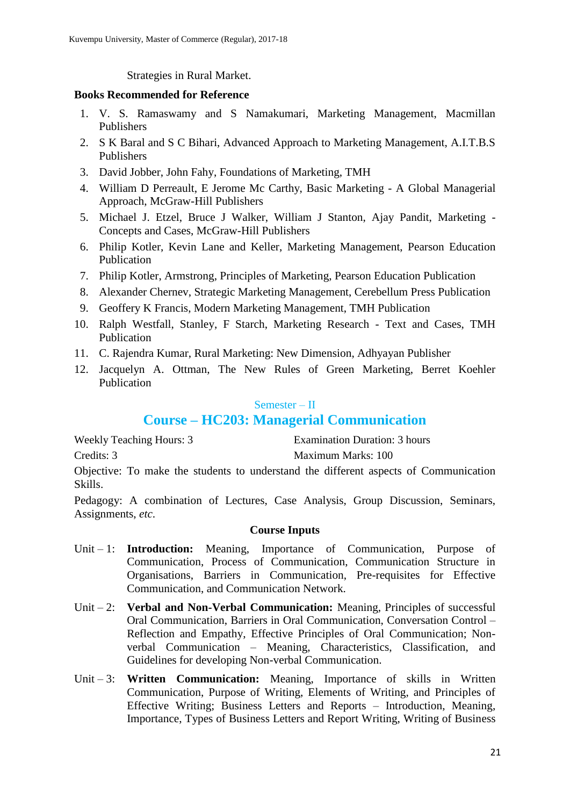Strategies in Rural Market.

### **Books Recommended for Reference**

- 1. V. S. Ramaswamy and S Namakumari, Marketing Management, Macmillan Publishers
- 2. S K Baral and S C Bihari, Advanced Approach to Marketing Management, A.I.T.B.S Publishers
- 3. David Jobber, John Fahy, Foundations of Marketing, TMH
- 4. William D Perreault, E Jerome Mc Carthy, Basic Marketing A Global Managerial Approach, McGraw-Hill Publishers
- 5. Michael J. Etzel, Bruce J Walker, William J Stanton, Ajay Pandit, Marketing Concepts and Cases, McGraw-Hill Publishers
- 6. Philip Kotler, Kevin Lane and Keller, Marketing Management, Pearson Education Publication
- 7. Philip Kotler, Armstrong, Principles of Marketing, Pearson Education Publication
- 8. Alexander Chernev, Strategic Marketing Management, Cerebellum Press Publication
- 9. Geoffery K Francis, Modern Marketing Management, TMH Publication
- 10. Ralph Westfall, Stanley, F Starch, Marketing Research Text and Cases, TMH Publication
- 11. C. Rajendra Kumar, Rural Marketing: New Dimension, Adhyayan Publisher
- 12. Jacquelyn A. Ottman, The New Rules of Green Marketing, Berret Koehler Publication

### Semester – II

# **Course – HC203: Managerial Communication**

| <b>Weekly Teaching Hours: 3</b> | <b>Examination Duration: 3 hours</b> |
|---------------------------------|--------------------------------------|
| Credits: 3                      | Maximum Marks: 100                   |

Objective: To make the students to understand the different aspects of Communication Skills.

Pedagogy: A combination of Lectures, Case Analysis, Group Discussion, Seminars, Assignments, *etc*.

- Unit 1: **Introduction:** Meaning, Importance of Communication, Purpose of Communication, Process of Communication, Communication Structure in Organisations, Barriers in Communication, Pre-requisites for Effective Communication, and Communication Network.
- Unit 2: **Verbal and Non-Verbal Communication:** Meaning, Principles of successful Oral Communication, Barriers in Oral Communication, Conversation Control – Reflection and Empathy, Effective Principles of Oral Communication; Nonverbal Communication – Meaning, Characteristics, Classification, and Guidelines for developing Non-verbal Communication.
- Unit 3: **Written Communication:** Meaning, Importance of skills in Written Communication, Purpose of Writing, Elements of Writing, and Principles of Effective Writing; Business Letters and Reports – Introduction, Meaning, Importance, Types of Business Letters and Report Writing, Writing of Business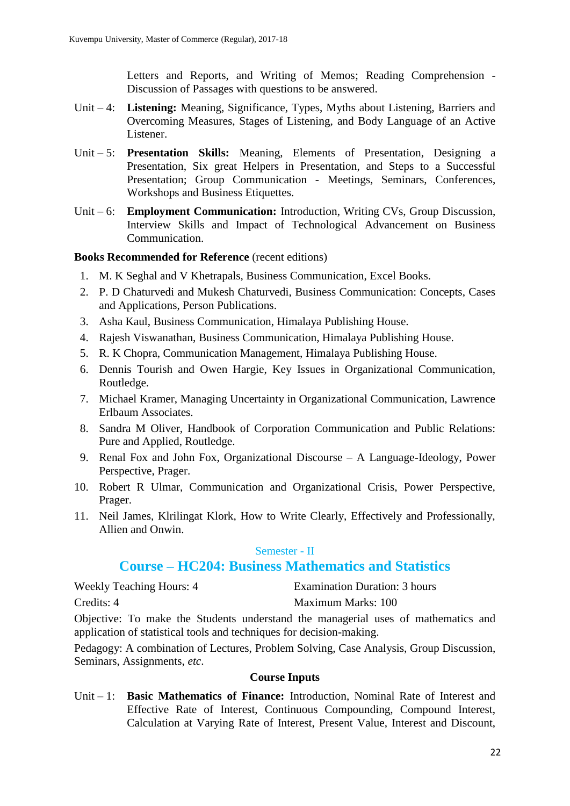Letters and Reports, and Writing of Memos; Reading Comprehension - Discussion of Passages with questions to be answered.

- Unit 4: **Listening:** Meaning, Significance, Types, Myths about Listening, Barriers and Overcoming Measures, Stages of Listening, and Body Language of an Active Listener.
- Unit 5: **Presentation Skills:** Meaning, Elements of Presentation, Designing a Presentation, Six great Helpers in Presentation, and Steps to a Successful Presentation; Group Communication - Meetings, Seminars, Conferences, Workshops and Business Etiquettes.
- Unit 6: **Employment Communication:** Introduction, Writing CVs, Group Discussion, Interview Skills and Impact of Technological Advancement on Business Communication.

### **Books Recommended for Reference** (recent editions)

- 1. M. K Seghal and V Khetrapals, Business Communication, Excel Books.
- 2. P. D Chaturvedi and Mukesh Chaturvedi, Business Communication: Concepts, Cases and Applications, Person Publications.
- 3. Asha Kaul, Business Communication, Himalaya Publishing House.
- 4. Rajesh Viswanathan, Business Communication, Himalaya Publishing House.
- 5. R. K Chopra, Communication Management, Himalaya Publishing House.
- 6. Dennis Tourish and Owen Hargie, Key Issues in Organizational Communication, Routledge.
- 7. Michael Kramer, Managing Uncertainty in Organizational Communication, Lawrence Erlbaum Associates.
- 8. Sandra M Oliver, Handbook of Corporation Communication and Public Relations: Pure and Applied, Routledge.
- 9. Renal Fox and John Fox, Organizational Discourse A Language-Ideology, Power Perspective, Prager.
- 10. Robert R Ulmar, Communication and Organizational Crisis, Power Perspective, Prager.
- 11. Neil James, Klrilingat Klork, How to Write Clearly, Effectively and Professionally, Allien and Onwin.

### Semester - II

# **Course – HC204: Business Mathematics and Statistics**

| <b>Weekly Teaching Hours: 4</b> | <b>Examination Duration: 3 hours</b> |
|---------------------------------|--------------------------------------|
| Credits: 4                      | Maximum Marks: 100                   |

Objective: To make the Students understand the managerial uses of mathematics and application of statistical tools and techniques for decision-making.

Pedagogy: A combination of Lectures, Problem Solving, Case Analysis, Group Discussion, Seminars, Assignments, *etc*.

### **Course Inputs**

Unit – 1: **Basic Mathematics of Finance:** Introduction, Nominal Rate of Interest and Effective Rate of Interest, Continuous Compounding, Compound Interest, Calculation at Varying Rate of Interest, Present Value, Interest and Discount,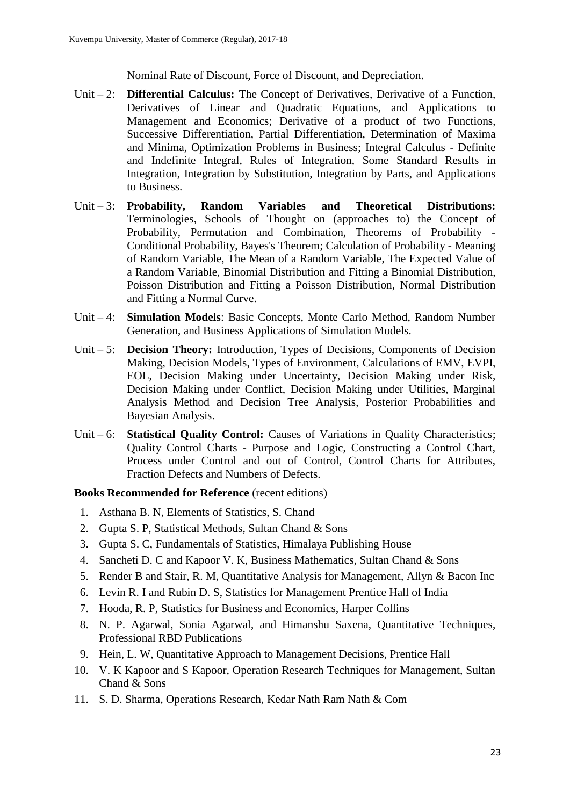Nominal Rate of Discount, Force of Discount, and Depreciation.

- Unit 2: **Differential Calculus:** The Concept of Derivatives, Derivative of a Function, Derivatives of Linear and Quadratic Equations, and Applications to Management and Economics; Derivative of a product of two Functions, Successive Differentiation, Partial Differentiation, Determination of Maxima and Minima, Optimization Problems in Business; Integral Calculus - Definite and Indefinite Integral, Rules of Integration, Some Standard Results in Integration, Integration by Substitution, Integration by Parts, and Applications to Business.
- Unit 3: **Probability, Random Variables and Theoretical Distributions:**  Terminologies, Schools of Thought on (approaches to) the Concept of Probability, Permutation and Combination, Theorems of Probability - Conditional Probability, Bayes's Theorem; Calculation of Probability - Meaning of Random Variable, The Mean of a Random Variable, The Expected Value of a Random Variable, Binomial Distribution and Fitting a Binomial Distribution, Poisson Distribution and Fitting a Poisson Distribution, Normal Distribution and Fitting a Normal Curve.
- Unit 4: **Simulation Models**: Basic Concepts, Monte Carlo Method, Random Number Generation, and Business Applications of Simulation Models.
- Unit 5: **Decision Theory:** Introduction, Types of Decisions, Components of Decision Making, Decision Models, Types of Environment, Calculations of EMV, EVPI, EOL, Decision Making under Uncertainty, Decision Making under Risk, Decision Making under Conflict, Decision Making under Utilities, Marginal Analysis Method and Decision Tree Analysis, Posterior Probabilities and Bayesian Analysis.
- Unit 6: **Statistical Quality Control:** Causes of Variations in Quality Characteristics; Quality Control Charts - Purpose and Logic, Constructing a Control Chart, Process under Control and out of Control, Control Charts for Attributes, Fraction Defects and Numbers of Defects.

- 1. Asthana B. N, Elements of Statistics, S. Chand
- 2. Gupta S. P, Statistical Methods, Sultan Chand & Sons
- 3. Gupta S. C, Fundamentals of Statistics, Himalaya Publishing House
- 4. Sancheti D. C and Kapoor V. K, Business Mathematics, Sultan Chand & Sons
- 5. Render B and Stair, R. M, Quantitative Analysis for Management, Allyn & Bacon Inc
- 6. Levin R. I and Rubin D. S, Statistics for Management Prentice Hall of India
- 7. Hooda, R. P, Statistics for Business and Economics, Harper Collins
- 8. N. P. Agarwal, Sonia Agarwal, and Himanshu Saxena, Quantitative Techniques, Professional RBD Publications
- 9. Hein, L. W, Quantitative Approach to Management Decisions, Prentice Hall
- 10. V. K Kapoor and S Kapoor, Operation Research Techniques for Management, Sultan Chand & Sons
- 11. S. D. Sharma, Operations Research, Kedar Nath Ram Nath & Com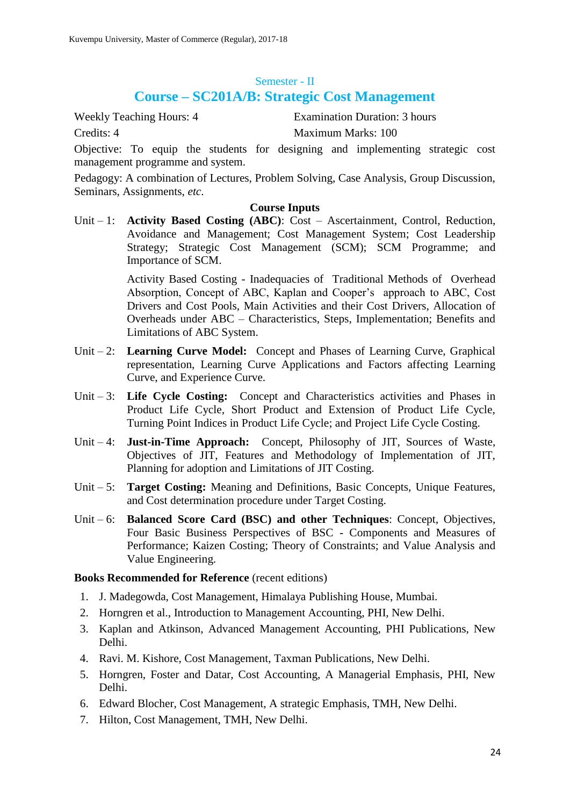#### Semester - II

# **Course – SC201A/B: Strategic Cost Management**

Weekly Teaching Hours: 4 Examination Duration: 3 hours Credits: 4 Maximum Marks: 100

Objective: To equip the students for designing and implementing strategic cost management programme and system.

Pedagogy: A combination of Lectures, Problem Solving, Case Analysis, Group Discussion, Seminars, Assignments, *etc*.

### **Course Inputs**

Unit – 1: **Activity Based Costing (ABC)**: Cost – Ascertainment, Control, Reduction, Avoidance and Management; Cost Management System; Cost Leadership Strategy; Strategic Cost Management (SCM); SCM Programme; and Importance of SCM.

> Activity Based Costing - Inadequacies of Traditional Methods of Overhead Absorption, Concept of ABC, Kaplan and Cooper's approach to ABC, Cost Drivers and Cost Pools, Main Activities and their Cost Drivers, Allocation of Overheads under ABC – Characteristics, Steps, Implementation; Benefits and Limitations of ABC System.

- Unit 2: **Learning Curve Model:** Concept and Phases of Learning Curve, Graphical representation, Learning Curve Applications and Factors affecting Learning Curve, and Experience Curve.
- Unit 3: **Life Cycle Costing:** Concept and Characteristics activities and Phases in Product Life Cycle, Short Product and Extension of Product Life Cycle, Turning Point Indices in Product Life Cycle; and Project Life Cycle Costing.
- Unit 4: **Just-in-Time Approach:** Concept, Philosophy of JIT, Sources of Waste, Objectives of JIT, Features and Methodology of Implementation of JIT, Planning for adoption and Limitations of JIT Costing.
- Unit 5: **Target Costing:** Meaning and Definitions, Basic Concepts, Unique Features, and Cost determination procedure under Target Costing.
- Unit 6: **Balanced Score Card (BSC) and other Techniques**: Concept, Objectives, Four Basic Business Perspectives of BSC - Components and Measures of Performance; Kaizen Costing; Theory of Constraints; and Value Analysis and Value Engineering.

- 1. J. Madegowda, Cost Management, Himalaya Publishing House, Mumbai.
- 2. Horngren et al., Introduction to Management Accounting, PHI, New Delhi.
- 3. Kaplan and Atkinson, Advanced Management Accounting, PHI Publications, New Delhi.
- 4. Ravi. M. Kishore, Cost Management, Taxman Publications, New Delhi.
- 5. Horngren, Foster and Datar, Cost Accounting, A Managerial Emphasis, PHI, New Delhi.
- 6. Edward Blocher, Cost Management, A strategic Emphasis, TMH, New Delhi.
- 7. Hilton, Cost Management, TMH, New Delhi.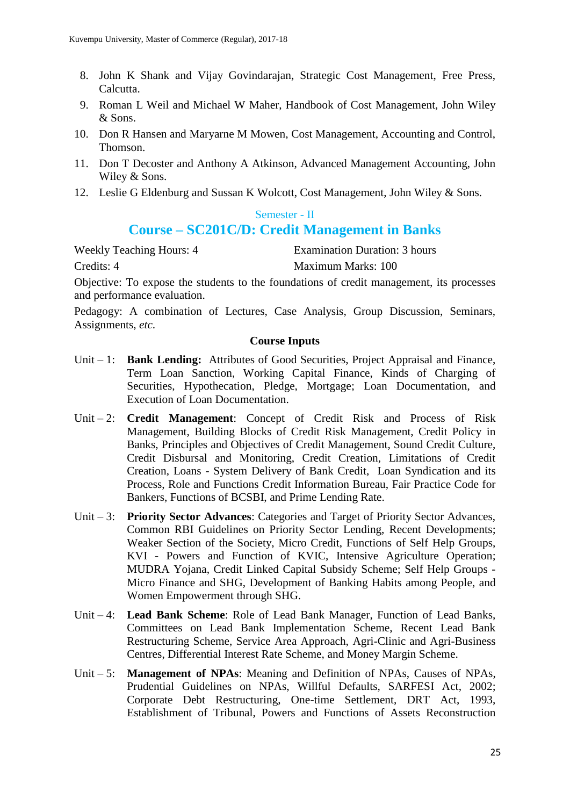- 8. John K Shank and Vijay Govindarajan, Strategic Cost Management, Free Press, Calcutta.
- 9. Roman L Weil and Michael W Maher, Handbook of Cost Management, John Wiley & Sons.
- 10. Don R Hansen and Maryarne M Mowen, Cost Management, Accounting and Control, Thomson.
- 11. Don T Decoster and Anthony A Atkinson, Advanced Management Accounting, John Wiley & Sons.
- 12. Leslie G Eldenburg and Sussan K Wolcott, Cost Management, John Wiley & Sons.

#### Semester - II

# **Course – SC201C/D: Credit Management in Banks**

Weekly Teaching Hours: 4 Examination Duration: 3 hours Credits: 4 Maximum Marks: 100

Objective: To expose the students to the foundations of credit management, its processes and performance evaluation.

Pedagogy: A combination of Lectures, Case Analysis, Group Discussion, Seminars, Assignments, *etc*.

- Unit 1: **Bank Lending:** Attributes of Good Securities, Project Appraisal and Finance, Term Loan Sanction, Working Capital Finance, Kinds of Charging of Securities, Hypothecation, Pledge, Mortgage; Loan Documentation, and Execution of Loan Documentation.
- Unit 2: **Credit Management**: Concept of Credit Risk and Process of Risk Management, Building Blocks of Credit Risk Management, Credit Policy in Banks, Principles and Objectives of Credit Management, Sound Credit Culture, Credit Disbursal and Monitoring, Credit Creation, Limitations of Credit Creation, Loans - System Delivery of Bank Credit, Loan Syndication and its Process, Role and Functions Credit Information Bureau, Fair Practice Code for Bankers, Functions of BCSBI, and Prime Lending Rate.
- Unit 3: **Priority Sector Advances**: Categories and Target of Priority Sector Advances, Common RBI Guidelines on Priority Sector Lending, Recent Developments; Weaker Section of the Society, Micro Credit, Functions of Self Help Groups, KVI - Powers and Function of KVIC, Intensive Agriculture Operation; MUDRA Yojana, Credit Linked Capital Subsidy Scheme; Self Help Groups - Micro Finance and SHG, Development of Banking Habits among People, and Women Empowerment through SHG.
- Unit 4: **Lead Bank Scheme**: Role of Lead Bank Manager, Function of Lead Banks, Committees on Lead Bank Implementation Scheme, Recent Lead Bank Restructuring Scheme, Service Area Approach, Agri-Clinic and Agri-Business Centres, Differential Interest Rate Scheme, and Money Margin Scheme.
- Unit 5: **Management of NPAs**: Meaning and Definition of NPAs, Causes of NPAs, Prudential Guidelines on NPAs, Willful Defaults, SARFESI Act, 2002; Corporate Debt Restructuring, One-time Settlement, DRT Act, 1993, Establishment of Tribunal, Powers and Functions of Assets Reconstruction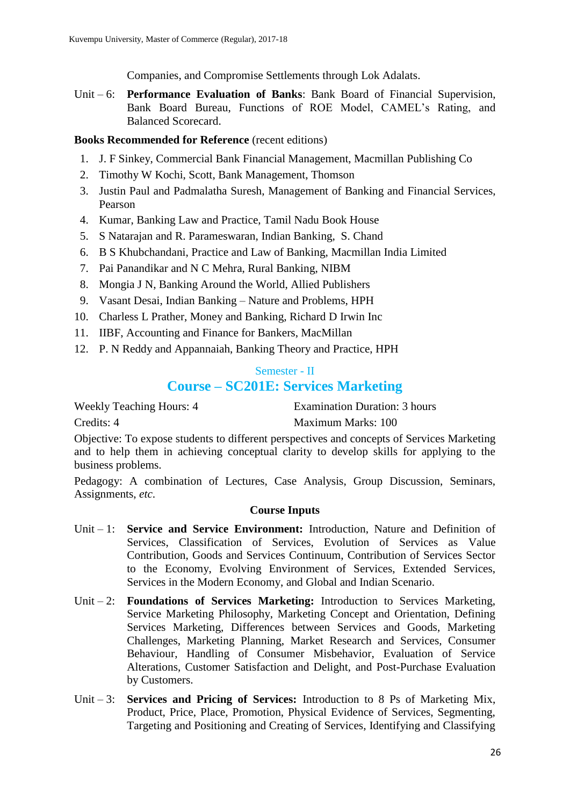Companies, and Compromise Settlements through Lok Adalats.

Unit – 6: **Performance Evaluation of Banks**: Bank Board of Financial Supervision, Bank Board Bureau, Functions of ROE Model, CAMEL's Rating, and Balanced Scorecard.

### **Books Recommended for Reference** (recent editions)

- 1. J. F Sinkey, Commercial Bank Financial Management, Macmillan Publishing Co
- 2. Timothy W Kochi, Scott, Bank Management, Thomson
- 3. Justin Paul and Padmalatha Suresh, Management of Banking and Financial Services, Pearson
- 4. Kumar, Banking Law and Practice, Tamil Nadu Book House
- 5. S Natarajan and R. Parameswaran, Indian Banking, S. Chand
- 6. B S Khubchandani, Practice and Law of Banking, Macmillan India Limited
- 7. Pai Panandikar and N C Mehra, Rural Banking, NIBM
- 8. Mongia J N, Banking Around the World, Allied Publishers
- 9. Vasant Desai, Indian Banking Nature and Problems, HPH
- 10. Charless L Prather, Money and Banking, Richard D Irwin Inc
- 11. IIBF, Accounting and Finance for Bankers, MacMillan
- 12. P. N Reddy and Appannaiah, Banking Theory and Practice, HPH

# Semester - II **Course – SC201E: Services Marketing**

Weekly Teaching Hours: 4 Examination Duration: 3 hours

Credits: 4 Maximum Marks: 100

Objective: To expose students to different perspectives and concepts of Services Marketing and to help them in achieving conceptual clarity to develop skills for applying to the business problems.

Pedagogy: A combination of Lectures, Case Analysis, Group Discussion, Seminars, Assignments, *etc*.

- Unit 1: **Service and Service Environment:** Introduction, Nature and Definition of Services, Classification of Services, Evolution of Services as Value Contribution, Goods and Services Continuum, Contribution of Services Sector to the Economy, Evolving Environment of Services, Extended Services, Services in the Modern Economy, and Global and Indian Scenario.
- Unit 2: **Foundations of Services Marketing:** Introduction to Services Marketing, Service Marketing Philosophy, Marketing Concept and Orientation, Defining Services Marketing, Differences between Services and Goods, Marketing Challenges, Marketing Planning, Market Research and Services, Consumer Behaviour, Handling of Consumer Misbehavior, Evaluation of Service Alterations, Customer Satisfaction and Delight, and Post-Purchase Evaluation by Customers.
- Unit 3: **Services and Pricing of Services:** Introduction to 8 Ps of Marketing Mix, Product, Price, Place, Promotion, Physical Evidence of Services, Segmenting, Targeting and Positioning and Creating of Services, Identifying and Classifying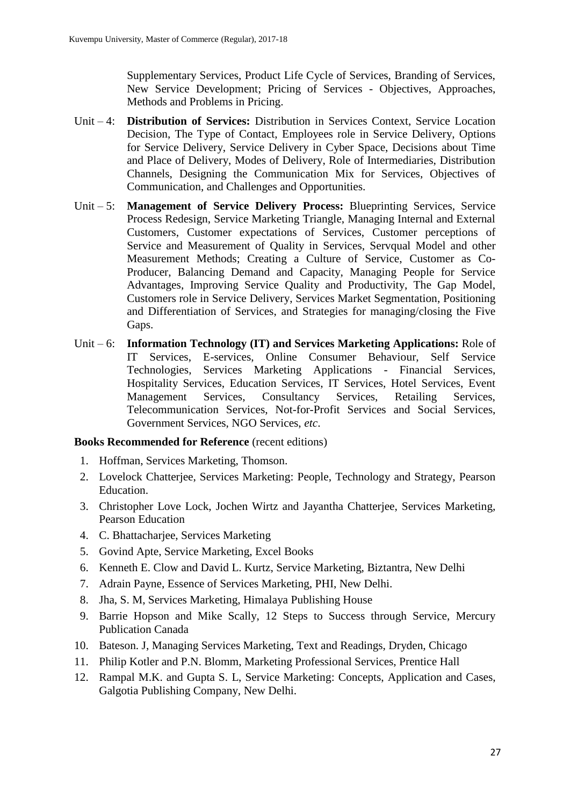Supplementary Services, Product Life Cycle of Services, Branding of Services, New Service Development; Pricing of Services - Objectives, Approaches, Methods and Problems in Pricing.

- Unit 4: **Distribution of Services:** Distribution in Services Context, Service Location Decision, The Type of Contact, Employees role in Service Delivery, Options for Service Delivery, Service Delivery in Cyber Space, Decisions about Time and Place of Delivery, Modes of Delivery, Role of Intermediaries, Distribution Channels, Designing the Communication Mix for Services, Objectives of Communication, and Challenges and Opportunities.
- Unit 5: **Management of Service Delivery Process:** Blueprinting Services, Service Process Redesign, Service Marketing Triangle, Managing Internal and External Customers, Customer expectations of Services, Customer perceptions of Service and Measurement of Quality in Services, Servqual Model and other Measurement Methods; Creating a Culture of Service, Customer as Co-Producer, Balancing Demand and Capacity, Managing People for Service Advantages, Improving Service Quality and Productivity, The Gap Model, Customers role in Service Delivery, Services Market Segmentation, Positioning and Differentiation of Services, and Strategies for managing/closing the Five Gaps.
- Unit 6: **Information Technology (IT) and Services Marketing Applications:** Role of IT Services, E-services, Online Consumer Behaviour, Self Service Technologies, Services Marketing Applications - Financial Services, Hospitality Services, Education Services, IT Services, Hotel Services, Event Management Services, Consultancy Services, Retailing Services, Telecommunication Services, Not-for-Profit Services and Social Services, Government Services, NGO Services, *etc*.

- 1. Hoffman, Services Marketing, Thomson.
- 2. Lovelock Chatterjee, Services Marketing: People, Technology and Strategy, Pearson Education.
- 3. Christopher Love Lock, Jochen Wirtz and Jayantha Chatterjee, Services Marketing, Pearson Education
- 4. C. Bhattacharjee, Services Marketing
- 5. Govind Apte, Service Marketing, Excel Books
- 6. Kenneth E. Clow and David L. Kurtz, Service Marketing, Biztantra, New Delhi
- 7. Adrain Payne, Essence of Services Marketing, PHI, New Delhi.
- 8. Jha, S. M, Services Marketing, Himalaya Publishing House
- 9. Barrie Hopson and Mike Scally, 12 Steps to Success through Service, Mercury Publication Canada
- 10. Bateson. J, Managing Services Marketing, Text and Readings, Dryden, Chicago
- 11. Philip Kotler and P.N. Blomm, Marketing Professional Services, Prentice Hall
- 12. Rampal M.K. and Gupta S. L, Service Marketing: Concepts, Application and Cases, Galgotia Publishing Company, New Delhi.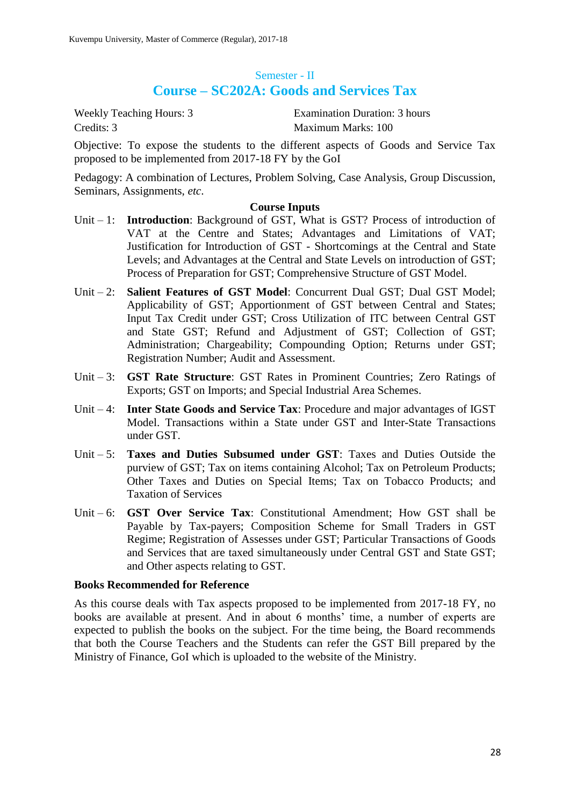# Semester - II **Course – SC202A: Goods and Services Tax**

Credits: 3 Maximum Marks: 100

Weekly Teaching Hours: 3 Examination Duration: 3 hours

Objective: To expose the students to the different aspects of Goods and Service Tax proposed to be implemented from 2017-18 FY by the GoI

Pedagogy: A combination of Lectures, Problem Solving, Case Analysis, Group Discussion, Seminars, Assignments, *etc*.

#### **Course Inputs**

- Unit 1: **Introduction**: Background of GST, What is GST? Process of introduction of VAT at the Centre and States; Advantages and Limitations of VAT; Justification for Introduction of GST - Shortcomings at the Central and State Levels; and Advantages at the Central and State Levels on introduction of GST; Process of Preparation for GST; Comprehensive Structure of GST Model.
- Unit 2: **Salient Features of GST Model**: Concurrent Dual GST; Dual GST Model; Applicability of GST; Apportionment of GST between Central and States; Input Tax Credit under GST; Cross Utilization of ITC between Central GST and State GST; Refund and Adjustment of GST; Collection of GST; Administration; Chargeability; Compounding Option; Returns under GST; Registration Number; Audit and Assessment.
- Unit 3: **GST Rate Structure**: GST Rates in Prominent Countries; Zero Ratings of Exports; GST on Imports; and Special Industrial Area Schemes.
- Unit 4: **Inter State Goods and Service Tax**: Procedure and major advantages of IGST Model. Transactions within a State under GST and Inter-State Transactions under GST.
- Unit 5: **Taxes and Duties Subsumed under GST**: Taxes and Duties Outside the purview of GST; Tax on items containing Alcohol; Tax on Petroleum Products; Other Taxes and Duties on Special Items; Tax on Tobacco Products; and Taxation of Services
- Unit 6: **GST Over Service Tax**: Constitutional Amendment; How GST shall be Payable by Tax-payers; Composition Scheme for Small Traders in GST Regime; Registration of Assesses under GST; Particular Transactions of Goods and Services that are taxed simultaneously under Central GST and State GST; and Other aspects relating to GST.

#### **Books Recommended for Reference**

As this course deals with Tax aspects proposed to be implemented from 2017-18 FY, no books are available at present. And in about 6 months' time, a number of experts are expected to publish the books on the subject. For the time being, the Board recommends that both the Course Teachers and the Students can refer the GST Bill prepared by the Ministry of Finance, GoI which is uploaded to the website of the Ministry.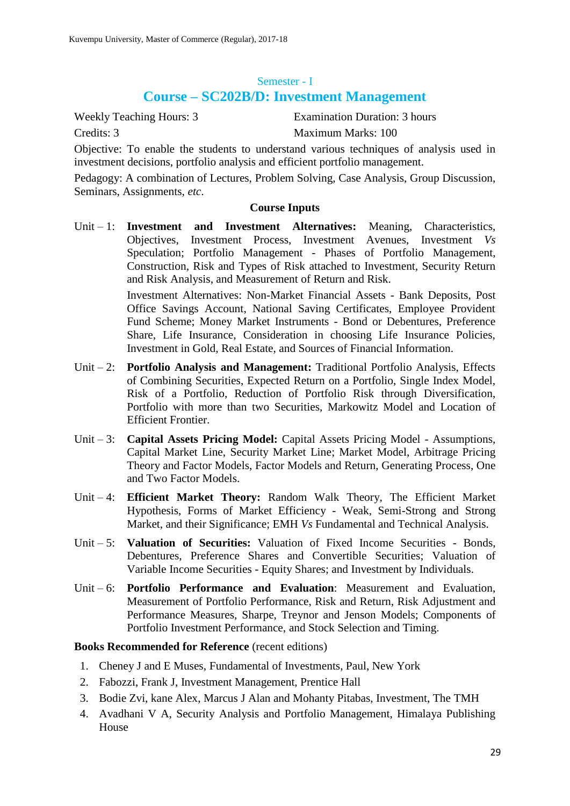### Semester - I

# **Course – SC202B/D: Investment Management**

Weekly Teaching Hours: 3 Examination Duration: 3 hours Credits: 3 Maximum Marks: 100

Objective: To enable the students to understand various techniques of analysis used in investment decisions, portfolio analysis and efficient portfolio management.

Pedagogy: A combination of Lectures, Problem Solving, Case Analysis, Group Discussion, Seminars, Assignments, *etc*.

#### **Course Inputs**

Unit – 1: **Investment and Investment Alternatives:** Meaning, Characteristics, Objectives, Investment Process, Investment Avenues, Investment *Vs* Speculation; Portfolio Management - Phases of Portfolio Management, Construction, Risk and Types of Risk attached to Investment, Security Return and Risk Analysis, and Measurement of Return and Risk.

> Investment Alternatives: Non-Market Financial Assets - Bank Deposits, Post Office Savings Account, National Saving Certificates, Employee Provident Fund Scheme; Money Market Instruments - Bond or Debentures, Preference Share, Life Insurance, Consideration in choosing Life Insurance Policies, Investment in Gold, Real Estate, and Sources of Financial Information.

- Unit 2: **Portfolio Analysis and Management:** Traditional Portfolio Analysis, Effects of Combining Securities, Expected Return on a Portfolio, Single Index Model, Risk of a Portfolio, Reduction of Portfolio Risk through Diversification, Portfolio with more than two Securities, Markowitz Model and Location of Efficient Frontier.
- Unit 3: **Capital Assets Pricing Model:** Capital Assets Pricing Model Assumptions, Capital Market Line, Security Market Line; Market Model, Arbitrage Pricing Theory and Factor Models, Factor Models and Return, Generating Process, One and Two Factor Models.
- Unit 4: **Efficient Market Theory:** Random Walk Theory, The Efficient Market Hypothesis, Forms of Market Efficiency - Weak, Semi-Strong and Strong Market, and their Significance; EMH *Vs* Fundamental and Technical Analysis.
- Unit 5: **Valuation of Securities:** Valuation of Fixed Income Securities Bonds, Debentures, Preference Shares and Convertible Securities; Valuation of Variable Income Securities - Equity Shares; and Investment by Individuals.
- Unit 6: **Portfolio Performance and Evaluation**: Measurement and Evaluation, Measurement of Portfolio Performance, Risk and Return, Risk Adjustment and Performance Measures, Sharpe, Treynor and Jenson Models; Components of Portfolio Investment Performance, and Stock Selection and Timing.

- 1. Cheney J and E Muses, Fundamental of Investments, Paul, New York
- 2. Fabozzi, Frank J, Investment Management, Prentice Hall
- 3. Bodie Zvi, kane Alex, Marcus J Alan and Mohanty Pitabas, Investment, The TMH
- 4. Avadhani V A, Security Analysis and Portfolio Management, Himalaya Publishing House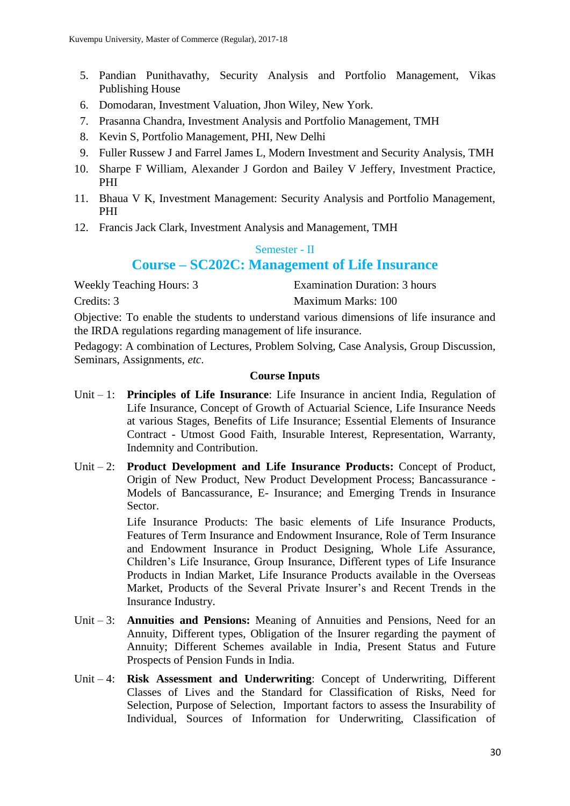- 5. Pandian Punithavathy, Security Analysis and Portfolio Management, Vikas Publishing House
- 6. Domodaran, Investment Valuation, Jhon Wiley, New York.
- 7. Prasanna Chandra, Investment Analysis and Portfolio Management, TMH
- 8. Kevin S, Portfolio Management, PHI, New Delhi
- 9. Fuller Russew J and Farrel James L, Modern Investment and Security Analysis, TMH
- 10. Sharpe F William, Alexander J Gordon and Bailey V Jeffery, Investment Practice, PHI
- 11. Bhaua V K, Investment Management: Security Analysis and Portfolio Management, PHI
- 12. Francis Jack Clark, Investment Analysis and Management, TMH

### Semester - II

# **Course – SC202C: Management of Life Insurance**

Weekly Teaching Hours: 3 Examination Duration: 3 hours

Credits: 3 Maximum Marks: 100

Objective: To enable the students to understand various dimensions of life insurance and the IRDA regulations regarding management of life insurance.

Pedagogy: A combination of Lectures, Problem Solving, Case Analysis, Group Discussion, Seminars, Assignments, *etc*.

### **Course Inputs**

- Unit 1: **Principles of Life Insurance**: Life Insurance in ancient India, Regulation of Life Insurance, Concept of Growth of Actuarial Science, Life Insurance Needs at various Stages, Benefits of Life Insurance; Essential Elements of Insurance Contract - Utmost Good Faith, Insurable Interest, Representation, Warranty, Indemnity and Contribution.
- Unit 2: **Product Development and Life Insurance Products:** Concept of Product, Origin of New Product, New Product Development Process; Bancassurance - Models of Bancassurance, E- Insurance; and Emerging Trends in Insurance Sector.

Life Insurance Products: The basic elements of Life Insurance Products, Features of Term Insurance and Endowment Insurance, Role of Term Insurance and Endowment Insurance in Product Designing, Whole Life Assurance, Children's Life Insurance, Group Insurance, Different types of Life Insurance Products in Indian Market, Life Insurance Products available in the Overseas Market, Products of the Several Private Insurer's and Recent Trends in the Insurance Industry.

- Unit 3: **Annuities and Pensions:** Meaning of Annuities and Pensions, Need for an Annuity, Different types, Obligation of the Insurer regarding the payment of Annuity; Different Schemes available in India, Present Status and Future Prospects of Pension Funds in India.
- Unit 4: **Risk Assessment and Underwriting**: Concept of Underwriting, Different Classes of Lives and the Standard for Classification of Risks, Need for Selection, Purpose of Selection, Important factors to assess the Insurability of Individual, Sources of Information for Underwriting, Classification of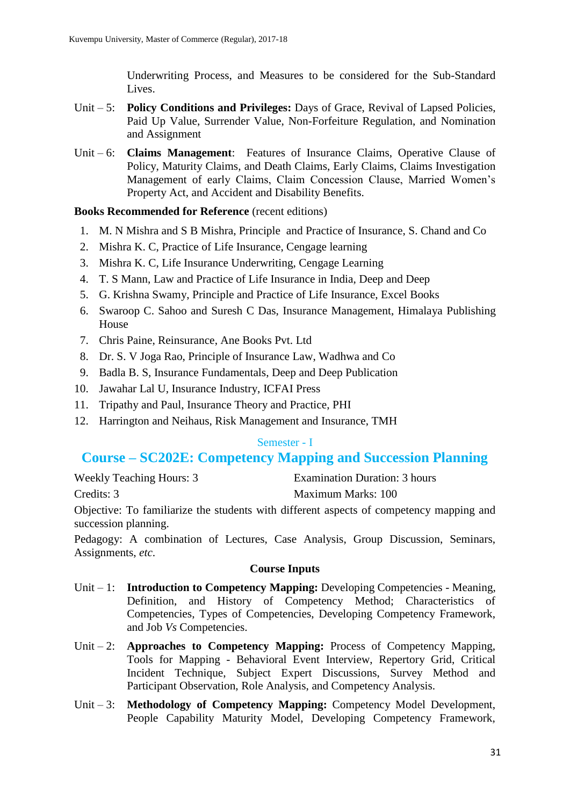Underwriting Process, and Measures to be considered for the Sub-Standard Lives.

- Unit 5: **Policy Conditions and Privileges:** Days of Grace, Revival of Lapsed Policies, Paid Up Value, Surrender Value, Non-Forfeiture Regulation, and Nomination and Assignment
- Unit 6: **Claims Management**: Features of Insurance Claims, Operative Clause of Policy, Maturity Claims, and Death Claims, Early Claims, Claims Investigation Management of early Claims, Claim Concession Clause, Married Women's Property Act, and Accident and Disability Benefits.

### **Books Recommended for Reference** (recent editions)

- 1. M. N Mishra and S B Mishra, Principle and Practice of Insurance, S. Chand and Co
- 2. Mishra K. C, Practice of Life Insurance, Cengage learning
- 3. Mishra K. C, Life Insurance Underwriting, Cengage Learning
- 4. T. S Mann, Law and Practice of Life Insurance in India, Deep and Deep
- 5. G. Krishna Swamy, Principle and Practice of Life Insurance, Excel Books
- 6. Swaroop C. Sahoo and Suresh C Das, Insurance Management, Himalaya Publishing House
- 7. Chris Paine, Reinsurance, Ane Books Pvt. Ltd
- 8. Dr. S. V Joga Rao, Principle of Insurance Law, Wadhwa and Co
- 9. Badla B. S, Insurance Fundamentals, Deep and Deep Publication
- 10. Jawahar Lal U, Insurance Industry, ICFAI Press
- 11. Tripathy and Paul, Insurance Theory and Practice, PHI
- 12. Harrington and Neihaus, Risk Management and Insurance, TMH

### Semester - I

# **Course – SC202E: Competency Mapping and Succession Planning**

| <b>Weekly Teaching Hours: 3</b> | Examination Duration: 3 hours |
|---------------------------------|-------------------------------|
|                                 |                               |

Credits: 3 Maximum Marks: 100

Objective: To familiarize the students with different aspects of competency mapping and succession planning.

Pedagogy: A combination of Lectures, Case Analysis, Group Discussion, Seminars, Assignments, *etc*.

- Unit 1: **Introduction to Competency Mapping:** Developing Competencies Meaning, Definition, and History of Competency Method; Characteristics of Competencies, Types of Competencies, Developing Competency Framework, and Job *Vs* Competencies.
- Unit 2: **Approaches to Competency Mapping:** Process of Competency Mapping, Tools for Mapping - Behavioral Event Interview, Repertory Grid, Critical Incident Technique, Subject Expert Discussions, Survey Method and Participant Observation, Role Analysis, and Competency Analysis.
- Unit 3: **Methodology of Competency Mapping:** Competency Model Development, People Capability Maturity Model, Developing Competency Framework,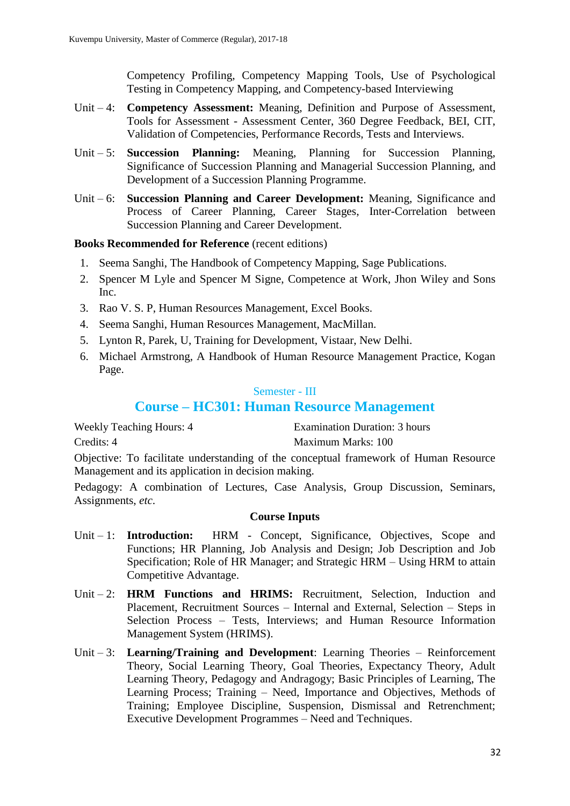Competency Profiling, Competency Mapping Tools, Use of Psychological Testing in Competency Mapping, and Competency-based Interviewing

- Unit 4: **Competency Assessment:** Meaning, Definition and Purpose of Assessment, Tools for Assessment - Assessment Center, 360 Degree Feedback, BEI, CIT, Validation of Competencies, Performance Records, Tests and Interviews.
- Unit 5: **Succession Planning:** Meaning, Planning for Succession Planning, Significance of Succession Planning and Managerial Succession Planning, and Development of a Succession Planning Programme.
- Unit 6: **Succession Planning and Career Development:** Meaning, Significance and Process of Career Planning, Career Stages, Inter-Correlation between Succession Planning and Career Development.

### **Books Recommended for Reference** (recent editions)

- 1. Seema Sanghi, The Handbook of Competency Mapping, Sage Publications.
- 2. Spencer M Lyle and Spencer M Signe, Competence at Work, Jhon Wiley and Sons Inc.
- 3. Rao V. S. P, Human Resources Management, Excel Books.
- 4. Seema Sanghi, Human Resources Management, MacMillan.
- 5. Lynton R, Parek, U, Training for Development, Vistaar, New Delhi.
- 6. Michael Armstrong, A Handbook of Human Resource Management Practice, Kogan Page.

### Semester - III

# **Course – HC301: Human Resource Management**

| <b>Weekly Teaching Hours: 4</b> | <b>Examination Duration: 3 hours</b> |
|---------------------------------|--------------------------------------|
| Credits: 4                      | Maximum Marks: 100                   |

Objective: To facilitate understanding of the conceptual framework of Human Resource Management and its application in decision making.

Pedagogy: A combination of Lectures, Case Analysis, Group Discussion, Seminars, Assignments, *etc*.

- Unit 1: **Introduction:** HRM Concept, Significance, Objectives, Scope and Functions; HR Planning, Job Analysis and Design; Job Description and Job Specification; Role of HR Manager; and Strategic HRM – Using HRM to attain Competitive Advantage.
- Unit 2: **HRM Functions and HRIMS:** Recruitment, Selection, Induction and Placement, Recruitment Sources – Internal and External, Selection – Steps in Selection Process – Tests, Interviews; and Human Resource Information Management System (HRIMS).
- Unit 3: **Learning/Training and Development**: Learning Theories Reinforcement Theory, Social Learning Theory, Goal Theories, Expectancy Theory, Adult Learning Theory, Pedagogy and Andragogy; Basic Principles of Learning, The Learning Process; Training – Need, Importance and Objectives, Methods of Training; Employee Discipline, Suspension, Dismissal and Retrenchment; Executive Development Programmes – Need and Techniques.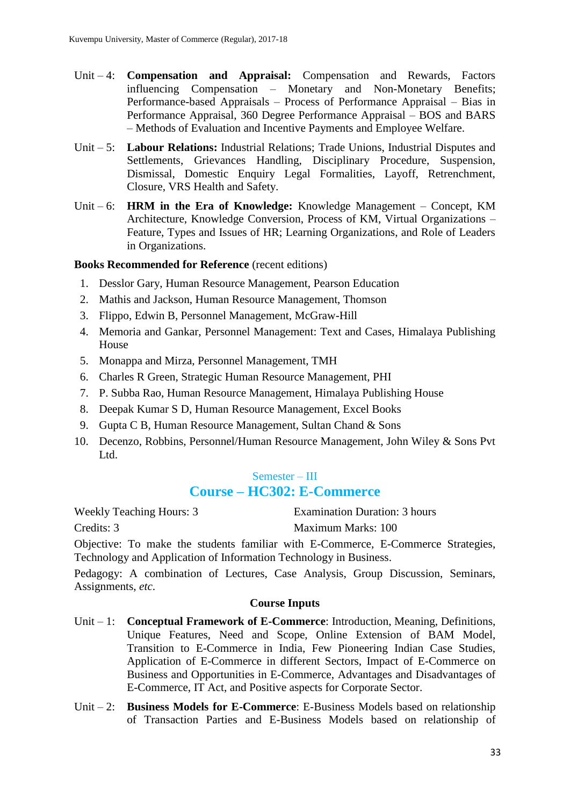- Unit 4: **Compensation and Appraisal:** Compensation and Rewards, Factors influencing Compensation – Monetary and Non-Monetary Benefits; Performance-based Appraisals – Process of Performance Appraisal – Bias in Performance Appraisal, 360 Degree Performance Appraisal – BOS and BARS – Methods of Evaluation and Incentive Payments and Employee Welfare.
- Unit 5: **Labour Relations:** Industrial Relations; Trade Unions, Industrial Disputes and Settlements, Grievances Handling, Disciplinary Procedure, Suspension, Dismissal, Domestic Enquiry Legal Formalities, Layoff, Retrenchment, Closure, VRS Health and Safety.
- Unit 6: **HRM in the Era of Knowledge:** Knowledge Management Concept, KM Architecture, Knowledge Conversion, Process of KM, Virtual Organizations – Feature, Types and Issues of HR; Learning Organizations, and Role of Leaders in Organizations.

### **Books Recommended for Reference** (recent editions)

- 1. Desslor Gary, Human Resource Management, Pearson Education
- 2. Mathis and Jackson, Human Resource Management, Thomson
- 3. Flippo, Edwin B, Personnel Management, McGraw-Hill
- 4. Memoria and Gankar, Personnel Management: Text and Cases, Himalaya Publishing House
- 5. Monappa and Mirza, Personnel Management, TMH
- 6. Charles R Green, Strategic Human Resource Management, PHI
- 7. P. Subba Rao, Human Resource Management, Himalaya Publishing House
- 8. Deepak Kumar S D, Human Resource Management, Excel Books
- 9. Gupta C B, Human Resource Management, Sultan Chand & Sons
- 10. Decenzo, Robbins, Personnel/Human Resource Management, John Wiley & Sons Pvt Ltd.

### Semester – III

# **Course – HC302: E-Commerce**

Weekly Teaching Hours: 3 Examination Duration: 3 hours Credits: 3 Maximum Marks: 100

Objective: To make the students familiar with E-Commerce, E-Commerce Strategies, Technology and Application of Information Technology in Business.

Pedagogy: A combination of Lectures, Case Analysis, Group Discussion, Seminars, Assignments, *etc*.

- Unit 1: **Conceptual Framework of E-Commerce**: Introduction, Meaning, Definitions, Unique Features, Need and Scope, Online Extension of BAM Model, Transition to E-Commerce in India, Few Pioneering Indian Case Studies, Application of E-Commerce in different Sectors, Impact of E-Commerce on Business and Opportunities in E-Commerce, Advantages and Disadvantages of E-Commerce, IT Act, and Positive aspects for Corporate Sector.
- Unit 2: **Business Models for E-Commerce**: E-Business Models based on relationship of Transaction Parties and E-Business Models based on relationship of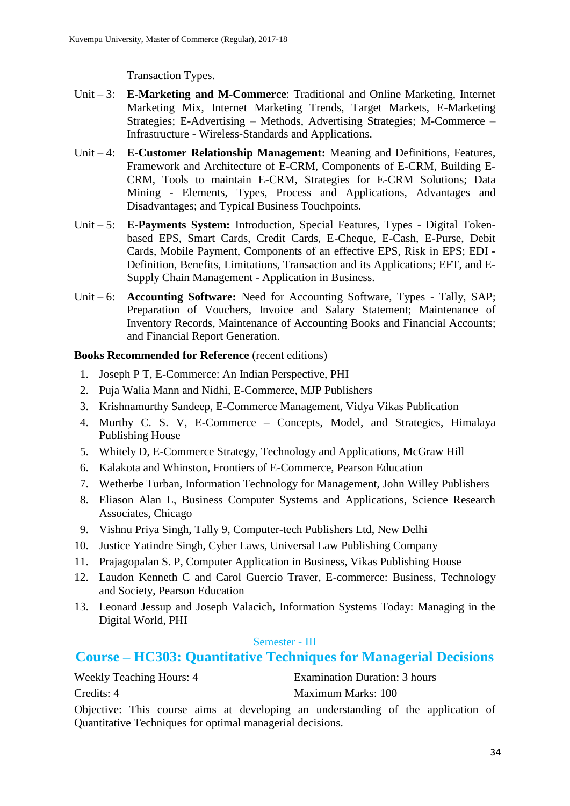Transaction Types.

- Unit 3: **E-Marketing and M-Commerce**: Traditional and Online Marketing, Internet Marketing Mix, Internet Marketing Trends, Target Markets, E-Marketing Strategies; E-Advertising – Methods, Advertising Strategies; M-Commerce – Infrastructure - Wireless-Standards and Applications.
- Unit 4: **E-Customer Relationship Management:** Meaning and Definitions, Features, Framework and Architecture of E-CRM, Components of E-CRM, Building E-CRM, Tools to maintain E-CRM, Strategies for E-CRM Solutions; Data Mining - Elements, Types, Process and Applications, Advantages and Disadvantages; and Typical Business Touchpoints.
- Unit 5: **E-Payments System:** Introduction, Special Features, Types Digital Tokenbased EPS, Smart Cards, Credit Cards, E-Cheque, E-Cash, E-Purse, Debit Cards, Mobile Payment, Components of an effective EPS, Risk in EPS; EDI - Definition, Benefits, Limitations, Transaction and its Applications; EFT, and E-Supply Chain Management - Application in Business.
- Unit 6: **Accounting Software:** Need for Accounting Software, Types Tally, SAP; Preparation of Vouchers, Invoice and Salary Statement; Maintenance of Inventory Records, Maintenance of Accounting Books and Financial Accounts; and Financial Report Generation.

### **Books Recommended for Reference** (recent editions)

- 1. Joseph P T, E-Commerce: An Indian Perspective, PHI
- 2. Puja Walia Mann and Nidhi, E-Commerce, MJP Publishers
- 3. Krishnamurthy Sandeep, E-Commerce Management, Vidya Vikas Publication
- 4. Murthy C. S. V, E-Commerce Concepts, Model, and Strategies, Himalaya Publishing House
- 5. Whitely D, E-Commerce Strategy, Technology and Applications, McGraw Hill
- 6. Kalakota and Whinston, Frontiers of E-Commerce, Pearson Education
- 7. Wetherbe Turban, Information Technology for Management, John Willey Publishers
- 8. Eliason Alan L, Business Computer Systems and Applications, Science Research Associates, Chicago
- 9. Vishnu Priya Singh, Tally 9, Computer-tech Publishers Ltd, New Delhi
- 10. Justice Yatindre Singh, Cyber Laws, Universal Law Publishing Company
- 11. Prajagopalan S. P, Computer Application in Business, Vikas Publishing House
- 12. Laudon Kenneth C and Carol Guercio Traver, E-commerce: Business, Technology and Society, Pearson Education
- 13. Leonard Jessup and Joseph Valacich, Information Systems Today: Managing in the Digital World, PHI

### Semester - III

# **Course – HC303: Quantitative Techniques for Managerial Decisions**

| <b>Weekly Teaching Hours: 4</b> | Examination Duration: 3 hours |
|---------------------------------|-------------------------------|
| Credits: 4                      | Maximum Marks: 100            |

Objective: This course aims at developing an understanding of the application of Quantitative Techniques for optimal managerial decisions.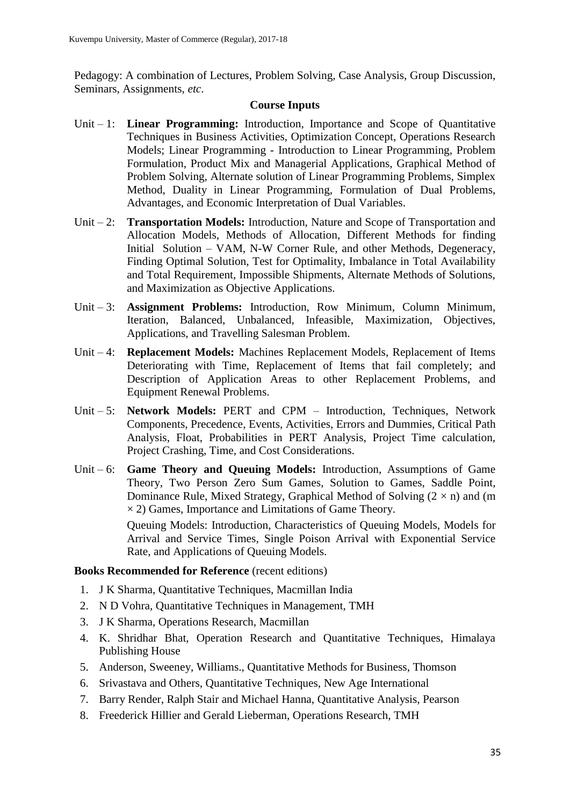Pedagogy: A combination of Lectures, Problem Solving, Case Analysis, Group Discussion, Seminars, Assignments, *etc*.

#### **Course Inputs**

- Unit 1: **Linear Programming:** Introduction, Importance and Scope of Quantitative Techniques in Business Activities, Optimization Concept, Operations Research Models; Linear Programming - Introduction to Linear Programming, Problem Formulation, Product Mix and Managerial Applications, Graphical Method of Problem Solving, Alternate solution of Linear Programming Problems, Simplex Method, Duality in Linear Programming, Formulation of Dual Problems, Advantages, and Economic Interpretation of Dual Variables.
- Unit 2: **Transportation Models:** Introduction, Nature and Scope of Transportation and Allocation Models, Methods of Allocation, Different Methods for finding Initial Solution – VAM, N-W Corner Rule, and other Methods, Degeneracy, Finding Optimal Solution, Test for Optimality, Imbalance in Total Availability and Total Requirement, Impossible Shipments, Alternate Methods of Solutions, and Maximization as Objective Applications.
- Unit 3: **Assignment Problems:** Introduction, Row Minimum, Column Minimum, Iteration, Balanced, Unbalanced, Infeasible, Maximization, Objectives, Applications, and Travelling Salesman Problem.
- Unit 4: **Replacement Models:** Machines Replacement Models, Replacement of Items Deteriorating with Time, Replacement of Items that fail completely; and Description of Application Areas to other Replacement Problems, and Equipment Renewal Problems.
- Unit 5: **Network Models:** PERT and CPM Introduction, Techniques, Network Components, Precedence, Events, Activities, Errors and Dummies, Critical Path Analysis, Float, Probabilities in PERT Analysis, Project Time calculation, Project Crashing, Time, and Cost Considerations.
- Unit 6: **Game Theory and Queuing Models:** Introduction, Assumptions of Game Theory, Two Person Zero Sum Games, Solution to Games, Saddle Point, Dominance Rule, Mixed Strategy, Graphical Method of Solving  $(2 \times n)$  and (m  $\times$  2) Games, Importance and Limitations of Game Theory. Queuing Models: Introduction, Characteristics of Queuing Models, Models for

Arrival and Service Times, Single Poison Arrival with Exponential Service Rate, and Applications of Queuing Models.

- 1. J K Sharma, Quantitative Techniques, Macmillan India
- 2. N D Vohra, Quantitative Techniques in Management, TMH
- 3. J K Sharma, Operations Research, Macmillan
- 4. K. Shridhar Bhat, Operation Research and Quantitative Techniques, Himalaya Publishing House
- 5. Anderson, Sweeney, Williams., Quantitative Methods for Business, Thomson
- 6. Srivastava and Others, Quantitative Techniques, New Age International
- 7. Barry Render, Ralph Stair and Michael Hanna, Quantitative Analysis, Pearson
- 8. Freederick Hillier and Gerald Lieberman, Operations Research, TMH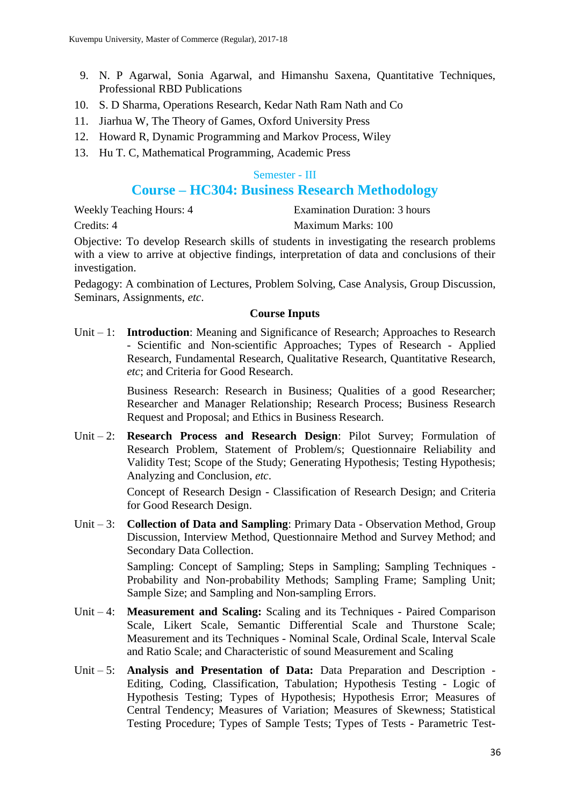- 9. N. P Agarwal, Sonia Agarwal, and Himanshu Saxena, Quantitative Techniques, Professional RBD Publications
- 10. S. D Sharma, Operations Research, Kedar Nath Ram Nath and Co
- 11. Jiarhua W, The Theory of Games, Oxford University Press
- 12. Howard R, Dynamic Programming and Markov Process, Wiley
- 13. Hu T. C, Mathematical Programming, Academic Press

#### Semester - III

# **Course – HC304: Business Research Methodology**

Weekly Teaching Hours: 4 Examination Duration: 3 hours Credits: 4 Maximum Marks: 100

Objective: To develop Research skills of students in investigating the research problems with a view to arrive at objective findings, interpretation of data and conclusions of their investigation.

Pedagogy: A combination of Lectures, Problem Solving, Case Analysis, Group Discussion, Seminars, Assignments, *etc*.

### **Course Inputs**

Unit – 1: **Introduction**: Meaning and Significance of Research; Approaches to Research - Scientific and Non-scientific Approaches; Types of Research - Applied Research, Fundamental Research, Qualitative Research, Quantitative Research, *etc*; and Criteria for Good Research.

> Business Research: Research in Business; Qualities of a good Researcher; Researcher and Manager Relationship; Research Process; Business Research Request and Proposal; and Ethics in Business Research.

Unit – 2: **Research Process and Research Design**: Pilot Survey; Formulation of Research Problem, Statement of Problem/s; Questionnaire Reliability and Validity Test; Scope of the Study; Generating Hypothesis; Testing Hypothesis; Analyzing and Conclusion, *etc*.

> Concept of Research Design - Classification of Research Design; and Criteria for Good Research Design.

Unit – 3: **Collection of Data and Sampling**: Primary Data - Observation Method, Group Discussion, Interview Method, Questionnaire Method and Survey Method; and Secondary Data Collection.

> Sampling: Concept of Sampling; Steps in Sampling; Sampling Techniques - Probability and Non-probability Methods; Sampling Frame; Sampling Unit; Sample Size; and Sampling and Non-sampling Errors.

- Unit 4: **Measurement and Scaling:** Scaling and its Techniques Paired Comparison Scale, Likert Scale, Semantic Differential Scale and Thurstone Scale; Measurement and its Techniques - Nominal Scale, Ordinal Scale, Interval Scale and Ratio Scale; and Characteristic of sound Measurement and Scaling
- Unit 5: **Analysis and Presentation of Data:** Data Preparation and Description Editing, Coding, Classification, Tabulation; Hypothesis Testing - Logic of Hypothesis Testing; Types of Hypothesis; Hypothesis Error; Measures of Central Tendency; Measures of Variation; Measures of Skewness; Statistical Testing Procedure; Types of Sample Tests; Types of Tests - Parametric Test-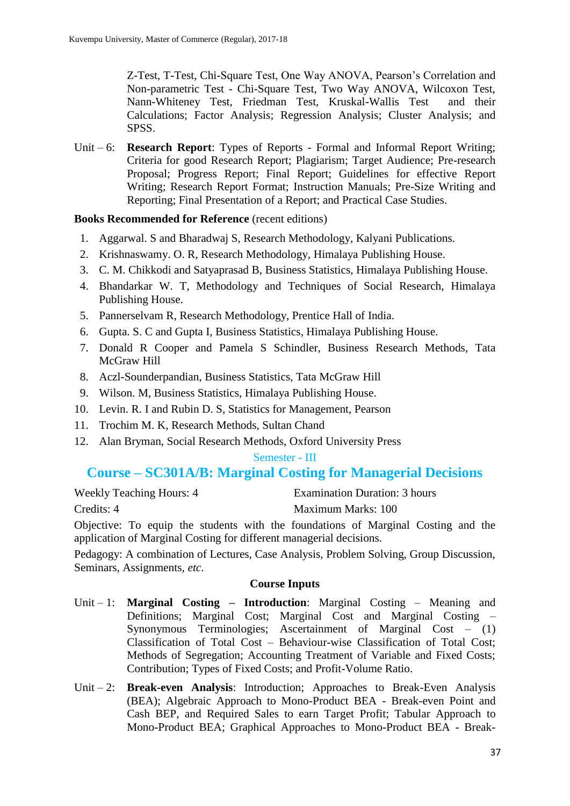Z-Test, T-Test, Chi-Square Test, One Way ANOVA, Pearson's Correlation and Non-parametric Test - Chi-Square Test, Two Way ANOVA, Wilcoxon Test, Nann-Whiteney Test, Friedman Test, Kruskal-Wallis Test and their Calculations; Factor Analysis; Regression Analysis; Cluster Analysis; and SPSS.

Unit – 6: **Research Report**: Types of Reports - Formal and Informal Report Writing; Criteria for good Research Report; Plagiarism; Target Audience; Pre-research Proposal; Progress Report; Final Report; Guidelines for effective Report Writing; Research Report Format; Instruction Manuals; Pre-Size Writing and Reporting; Final Presentation of a Report; and Practical Case Studies.

### **Books Recommended for Reference** (recent editions)

- 1. Aggarwal. S and Bharadwaj S, Research Methodology, Kalyani Publications.
- 2. Krishnaswamy. O. R, Research Methodology, Himalaya Publishing House.
- 3. C. M. Chikkodi and Satyaprasad B, Business Statistics, Himalaya Publishing House.
- 4. Bhandarkar W. T, Methodology and Techniques of Social Research, Himalaya Publishing House.
- 5. Pannerselvam R, Research Methodology, Prentice Hall of India.
- 6. Gupta. S. C and Gupta I, Business Statistics, Himalaya Publishing House.
- 7. Donald R Cooper and Pamela S Schindler, Business Research Methods, Tata McGraw Hill
- 8. Aczl-Sounderpandian, Business Statistics, Tata McGraw Hill
- 9. Wilson. M, Business Statistics, Himalaya Publishing House.
- 10. Levin. R. I and Rubin D. S, Statistics for Management, Pearson
- 11. Trochim M. K, Research Methods, Sultan Chand
- 12. Alan Bryman, Social Research Methods, Oxford University Press

### Semester - III

# **Course – SC301A/B: Marginal Costing for Managerial Decisions**

Weekly Teaching Hours: 4 Examination Duration: 3 hours Credits: 4 Maximum Marks: 100

Objective: To equip the students with the foundations of Marginal Costing and the application of Marginal Costing for different managerial decisions.

Pedagogy: A combination of Lectures, Case Analysis, Problem Solving, Group Discussion, Seminars, Assignments, *etc*.

- Unit 1: **Marginal Costing – Introduction**: Marginal Costing Meaning and Definitions; Marginal Cost; Marginal Cost and Marginal Costing – Synonymous Terminologies; Ascertainment of Marginal Cost – (1) Classification of Total Cost – Behaviour-wise Classification of Total Cost; Methods of Segregation; Accounting Treatment of Variable and Fixed Costs; Contribution; Types of Fixed Costs; and Profit-Volume Ratio.
- Unit 2: **Break-even Analysis**: Introduction; Approaches to Break-Even Analysis (BEA); Algebraic Approach to Mono-Product BEA - Break-even Point and Cash BEP, and Required Sales to earn Target Profit; Tabular Approach to Mono-Product BEA; Graphical Approaches to Mono-Product BEA - Break-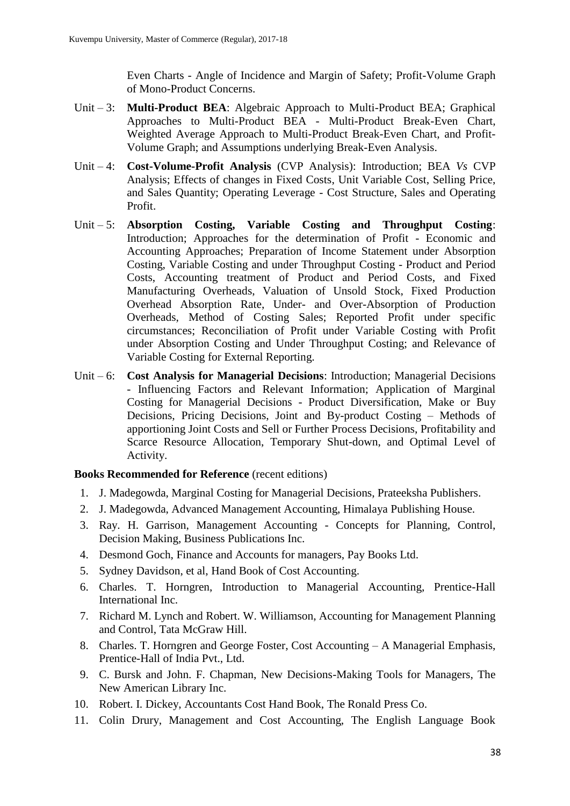Even Charts - Angle of Incidence and Margin of Safety; Profit-Volume Graph of Mono-Product Concerns.

- Unit 3: **Multi-Product BEA**: Algebraic Approach to Multi-Product BEA; Graphical Approaches to Multi-Product BEA - Multi-Product Break-Even Chart, Weighted Average Approach to Multi-Product Break-Even Chart, and Profit-Volume Graph; and Assumptions underlying Break-Even Analysis.
- Unit 4: **Cost-Volume-Profit Analysis** (CVP Analysis): Introduction; BEA *Vs* CVP Analysis; Effects of changes in Fixed Costs, Unit Variable Cost, Selling Price, and Sales Quantity; Operating Leverage - Cost Structure, Sales and Operating Profit.
- Unit 5: **Absorption Costing, Variable Costing and Throughput Costing**: Introduction; Approaches for the determination of Profit - Economic and Accounting Approaches; Preparation of Income Statement under Absorption Costing, Variable Costing and under Throughput Costing - Product and Period Costs, Accounting treatment of Product and Period Costs, and Fixed Manufacturing Overheads, Valuation of Unsold Stock, Fixed Production Overhead Absorption Rate, Under- and Over-Absorption of Production Overheads, Method of Costing Sales; Reported Profit under specific circumstances; Reconciliation of Profit under Variable Costing with Profit under Absorption Costing and Under Throughput Costing; and Relevance of Variable Costing for External Reporting.
- Unit 6: **Cost Analysis for Managerial Decisions**: Introduction; Managerial Decisions - Influencing Factors and Relevant Information; Application of Marginal Costing for Managerial Decisions - Product Diversification, Make or Buy Decisions, Pricing Decisions, Joint and By-product Costing – Methods of apportioning Joint Costs and Sell or Further Process Decisions, Profitability and Scarce Resource Allocation, Temporary Shut-down, and Optimal Level of Activity.

- 1. J. Madegowda, Marginal Costing for Managerial Decisions, Prateeksha Publishers.
- 2. J. Madegowda, Advanced Management Accounting, Himalaya Publishing House.
- 3. Ray. H. Garrison, Management Accounting Concepts for Planning, Control, Decision Making, Business Publications Inc.
- 4. Desmond Goch, Finance and Accounts for managers, Pay Books Ltd.
- 5. Sydney Davidson, et al, Hand Book of Cost Accounting.
- 6. Charles. T. Horngren, Introduction to Managerial Accounting, Prentice-Hall International Inc.
- 7. Richard M. Lynch and Robert. W. Williamson, Accounting for Management Planning and Control, Tata McGraw Hill.
- 8. Charles. T. Horngren and George Foster, Cost Accounting A Managerial Emphasis, Prentice-Hall of India Pvt., Ltd.
- 9. C. Bursk and John. F. Chapman, New Decisions-Making Tools for Managers, The New American Library Inc.
- 10. Robert. I. Dickey, Accountants Cost Hand Book, The Ronald Press Co.
- 11. Colin Drury, Management and Cost Accounting, The English Language Book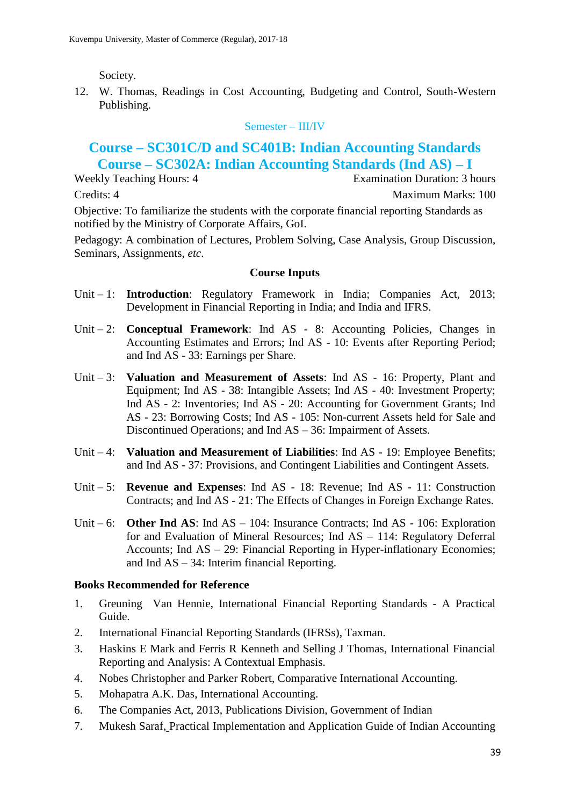Society.

12. W. Thomas, Readings in Cost Accounting, Budgeting and Control, South-Western Publishing.

### Semester – III/IV

# **Course – SC301C/D and SC401B: Indian Accounting Standards Course – SC302A: Indian Accounting Standards (Ind AS) – I**

Weekly Teaching Hours: 4 Examination Duration: 3 hours Credits: 4 Maximum Marks: 100 Objective: To familiarize the students with the corporate financial reporting Standards as notified by the Ministry of Corporate Affairs, GoI.

Pedagogy: A combination of Lectures, Problem Solving, Case Analysis, Group Discussion, Seminars, Assignments, *etc*.

### **Course Inputs**

- Unit 1: **Introduction**: Regulatory Framework in India; Companies Act, 2013; Development in Financial Reporting in India; and India and IFRS.
- Unit 2: **Conceptual Framework**: Ind AS 8: Accounting Policies, Changes in Accounting Estimates and Errors; Ind AS - 10: Events after Reporting Period; and Ind AS - 33: Earnings per Share.
- Unit 3: **Valuation and Measurement of Assets**: Ind AS 16: Property, Plant and Equipment; Ind AS - 38: Intangible Assets; Ind AS - 40: Investment Property; Ind AS - 2: Inventories; Ind AS - 20: Accounting for Government Grants; Ind AS - 23: Borrowing Costs; Ind AS - 105: Non-current Assets held for Sale and Discontinued Operations; and Ind AS – 36: Impairment of Assets.
- Unit 4: **Valuation and Measurement of Liabilities**: Ind AS 19: Employee Benefits; and Ind AS - 37: Provisions, and Contingent Liabilities and Contingent Assets.
- Unit 5: **Revenue and Expenses**: Ind AS 18: Revenue; Ind AS 11: Construction Contracts; and Ind AS - 21: The Effects of Changes in Foreign Exchange Rates.
- Unit 6: **Other Ind AS**: Ind AS 104: Insurance Contracts; Ind AS 106: Exploration for and Evaluation of Mineral Resources; Ind AS – 114: Regulatory Deferral Accounts; Ind AS – 29: Financial Reporting in Hyper-inflationary Economies; and Ind AS – 34: Interim financial Reporting.

### **Books Recommended for Reference**

- 1. Greuning Van Hennie, International Financial Reporting Standards A Practical Guide.
- 2. International Financial Reporting Standards (IFRSs), Taxman.
- 3. Haskins E Mark and Ferris R Kenneth and Selling J Thomas, International Financial Reporting and Analysis: A Contextual Emphasis.
- 4. Nobes Christopher and Parker Robert, Comparative International Accounting.
- 5. Mohapatra A.K. Das, International Accounting.
- 6. The Companies Act, 2013, Publications Division, Government of Indian
- 7. Mukesh Saraf, Practical Implementation and Application Guide of Indian Accounting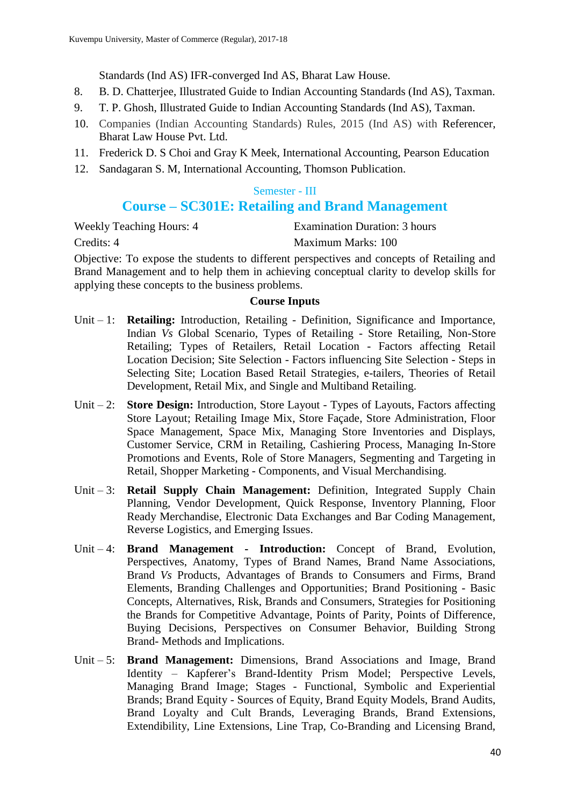Standards (Ind AS) IFR-converged Ind AS, Bharat Law House.

- 8. B. D. Chatterjee, Illustrated Guide to Indian Accounting Standards (Ind AS), Taxman.
- 9. T. P. Ghosh, Illustrated Guide to Indian Accounting Standards (Ind AS), Taxman.
- 10. Companies (Indian Accounting Standards) Rules, 2015 (Ind AS) with Referencer, Bharat Law House Pvt. Ltd.
- 11. Frederick D. S Choi and Gray K Meek, International Accounting, Pearson Education
- 12. Sandagaran S. M, International Accounting, Thomson Publication.

### Semester - III

# **Course – SC301E: Retailing and Brand Management**

Weekly Teaching Hours: 4 Examination Duration: 3 hours Credits: 4 Maximum Marks: 100

Objective: To expose the students to different perspectives and concepts of Retailing and Brand Management and to help them in achieving conceptual clarity to develop skills for applying these concepts to the business problems.

- Unit 1: **Retailing:** Introduction, Retailing Definition, Significance and Importance, Indian *Vs* Global Scenario, Types of Retailing - Store Retailing, Non-Store Retailing; Types of Retailers, Retail Location - Factors affecting Retail Location Decision; Site Selection - Factors influencing Site Selection - Steps in Selecting Site; Location Based Retail Strategies, e-tailers, Theories of Retail Development, Retail Mix, and Single and Multiband Retailing.
- Unit 2: **Store Design:** Introduction, Store Layout Types of Layouts, Factors affecting Store Layout; Retailing Image Mix, Store Façade, Store Administration, Floor Space Management, Space Mix, Managing Store Inventories and Displays, Customer Service, CRM in Retailing, Cashiering Process, Managing In-Store Promotions and Events, Role of Store Managers, Segmenting and Targeting in Retail, Shopper Marketing - Components, and Visual Merchandising.
- Unit 3: **Retail Supply Chain Management:** Definition, Integrated Supply Chain Planning, Vendor Development, Quick Response, Inventory Planning, Floor Ready Merchandise, Electronic Data Exchanges and Bar Coding Management, Reverse Logistics, and Emerging Issues.
- Unit 4: **Brand Management - Introduction:** Concept of Brand, Evolution, Perspectives, Anatomy, Types of Brand Names, Brand Name Associations, Brand *Vs* Products, Advantages of Brands to Consumers and Firms, Brand Elements, Branding Challenges and Opportunities; Brand Positioning - Basic Concepts, Alternatives, Risk, Brands and Consumers, Strategies for Positioning the Brands for Competitive Advantage, Points of Parity, Points of Difference, Buying Decisions, Perspectives on Consumer Behavior, Building Strong Brand- Methods and Implications.
- Unit 5: **Brand Management:** Dimensions, Brand Associations and Image, Brand Identity – Kapferer's Brand-Identity Prism Model; Perspective Levels, Managing Brand Image; Stages - Functional, Symbolic and Experiential Brands; Brand Equity - Sources of Equity, Brand Equity Models, Brand Audits, Brand Loyalty and Cult Brands, Leveraging Brands, Brand Extensions, Extendibility, Line Extensions, Line Trap, Co-Branding and Licensing Brand,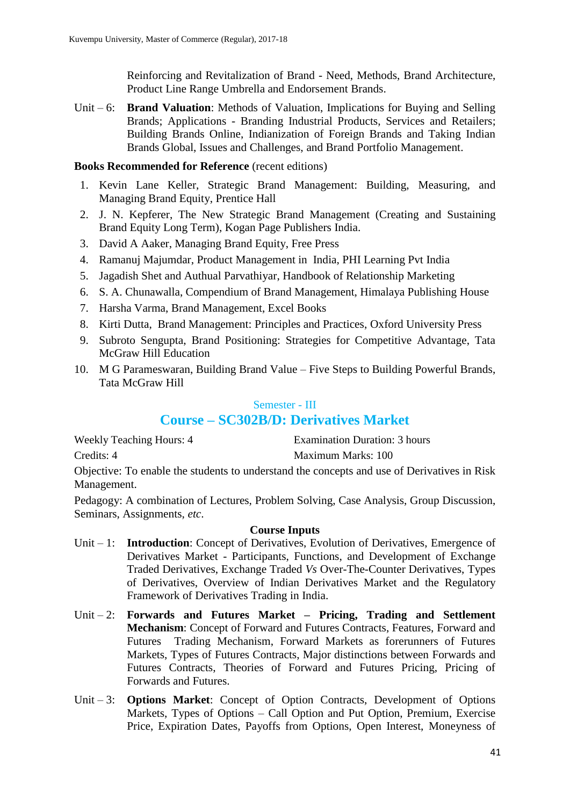Reinforcing and Revitalization of Brand - Need, Methods, Brand Architecture, Product Line Range Umbrella and Endorsement Brands.

Unit – 6: **Brand Valuation**: Methods of Valuation, Implications for Buying and Selling Brands; Applications - Branding Industrial Products, Services and Retailers; Building Brands Online, Indianization of Foreign Brands and Taking Indian Brands Global, Issues and Challenges, and Brand Portfolio Management.

### **Books Recommended for Reference** (recent editions)

- 1. Kevin Lane Keller, Strategic Brand Management: Building, Measuring, and Managing Brand Equity, Prentice Hall
- 2. J. N. Kepferer, The New Strategic Brand Management (Creating and Sustaining Brand Equity Long Term), Kogan Page Publishers India.
- 3. David A Aaker, Managing Brand Equity, Free Press
- 4. Ramanuj Majumdar, Product Management in India, PHI Learning Pvt India
- 5. Jagadish Shet and Authual Parvathiyar, Handbook of Relationship Marketing
- 6. S. A. Chunawalla, Compendium of Brand Management, Himalaya Publishing House
- 7. Harsha Varma, Brand Management, Excel Books
- 8. Kirti Dutta, Brand Management: Principles and Practices, Oxford University Press
- 9. Subroto Sengupta, Brand Positioning: Strategies for Competitive Advantage, Tata McGraw Hill Education
- 10. M G Parameswaran, Building Brand Value Five Steps to Building Powerful Brands, Tata McGraw Hill

### Semester - III

# **Course – SC302B/D: Derivatives Market**

| <b>Weekly Teaching Hours: 4</b> | Examination Duration: 3 hours |
|---------------------------------|-------------------------------|
| Credits: 4                      | Maximum Marks: 100            |

Objective: To enable the students to understand the concepts and use of Derivatives in Risk Management.

Pedagogy: A combination of Lectures, Problem Solving, Case Analysis, Group Discussion, Seminars, Assignments, *etc*.

- Unit 1: **Introduction**: Concept of Derivatives, Evolution of Derivatives, Emergence of Derivatives Market - Participants, Functions, and Development of Exchange Traded Derivatives, Exchange Traded *Vs* Over-The-Counter Derivatives, Types of Derivatives, Overview of Indian Derivatives Market and the Regulatory Framework of Derivatives Trading in India.
- Unit 2: **Forwards and Futures Market – Pricing, Trading and Settlement Mechanism**: Concept of Forward and Futures Contracts, Features, Forward and Futures Trading Mechanism, Forward Markets as forerunners of Futures Markets, Types of Futures Contracts, Major distinctions between Forwards and Futures Contracts, Theories of Forward and Futures Pricing, Pricing of Forwards and Futures.
- Unit 3: **Options Market**: Concept of Option Contracts, Development of Options Markets, Types of Options – Call Option and Put Option, Premium, Exercise Price, Expiration Dates, Payoffs from Options, Open Interest, Moneyness of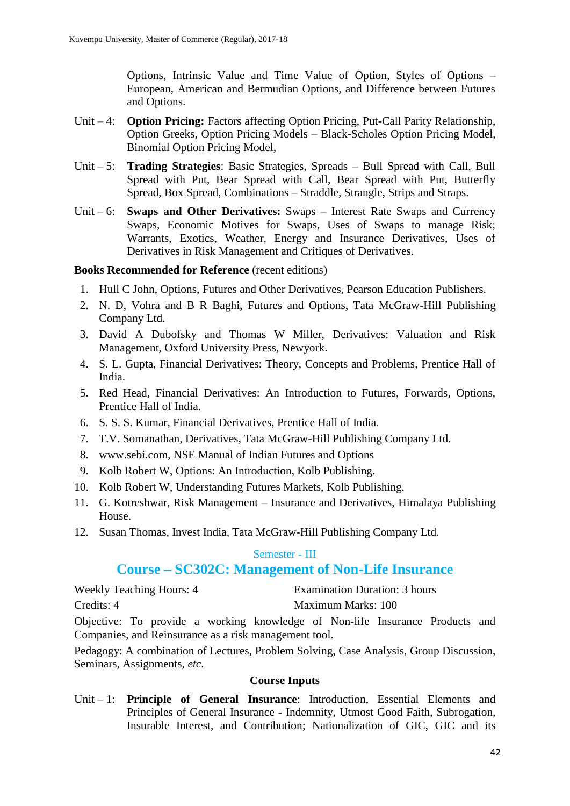Options, Intrinsic Value and Time Value of Option, Styles of Options – European, American and Bermudian Options, and Difference between Futures and Options.

- Unit 4: **Option Pricing:** Factors affecting Option Pricing, Put-Call Parity Relationship, Option Greeks, Option Pricing Models – Black-Scholes Option Pricing Model, Binomial Option Pricing Model,
- Unit 5: **Trading Strategies**: Basic Strategies, Spreads Bull Spread with Call, Bull Spread with Put, Bear Spread with Call, Bear Spread with Put, Butterfly Spread, Box Spread, Combinations – Straddle, Strangle, Strips and Straps.
- Unit 6: **Swaps and Other Derivatives:** Swaps Interest Rate Swaps and Currency Swaps, Economic Motives for Swaps, Uses of Swaps to manage Risk; Warrants, Exotics, Weather, Energy and Insurance Derivatives, Uses of Derivatives in Risk Management and Critiques of Derivatives.

#### **Books Recommended for Reference** (recent editions)

- 1. Hull C John, Options, Futures and Other Derivatives, Pearson Education Publishers.
- 2. N. D, Vohra and B R Baghi, Futures and Options, Tata McGraw-Hill Publishing Company Ltd.
- 3. David A Dubofsky and Thomas W Miller, Derivatives: Valuation and Risk Management, Oxford University Press, Newyork.
- 4. S. L. Gupta, Financial Derivatives: Theory, Concepts and Problems, Prentice Hall of India.
- 5. Red Head, Financial Derivatives: An Introduction to Futures, Forwards, Options, Prentice Hall of India.
- 6. S. S. S. Kumar, Financial Derivatives, Prentice Hall of India.
- 7. T.V. Somanathan, Derivatives, Tata McGraw-Hill Publishing Company Ltd.
- 8. www.sebi.com, NSE Manual of Indian Futures and Options
- 9. Kolb Robert W, Options: An Introduction, Kolb Publishing.
- 10. Kolb Robert W, Understanding Futures Markets, Kolb Publishing.
- 11. G. Kotreshwar, Risk Management Insurance and Derivatives, Himalaya Publishing House.
- 12. Susan Thomas, Invest India, Tata McGraw-Hill Publishing Company Ltd.

#### Semester - III

### **Course – SC302C: Management of Non-Life Insurance**

Weekly Teaching Hours: 4 Examination Duration: 3 hours

Credits: 4 Maximum Marks: 100

Objective: To provide a working knowledge of Non-life Insurance Products and Companies, and Reinsurance as a risk management tool.

Pedagogy: A combination of Lectures, Problem Solving, Case Analysis, Group Discussion, Seminars, Assignments, *etc*.

### **Course Inputs**

Unit – 1: **Principle of General Insurance**: Introduction, Essential Elements and Principles of General Insurance - Indemnity, Utmost Good Faith, Subrogation, Insurable Interest, and Contribution; Nationalization of GIC, GIC and its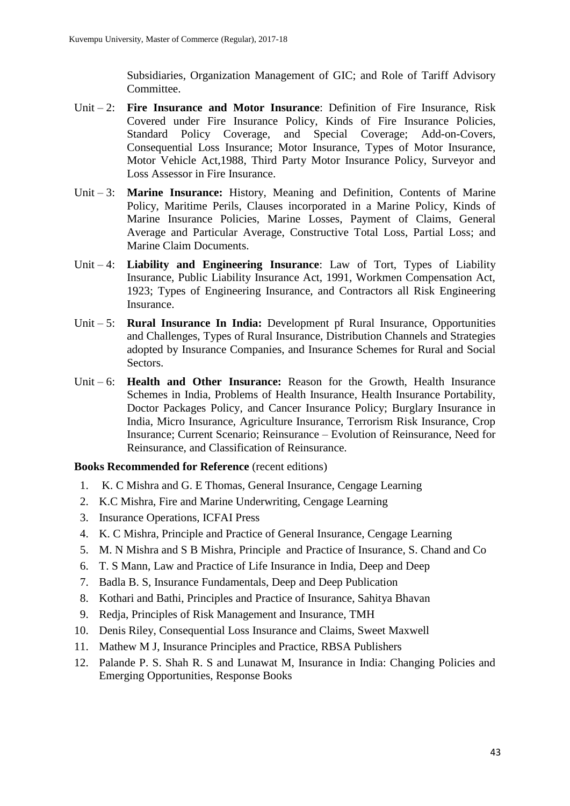Subsidiaries, Organization Management of GIC; and Role of Tariff Advisory Committee.

- Unit 2: **Fire Insurance and Motor Insurance**: Definition of Fire Insurance, Risk Covered under Fire Insurance Policy, Kinds of Fire Insurance Policies, Standard Policy Coverage, and Special Coverage; Add-on-Covers, Consequential Loss Insurance; Motor Insurance, Types of Motor Insurance, Motor Vehicle Act,1988, Third Party Motor Insurance Policy, Surveyor and Loss Assessor in Fire Insurance.
- Unit 3: **Marine Insurance:** History, Meaning and Definition, Contents of Marine Policy, Maritime Perils, Clauses incorporated in a Marine Policy, Kinds of Marine Insurance Policies, Marine Losses, Payment of Claims, General Average and Particular Average, Constructive Total Loss, Partial Loss; and Marine Claim Documents.
- Unit 4: **Liability and Engineering Insurance**: Law of Tort, Types of Liability Insurance, Public Liability Insurance Act, 1991, Workmen Compensation Act, 1923; Types of Engineering Insurance, and Contractors all Risk Engineering Insurance.
- Unit 5: **Rural Insurance In India:** Development pf Rural Insurance, Opportunities and Challenges, Types of Rural Insurance, Distribution Channels and Strategies adopted by Insurance Companies, and Insurance Schemes for Rural and Social Sectors.
- Unit 6: **Health and Other Insurance:** Reason for the Growth, Health Insurance Schemes in India, Problems of Health Insurance, Health Insurance Portability, Doctor Packages Policy, and Cancer Insurance Policy; Burglary Insurance in India, Micro Insurance, Agriculture Insurance, Terrorism Risk Insurance, Crop Insurance; Current Scenario; Reinsurance – Evolution of Reinsurance, Need for Reinsurance, and Classification of Reinsurance.

- 1. K. C Mishra and G. E Thomas, General Insurance, Cengage Learning
- 2. K.C Mishra, Fire and Marine Underwriting, Cengage Learning
- 3. Insurance Operations, ICFAI Press
- 4. K. C Mishra, Principle and Practice of General Insurance, Cengage Learning
- 5. M. N Mishra and S B Mishra, Principle and Practice of Insurance, S. Chand and Co
- 6. T. S Mann, Law and Practice of Life Insurance in India, Deep and Deep
- 7. Badla B. S, Insurance Fundamentals, Deep and Deep Publication
- 8. Kothari and Bathi, Principles and Practice of Insurance, Sahitya Bhavan
- 9. Redja, Principles of Risk Management and Insurance, TMH
- 10. Denis Riley, Consequential Loss Insurance and Claims, Sweet Maxwell
- 11. Mathew M J, Insurance Principles and Practice, RBSA Publishers
- 12. Palande P. S. Shah R. S and Lunawat M, Insurance in India: Changing Policies and Emerging Opportunities, Response Books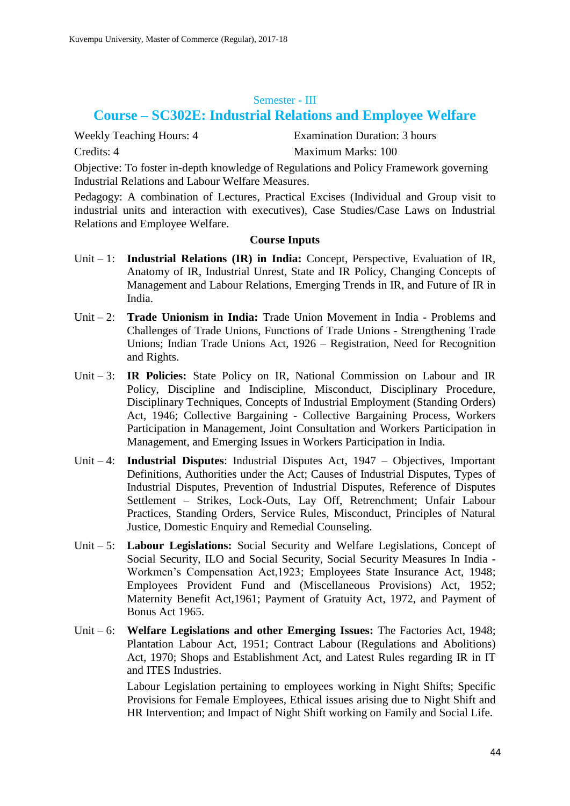#### Semester - III

# **Course – SC302E: Industrial Relations and Employee Welfare**

Weekly Teaching Hours: 4 Examination Duration: 3 hours Credits: 4 Maximum Marks: 100

Objective: To foster in-depth knowledge of Regulations and Policy Framework governing Industrial Relations and Labour Welfare Measures.

Pedagogy: A combination of Lectures, Practical Excises (Individual and Group visit to industrial units and interaction with executives), Case Studies/Case Laws on Industrial Relations and Employee Welfare.

#### **Course Inputs**

- Unit 1: **Industrial Relations (IR) in India:** Concept, Perspective, Evaluation of IR, Anatomy of IR, Industrial Unrest, State and IR Policy, Changing Concepts of Management and Labour Relations, Emerging Trends in IR, and Future of IR in India.
- Unit 2: **Trade Unionism in India:** Trade Union Movement in India Problems and Challenges of Trade Unions, Functions of Trade Unions - Strengthening Trade Unions; Indian Trade Unions Act, 1926 – Registration, Need for Recognition and Rights.
- Unit 3: **IR Policies:** State Policy on IR, National Commission on Labour and IR Policy, Discipline and Indiscipline, Misconduct, Disciplinary Procedure, Disciplinary Techniques, Concepts of Industrial Employment (Standing Orders) Act, 1946; Collective Bargaining - Collective Bargaining Process, Workers Participation in Management, Joint Consultation and Workers Participation in Management, and Emerging Issues in Workers Participation in India.
- Unit 4: **Industrial Disputes**: Industrial Disputes Act, 1947 Objectives, Important Definitions, Authorities under the Act; Causes of Industrial Disputes, Types of Industrial Disputes, Prevention of Industrial Disputes, Reference of Disputes Settlement – Strikes, Lock-Outs, Lay Off, Retrenchment; Unfair Labour Practices, Standing Orders, Service Rules, Misconduct, Principles of Natural Justice, Domestic Enquiry and Remedial Counseling.
- Unit 5: **Labour Legislations:** Social Security and Welfare Legislations, Concept of Social Security, ILO and Social Security, Social Security Measures In India - Workmen's Compensation Act,1923; Employees State Insurance Act, 1948; Employees Provident Fund and (Miscellaneous Provisions) Act, 1952; Maternity Benefit Act,1961; Payment of Gratuity Act, 1972, and Payment of Bonus Act 1965.
- Unit 6: **Welfare Legislations and other Emerging Issues:** The Factories Act, 1948; Plantation Labour Act, 1951; Contract Labour (Regulations and Abolitions) Act, 1970; Shops and Establishment Act, and Latest Rules regarding IR in IT and ITES Industries.

Labour Legislation pertaining to employees working in Night Shifts; Specific Provisions for Female Employees, Ethical issues arising due to Night Shift and HR Intervention; and Impact of Night Shift working on Family and Social Life.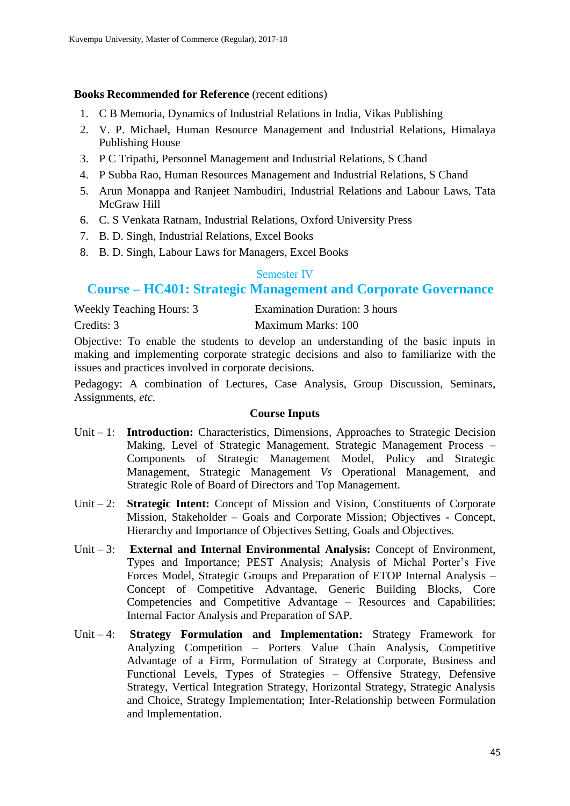### **Books Recommended for Reference** (recent editions)

- 1. C B Memoria, Dynamics of Industrial Relations in India, Vikas Publishing
- 2. V. P. Michael, Human Resource Management and Industrial Relations, Himalaya Publishing House
- 3. P C Tripathi, Personnel Management and Industrial Relations, S Chand
- 4. P Subba Rao, Human Resources Management and Industrial Relations, S Chand
- 5. Arun Monappa and Ranjeet Nambudiri, Industrial Relations and Labour Laws, Tata McGraw Hill
- 6. C. S Venkata Ratnam, Industrial Relations, Oxford University Press
- 7. B. D. Singh, Industrial Relations, Excel Books
- 8. B. D. Singh, Labour Laws for Managers, Excel Books

### Semester IV

# **Course – HC401: Strategic Management and Corporate Governance**

| <b>Weekly Teaching Hours: 3</b> | <b>Examination Duration: 3 hours</b> |
|---------------------------------|--------------------------------------|
| Credits: 3                      | Maximum Marks: 100                   |

Objective: To enable the students to develop an understanding of the basic inputs in making and implementing corporate strategic decisions and also to familiarize with the issues and practices involved in corporate decisions.

Pedagogy: A combination of Lectures, Case Analysis, Group Discussion, Seminars, Assignments, *etc*.

- Unit 1: **Introduction:** Characteristics, Dimensions, Approaches to Strategic Decision Making, Level of Strategic Management, Strategic Management Process – Components of Strategic Management Model, Policy and Strategic Management, Strategic Management *Vs* Operational Management, and Strategic Role of Board of Directors and Top Management.
- Unit 2: **Strategic Intent:** Concept of Mission and Vision, Constituents of Corporate Mission, Stakeholder – Goals and Corporate Mission; Objectives - Concept, Hierarchy and Importance of Objectives Setting, Goals and Objectives.
- Unit 3: **External and Internal Environmental Analysis:** Concept of Environment, Types and Importance; PEST Analysis; Analysis of Michal Porter's Five Forces Model, Strategic Groups and Preparation of ETOP Internal Analysis – Concept of Competitive Advantage, Generic Building Blocks, Core Competencies and Competitive Advantage – Resources and Capabilities; Internal Factor Analysis and Preparation of SAP.
- Unit 4: **Strategy Formulation and Implementation:** Strategy Framework for Analyzing Competition – Porters Value Chain Analysis, Competitive Advantage of a Firm, Formulation of Strategy at Corporate, Business and Functional Levels, Types of Strategies – Offensive Strategy, Defensive Strategy, Vertical Integration Strategy, Horizontal Strategy, Strategic Analysis and Choice, Strategy Implementation; Inter-Relationship between Formulation and Implementation.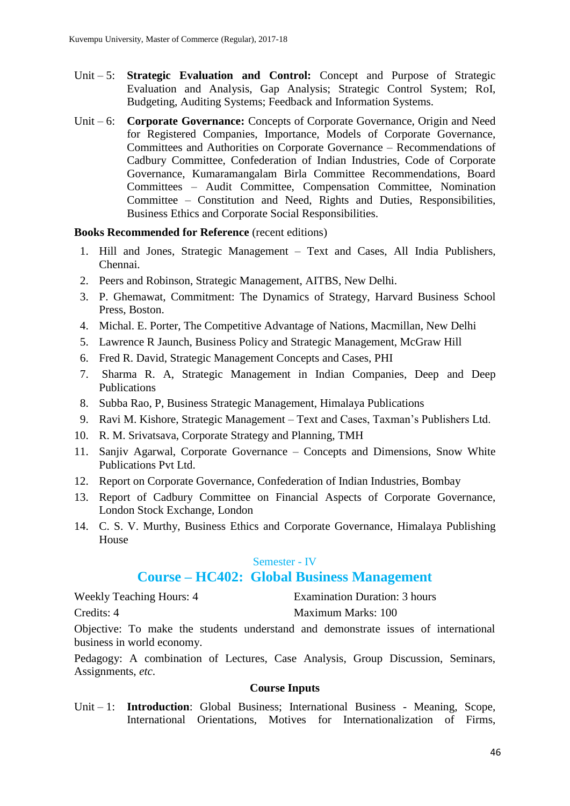- Unit 5: **Strategic Evaluation and Control:** Concept and Purpose of Strategic Evaluation and Analysis, Gap Analysis; Strategic Control System; RoI, Budgeting, Auditing Systems; Feedback and Information Systems.
- Unit 6: **Corporate Governance:** Concepts of Corporate Governance, Origin and Need for Registered Companies, Importance, Models of Corporate Governance, Committees and Authorities on Corporate Governance – Recommendations of Cadbury Committee, Confederation of Indian Industries, Code of Corporate Governance, Kumaramangalam Birla Committee Recommendations, Board Committees – Audit Committee, Compensation Committee, Nomination Committee – Constitution and Need, Rights and Duties, Responsibilities, Business Ethics and Corporate Social Responsibilities.

#### **Books Recommended for Reference** (recent editions)

- 1. Hill and Jones, Strategic Management Text and Cases, All India Publishers, Chennai.
- 2. Peers and Robinson, Strategic Management, AITBS, New Delhi.
- 3. P. Ghemawat, Commitment: The Dynamics of Strategy, Harvard Business School Press, Boston.
- 4. Michal. E. Porter, The Competitive Advantage of Nations, Macmillan, New Delhi
- 5. Lawrence R Jaunch, Business Policy and Strategic Management, McGraw Hill
- 6. Fred R. David, Strategic Management Concepts and Cases, PHI
- 7. Sharma R. A, Strategic Management in Indian Companies, Deep and Deep **Publications**
- 8. Subba Rao, P, Business Strategic Management, Himalaya Publications
- 9. Ravi M. Kishore, Strategic Management Text and Cases, Taxman's Publishers Ltd.
- 10. R. M. Srivatsava, Corporate Strategy and Planning, TMH
- 11. Sanjiv Agarwal, Corporate Governance Concepts and Dimensions, Snow White Publications Pvt Ltd.
- 12. Report on Corporate Governance, Confederation of Indian Industries, Bombay
- 13. Report of Cadbury Committee on Financial Aspects of Corporate Governance, London Stock Exchange, London
- 14. C. S. V. Murthy, Business Ethics and Corporate Governance, Himalaya Publishing House

### Semester - IV

# **Course – HC402: Global Business Management**

Weekly Teaching Hours: 4 Examination Duration: 3 hours

Credits: 4 Maximum Marks: 100

Objective: To make the students understand and demonstrate issues of international business in world economy.

Pedagogy: A combination of Lectures, Case Analysis, Group Discussion, Seminars, Assignments, *etc*.

#### **Course Inputs**

Unit – 1: **Introduction**: Global Business; International Business - Meaning, Scope, International Orientations, Motives for Internationalization of Firms,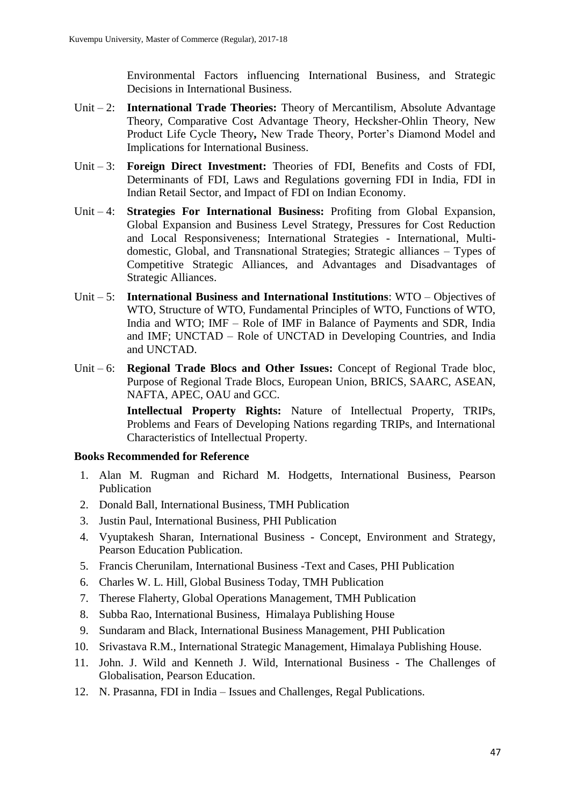Environmental Factors influencing International Business, and Strategic Decisions in International Business.

- Unit 2: **International Trade Theories:** Theory of Mercantilism, Absolute Advantage Theory, Comparative Cost Advantage Theory, Hecksher-Ohlin Theory, New Product Life Cycle Theory**,** New Trade Theory, Porter's Diamond Model and Implications for International Business.
- Unit 3: **Foreign Direct Investment:** Theories of FDI, Benefits and Costs of FDI, Determinants of FDI, Laws and Regulations governing FDI in India, FDI in Indian Retail Sector, and Impact of FDI on Indian Economy.
- Unit 4: **Strategies For International Business:** Profiting from Global Expansion, Global Expansion and Business Level Strategy, Pressures for Cost Reduction and Local Responsiveness; International Strategies - International, Multidomestic, Global, and Transnational Strategies; Strategic alliances – Types of Competitive Strategic Alliances, and Advantages and Disadvantages of Strategic Alliances.
- Unit 5: **International Business and International Institutions**: WTO Objectives of WTO, Structure of WTO, Fundamental Principles of WTO, Functions of WTO, India and WTO; IMF – Role of IMF in Balance of Payments and SDR, India and IMF; UNCTAD – Role of UNCTAD in Developing Countries, and India and UNCTAD.
- Unit 6: **Regional Trade Blocs and Other Issues:** Concept of Regional Trade bloc, Purpose of Regional Trade Blocs, European Union, BRICS, SAARC, ASEAN, NAFTA, APEC, OAU and GCC.

**Intellectual Property Rights:** Nature of Intellectual Property, TRIPs, Problems and Fears of Developing Nations regarding TRIPs, and International Characteristics of Intellectual Property.

### **Books Recommended for Reference**

- 1. Alan M. Rugman and Richard M. Hodgetts, International Business, Pearson Publication
- 2. Donald Ball, International Business, TMH Publication
- 3. Justin Paul, International Business, PHI Publication
- 4. Vyuptakesh Sharan, International Business Concept, Environment and Strategy, Pearson Education Publication.
- 5. Francis Cherunilam, International Business -Text and Cases, PHI Publication
- 6. Charles W. L. Hill, Global Business Today, TMH Publication
- 7. Therese Flaherty, Global Operations Management, TMH Publication
- 8. Subba Rao, International Business, Himalaya Publishing House
- 9. Sundaram and Black, International Business Management, PHI Publication
- 10. Srivastava R.M., International Strategic Management, Himalaya Publishing House.
- 11. John. J. Wild and Kenneth J. Wild, International Business The Challenges of Globalisation, Pearson Education.
- 12. N. Prasanna, FDI in India Issues and Challenges, Regal Publications.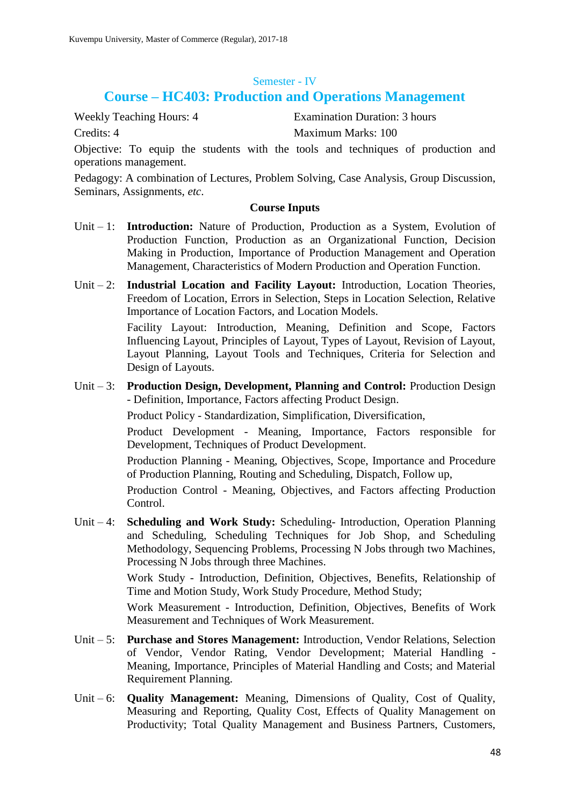### Semester - IV

# **Course – HC403: Production and Operations Management**

Weekly Teaching Hours: 4 Examination Duration: 3 hours Credits: 4 Maximum Marks: 100

Objective: To equip the students with the tools and techniques of production and operations management.

Pedagogy: A combination of Lectures, Problem Solving, Case Analysis, Group Discussion, Seminars, Assignments, *etc*.

### **Course Inputs**

- Unit 1: **Introduction:** Nature of Production, Production as a System, Evolution of Production Function, Production as an Organizational Function, Decision Making in Production, Importance of Production Management and Operation Management, Characteristics of Modern Production and Operation Function.
- Unit 2: **Industrial Location and Facility Layout:** Introduction, Location Theories, Freedom of Location, Errors in Selection, Steps in Location Selection, Relative Importance of Location Factors, and Location Models.

Facility Layout: Introduction, Meaning, Definition and Scope, Factors Influencing Layout, Principles of Layout, Types of Layout, Revision of Layout, Layout Planning, Layout Tools and Techniques, Criteria for Selection and Design of Layouts.

Unit – 3: **Production Design, Development, Planning and Control:** Production Design - Definition, Importance, Factors affecting Product Design.

Product Policy - Standardization, Simplification, Diversification,

Product Development - Meaning, Importance, Factors responsible for Development, Techniques of Product Development.

Production Planning - Meaning, Objectives, Scope, Importance and Procedure of Production Planning, Routing and Scheduling, Dispatch, Follow up,

Production Control - Meaning, Objectives, and Factors affecting Production Control.

Unit – 4: **Scheduling and Work Study:** Scheduling- Introduction, Operation Planning and Scheduling, Scheduling Techniques for Job Shop, and Scheduling Methodology, Sequencing Problems, Processing N Jobs through two Machines, Processing N Jobs through three Machines.

> Work Study - Introduction, Definition, Objectives, Benefits, Relationship of Time and Motion Study, Work Study Procedure, Method Study;

> Work Measurement - Introduction, Definition, Objectives, Benefits of Work Measurement and Techniques of Work Measurement.

- Unit 5: **Purchase and Stores Management:** Introduction, Vendor Relations, Selection of Vendor, Vendor Rating, Vendor Development; Material Handling - Meaning, Importance, Principles of Material Handling and Costs; and Material Requirement Planning.
- Unit 6: **Quality Management:** Meaning, Dimensions of Quality, Cost of Quality, Measuring and Reporting, Quality Cost, Effects of Quality Management on Productivity; Total Quality Management and Business Partners, Customers,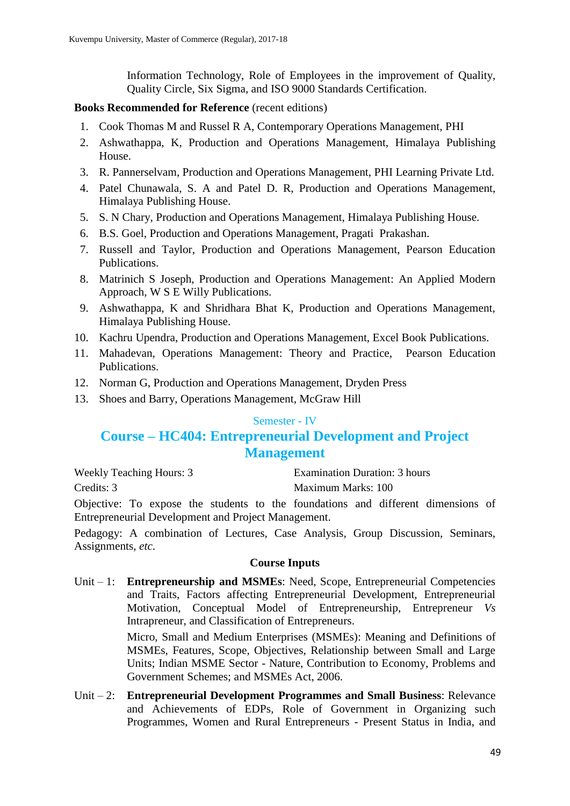Information Technology, Role of Employees in the improvement of Quality, Quality Circle, Six Sigma, and ISO 9000 Standards Certification.

### **Books Recommended for Reference** (recent editions)

- 1. Cook Thomas M and Russel R A, Contemporary Operations Management, PHI
- 2. Ashwathappa, K, Production and Operations Management, Himalaya Publishing House.
- 3. R. Pannerselvam, Production and Operations Management, PHI Learning Private Ltd.
- 4. Patel Chunawala, S. A and Patel D. R, Production and Operations Management, Himalaya Publishing House.
- 5. S. N Chary, Production and Operations Management, Himalaya Publishing House.
- 6. B.S. Goel, Production and Operations Management, Pragati Prakashan.
- 7. Russell and Taylor, Production and Operations Management, Pearson Education Publications.
- 8. Matrinich S Joseph, Production and Operations Management: An Applied Modern Approach, W S E Willy Publications.
- 9. Ashwathappa, K and Shridhara Bhat K, Production and Operations Management, Himalaya Publishing House.
- 10. Kachru Upendra, Production and Operations Management, Excel Book Publications.
- 11. Mahadevan, Operations Management: Theory and Practice, Pearson Education Publications.
- 12. Norman G, Production and Operations Management, Dryden Press
- 13. Shoes and Barry, Operations Management, McGraw Hill

### Semester - IV

# **Course – HC404: Entrepreneurial Development and Project Management**

Weekly Teaching Hours: 3 Examination Duration: 3 hours

Credits: 3 Maximum Marks: 100

Objective: To expose the students to the foundations and different dimensions of Entrepreneurial Development and Project Management.

Pedagogy: A combination of Lectures, Case Analysis, Group Discussion, Seminars, Assignments, *etc*.

### **Course Inputs**

Unit – 1: **Entrepreneurship and MSMEs**: Need, Scope, Entrepreneurial Competencies and Traits, Factors affecting Entrepreneurial Development, Entrepreneurial Motivation, Conceptual Model of Entrepreneurship, Entrepreneur *Vs* Intrapreneur, and Classification of Entrepreneurs.

> Micro, Small and Medium Enterprises (MSMEs): Meaning and Definitions of MSMEs, Features, Scope, Objectives, Relationship between Small and Large Units; Indian MSME Sector - Nature, Contribution to Economy, Problems and Government Schemes; and MSMEs Act, 2006.

Unit – 2: **Entrepreneurial Development Programmes and Small Business**: Relevance and Achievements of EDPs, Role of Government in Organizing such Programmes, Women and Rural Entrepreneurs - Present Status in India, and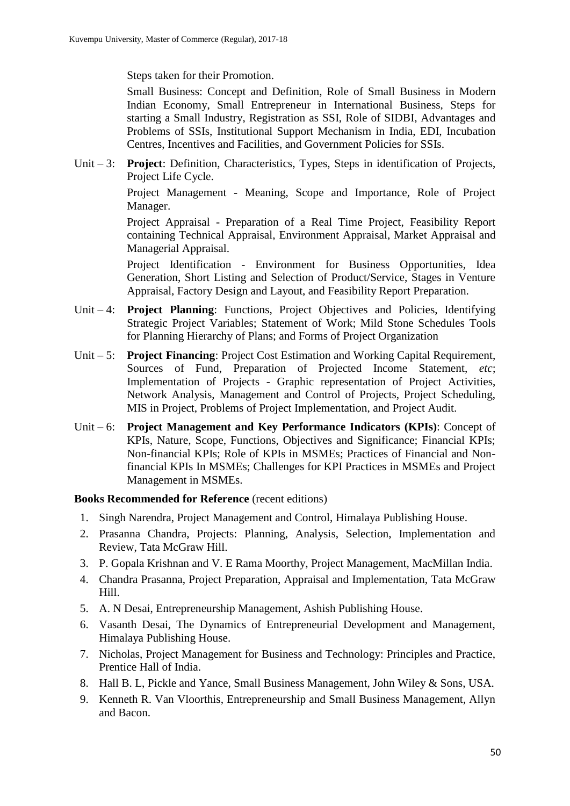Steps taken for their Promotion.

Small Business: Concept and Definition, Role of Small Business in Modern Indian Economy, Small Entrepreneur in International Business, Steps for starting a Small Industry, Registration as SSI, Role of SIDBI, Advantages and Problems of SSIs, Institutional Support Mechanism in India, EDI, Incubation Centres, Incentives and Facilities, and Government Policies for SSIs.

Unit – 3: **Project**: Definition, Characteristics, Types, Steps in identification of Projects, Project Life Cycle.

> Project Management - Meaning, Scope and Importance, Role of Project Manager.

> Project Appraisal - Preparation of a Real Time Project, Feasibility Report containing Technical Appraisal, Environment Appraisal, Market Appraisal and Managerial Appraisal.

> Project Identification - Environment for Business Opportunities, Idea Generation, Short Listing and Selection of Product/Service, Stages in Venture Appraisal, Factory Design and Layout, and Feasibility Report Preparation.

- Unit 4: **Project Planning**: Functions, Project Objectives and Policies, Identifying Strategic Project Variables; Statement of Work; Mild Stone Schedules Tools for Planning Hierarchy of Plans; and Forms of Project Organization
- Unit 5: **Project Financing**: Project Cost Estimation and Working Capital Requirement, Sources of Fund, Preparation of Projected Income Statement, *etc*; Implementation of Projects - Graphic representation of Project Activities, Network Analysis, Management and Control of Projects, Project Scheduling, MIS in Project, Problems of Project Implementation, and Project Audit.
- Unit 6: **Project Management and Key Performance Indicators (KPIs)**: Concept of KPIs, Nature, Scope, Functions, Objectives and Significance; Financial KPIs; Non-financial KPIs; Role of KPIs in MSMEs; Practices of Financial and Nonfinancial KPIs In MSMEs; Challenges for KPI Practices in MSMEs and Project Management in MSMEs.

- 1. Singh Narendra, Project Management and Control, Himalaya Publishing House.
- 2. Prasanna Chandra, Projects: Planning, Analysis, Selection, Implementation and Review, Tata McGraw Hill.
- 3. P. Gopala Krishnan and V. E Rama Moorthy, Project Management, MacMillan India.
- 4. Chandra Prasanna, Project Preparation, Appraisal and Implementation, Tata McGraw Hill.
- 5. A. N Desai, Entrepreneurship Management, Ashish Publishing House.
- 6. Vasanth Desai, The Dynamics of Entrepreneurial Development and Management, Himalaya Publishing House.
- 7. Nicholas, Project Management for Business and Technology: Principles and Practice, Prentice Hall of India.
- 8. Hall B. L, Pickle and Yance, Small Business Management, John Wiley & Sons, USA.
- 9. Kenneth R. Van Vloorthis, Entrepreneurship and Small Business Management, Allyn and Bacon.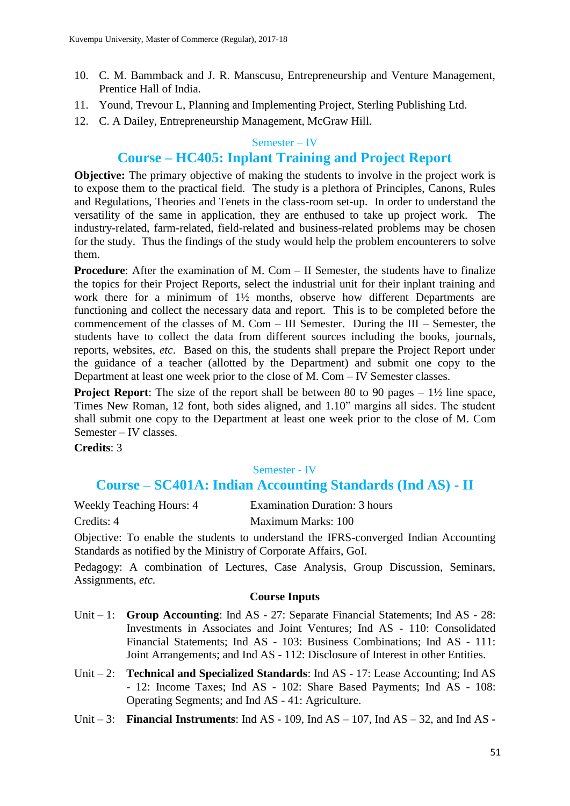- 10. C. M. Bammback and J. R. Manscusu, Entrepreneurship and Venture Management, Prentice Hall of India.
- 11. Yound, Trevour L, Planning and Implementing Project, Sterling Publishing Ltd.
- 12. C. A Dailey, Entrepreneurship Management, McGraw Hill.

#### Semester – IV

# **Course – HC405: Inplant Training and Project Report**

**Objective:** The primary objective of making the students to involve in the project work is to expose them to the practical field. The study is a plethora of Principles, Canons, Rules and Regulations, Theories and Tenets in the class-room set-up. In order to understand the versatility of the same in application, they are enthused to take up project work. The industry-related, farm-related, field-related and business-related problems may be chosen for the study. Thus the findings of the study would help the problem encounterers to solve them.

**Procedure**: After the examination of M. Com – II Semester, the students have to finalize the topics for their Project Reports, select the industrial unit for their inplant training and work there for a minimum of 1½ months, observe how different Departments are functioning and collect the necessary data and report. This is to be completed before the commencement of the classes of M. Com – III Semester. During the III – Semester, the students have to collect the data from different sources including the books, journals, reports, websites, *etc*. Based on this, the students shall prepare the Project Report under the guidance of a teacher (allotted by the Department) and submit one copy to the Department at least one week prior to the close of M. Com – IV Semester classes.

**Project Report:** The size of the report shall be between 80 to 90 pages – 1<sup>1</sup>/<sub>2</sub> line space, Times New Roman, 12 font, both sides aligned, and 1.10" margins all sides. The student shall submit one copy to the Department at least one week prior to the close of M. Com Semester – IV classes.

**Credits**: 3

### Semester - IV

### **Course – SC401A: Indian Accounting Standards (Ind AS) - II**

Weekly Teaching Hours: 4 Examination Duration: 3 hours

Credits: 4 Maximum Marks: 100

Objective: To enable the students to understand the IFRS-converged Indian Accounting Standards as notified by the Ministry of Corporate Affairs, GoI.

Pedagogy: A combination of Lectures, Case Analysis, Group Discussion, Seminars, Assignments, *etc*.

- Unit 1: **Group Accounting**: Ind AS 27: Separate Financial Statements; Ind AS 28: Investments in Associates and Joint Ventures; Ind AS - 110: Consolidated Financial Statements; Ind AS - 103: Business Combinations; Ind AS - 111: Joint Arrangements; and Ind AS - 112: Disclosure of Interest in other Entities.
- Unit 2: **Technical and Specialized Standards**: Ind AS 17: Lease Accounting; Ind AS - 12: Income Taxes; Ind AS - 102: Share Based Payments; Ind AS - 108: Operating Segments; and Ind AS - 41: Agriculture.
- Unit 3: **Financial Instruments**: Ind AS 109, Ind AS 107, Ind AS 32, and Ind AS -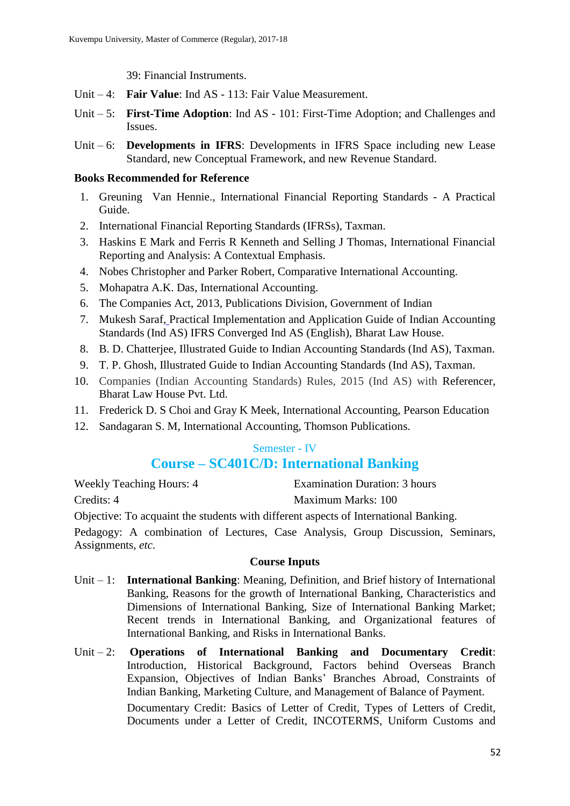39: Financial Instruments.

- Unit 4: **Fair Value**: Ind AS 113: Fair Value Measurement.
- Unit 5: **First-Time Adoption**: Ind AS 101: First-Time Adoption; and Challenges and Issues.
- Unit 6: **Developments in IFRS**: Developments in IFRS Space including new Lease Standard, new Conceptual Framework, and new Revenue Standard.

### **Books Recommended for Reference**

- 1. Greuning Van Hennie., International Financial Reporting Standards A Practical Guide.
- 2. International Financial Reporting Standards (IFRSs), Taxman.
- 3. Haskins E Mark and Ferris R Kenneth and Selling J Thomas, International Financial Reporting and Analysis: A Contextual Emphasis.
- 4. Nobes Christopher and Parker Robert, Comparative International Accounting.
- 5. Mohapatra A.K. Das, International Accounting.
- 6. The Companies Act, 2013, Publications Division, Government of Indian
- 7. Mukesh Saraf, Practical Implementation and Application Guide of Indian Accounting Standards (Ind AS) IFRS Converged Ind AS (English), Bharat Law House.
- 8. B. D. Chatterjee, Illustrated Guide to Indian Accounting Standards (Ind AS), Taxman.
- 9. T. P. Ghosh, Illustrated Guide to Indian Accounting Standards (Ind AS), Taxman.
- 10. Companies (Indian Accounting Standards) Rules, 2015 (Ind AS) with Referencer, Bharat Law House Pvt. Ltd.
- 11. Frederick D. S Choi and Gray K Meek, International Accounting, Pearson Education
- 12. Sandagaran S. M, International Accounting, Thomson Publications.

### Semester - IV

# **Course – SC401C/D: International Banking**

| <b>Weekly Teaching Hours: 4</b>                                                      | Examination Duration: 3 hours |
|--------------------------------------------------------------------------------------|-------------------------------|
| Credits: 4                                                                           | Maximum Marks: 100            |
| Objective: To acquaint the students with different aspects of International Banking. |                               |

Pedagogy: A combination of Lectures, Case Analysis, Group Discussion, Seminars, Assignments, *etc*.

- Unit 1: **International Banking**: Meaning, Definition, and Brief history of International Banking, Reasons for the growth of International Banking, Characteristics and Dimensions of International Banking, Size of International Banking Market; Recent trends in International Banking, and Organizational features of International Banking, and Risks in International Banks.
- Unit 2: **Operations of International Banking and Documentary Credit**: Introduction, Historical Background, Factors behind Overseas Branch Expansion, Objectives of Indian Banks' Branches Abroad, Constraints of Indian Banking, Marketing Culture, and Management of Balance of Payment. Documentary Credit: Basics of Letter of Credit, Types of Letters of Credit, Documents under a Letter of Credit, INCOTERMS, Uniform Customs and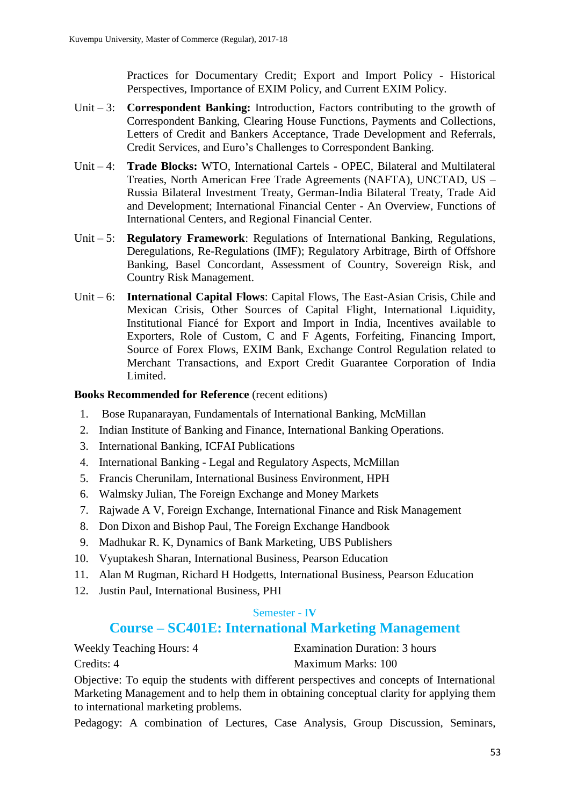Practices for Documentary Credit; Export and Import Policy - Historical Perspectives, Importance of EXIM Policy, and Current EXIM Policy.

- Unit 3: **Correspondent Banking:** Introduction, Factors contributing to the growth of Correspondent Banking, Clearing House Functions, Payments and Collections, Letters of Credit and Bankers Acceptance, Trade Development and Referrals, Credit Services, and Euro's Challenges to Correspondent Banking.
- Unit 4: **Trade Blocks:** WTO, International Cartels OPEC, Bilateral and Multilateral Treaties, North American Free Trade Agreements (NAFTA), UNCTAD, US – Russia Bilateral Investment Treaty, German-India Bilateral Treaty, Trade Aid and Development; International Financial Center - An Overview, Functions of International Centers, and Regional Financial Center.
- Unit 5: **Regulatory Framework**: Regulations of International Banking, Regulations, Deregulations, Re-Regulations (IMF); Regulatory Arbitrage, Birth of Offshore Banking, Basel Concordant, Assessment of Country, Sovereign Risk, and Country Risk Management.
- Unit 6: **International Capital Flows**: Capital Flows, The East-Asian Crisis, Chile and Mexican Crisis, Other Sources of Capital Flight, International Liquidity, Institutional Fiancé for Export and Import in India, Incentives available to Exporters, Role of Custom, C and F Agents, Forfeiting, Financing Import, Source of Forex Flows, EXIM Bank, Exchange Control Regulation related to Merchant Transactions, and Export Credit Guarantee Corporation of India Limited.

### **Books Recommended for Reference** (recent editions)

- 1. Bose Rupanarayan, Fundamentals of International Banking, McMillan
- 2. Indian Institute of Banking and Finance, International Banking Operations.
- 3. International Banking, ICFAI Publications
- 4. International Banking Legal and Regulatory Aspects, McMillan
- 5. Francis Cherunilam, International Business Environment, HPH
- 6. Walmsky Julian, The Foreign Exchange and Money Markets
- 7. Rajwade A V, Foreign Exchange, International Finance and Risk Management
- 8. Don Dixon and Bishop Paul, The Foreign Exchange Handbook
- 9. Madhukar R. K, Dynamics of Bank Marketing, UBS Publishers
- 10. Vyuptakesh Sharan, International Business, Pearson Education
- 11. Alan M Rugman, Richard H Hodgetts, International Business, Pearson Education
- 12. Justin Paul, International Business, PHI

### Semester - I**V**

# **Course – SC401E: International Marketing Management**

Weekly Teaching Hours: 4 Examination Duration: 3 hours Credits: 4 Maximum Marks: 100

Objective: To equip the students with different perspectives and concepts of International Marketing Management and to help them in obtaining conceptual clarity for applying them to international marketing problems.

Pedagogy: A combination of Lectures, Case Analysis, Group Discussion, Seminars,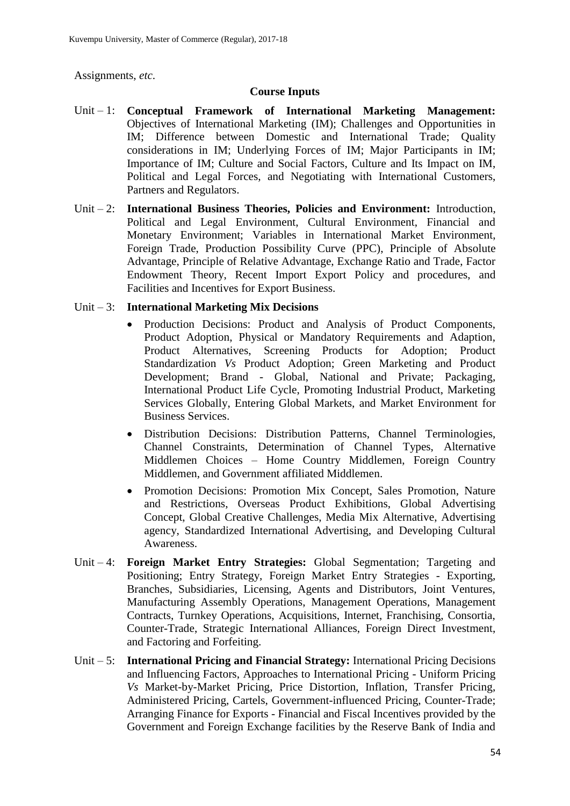Assignments, *etc*.

### **Course Inputs**

- Unit 1: **Conceptual Framework of International Marketing Management:** Objectives of International Marketing (IM); Challenges and Opportunities in IM; Difference between Domestic and International Trade; Quality considerations in IM; Underlying Forces of IM; Major Participants in IM; Importance of IM; Culture and Social Factors, Culture and Its Impact on IM, Political and Legal Forces, and Negotiating with International Customers, Partners and Regulators.
- Unit 2: **International Business Theories, Policies and Environment:** Introduction, Political and Legal Environment, Cultural Environment, Financial and Monetary Environment; Variables in International Market Environment, Foreign Trade, Production Possibility Curve (PPC), Principle of Absolute Advantage, Principle of Relative Advantage, Exchange Ratio and Trade, Factor Endowment Theory, Recent Import Export Policy and procedures, and Facilities and Incentives for Export Business.

### Unit – 3: **International Marketing Mix Decisions**

- Production Decisions: Product and Analysis of Product Components, Product Adoption, Physical or Mandatory Requirements and Adaption, Product Alternatives, Screening Products for Adoption; Product Standardization *Vs* Product Adoption; Green Marketing and Product Development; Brand - Global, National and Private; Packaging, International Product Life Cycle, Promoting Industrial Product, Marketing Services Globally, Entering Global Markets, and Market Environment for Business Services.
- Distribution Decisions: Distribution Patterns, Channel Terminologies, Channel Constraints, Determination of Channel Types, Alternative Middlemen Choices – Home Country Middlemen, Foreign Country Middlemen, and Government affiliated Middlemen.
- Promotion Decisions: Promotion Mix Concept, Sales Promotion, Nature and Restrictions, Overseas Product Exhibitions, Global Advertising Concept, Global Creative Challenges, Media Mix Alternative, Advertising agency, Standardized International Advertising, and Developing Cultural Awareness.
- Unit 4: **Foreign Market Entry Strategies:** Global Segmentation; Targeting and Positioning; Entry Strategy, Foreign Market Entry Strategies - Exporting, Branches, Subsidiaries, Licensing, Agents and Distributors, Joint Ventures, Manufacturing Assembly Operations, Management Operations, Management Contracts, Turnkey Operations, Acquisitions, Internet, Franchising, Consortia, Counter-Trade, Strategic International Alliances, Foreign Direct Investment, and Factoring and Forfeiting.
- Unit 5: **International Pricing and Financial Strategy:** International Pricing Decisions and Influencing Factors, Approaches to International Pricing - Uniform Pricing *Vs* Market-by-Market Pricing, Price Distortion, Inflation, Transfer Pricing, Administered Pricing, Cartels, Government-influenced Pricing, Counter-Trade; Arranging Finance for Exports - Financial and Fiscal Incentives provided by the Government and Foreign Exchange facilities by the Reserve Bank of India and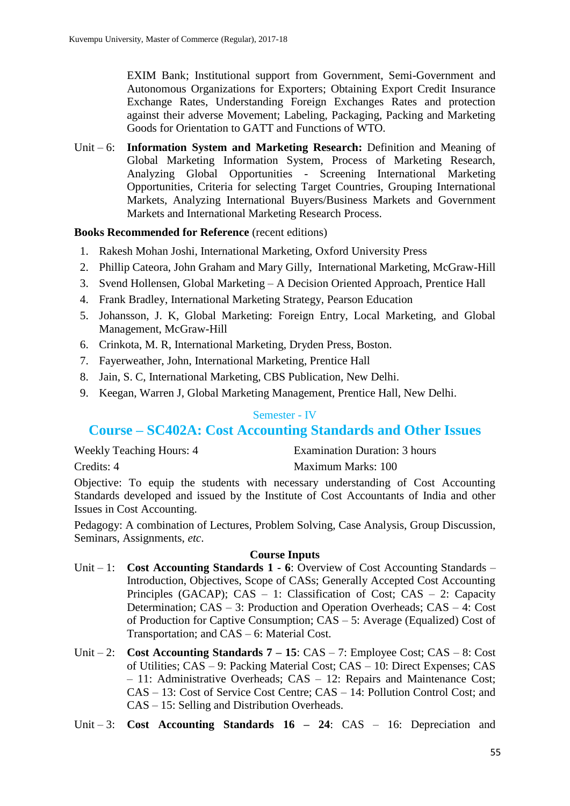EXIM Bank; Institutional support from Government, Semi-Government and Autonomous Organizations for Exporters; Obtaining Export Credit Insurance Exchange Rates, Understanding Foreign Exchanges Rates and protection against their adverse Movement; Labeling, Packaging, Packing and Marketing Goods for Orientation to GATT and Functions of WTO.

Unit – 6: **Information System and Marketing Research:** Definition and Meaning of Global Marketing Information System, Process of Marketing Research, Analyzing Global Opportunities - Screening International Marketing Opportunities, Criteria for selecting Target Countries, Grouping International Markets, Analyzing International Buyers/Business Markets and Government Markets and International Marketing Research Process.

### **Books Recommended for Reference** (recent editions)

- 1. Rakesh Mohan Joshi, International Marketing, Oxford University Press
- 2. Phillip Cateora, John Graham and Mary Gilly, International Marketing, McGraw-Hill
- 3. Svend Hollensen, Global Marketing A Decision Oriented Approach, Prentice Hall
- 4. Frank Bradley, International Marketing Strategy, Pearson Education
- 5. Johansson, J. K, Global Marketing: Foreign Entry, Local Marketing, and Global Management, McGraw-Hill
- 6. Crinkota, M. R, International Marketing, Dryden Press, Boston.
- 7. Fayerweather, John, International Marketing, Prentice Hall
- 8. Jain, S. C, International Marketing, CBS Publication, New Delhi.
- 9. Keegan, Warren J, Global Marketing Management, Prentice Hall, New Delhi.

### Semester - IV

# **Course – SC402A: Cost Accounting Standards and Other Issues**

| <b>Weekly Teaching Hours: 4</b> | Examination Duration: 3 hours |
|---------------------------------|-------------------------------|
| Credits: 4                      | Maximum Marks: 100            |

Objective: To equip the students with necessary understanding of Cost Accounting Standards developed and issued by the Institute of Cost Accountants of India and other Issues in Cost Accounting.

Pedagogy: A combination of Lectures, Problem Solving, Case Analysis, Group Discussion, Seminars, Assignments, *etc*.

- Unit 1: **Cost Accounting Standards 1 - 6**: Overview of Cost Accounting Standards Introduction, Objectives, Scope of CASs; Generally Accepted Cost Accounting Principles (GACAP); CAS – 1: Classification of Cost; CAS – 2: Capacity Determination; CAS – 3: Production and Operation Overheads; CAS – 4: Cost of Production for Captive Consumption; CAS – 5: Average (Equalized) Cost of Transportation; and CAS – 6: Material Cost.
- Unit 2: **Cost Accounting Standards 7 – 15**: CAS 7: Employee Cost; CAS 8: Cost of Utilities; CAS – 9: Packing Material Cost; CAS – 10: Direct Expenses; CAS – 11: Administrative Overheads; CAS – 12: Repairs and Maintenance Cost; CAS – 13: Cost of Service Cost Centre; CAS – 14: Pollution Control Cost; and CAS – 15: Selling and Distribution Overheads.
- Unit 3: **Cost Accounting Standards 16 – 24**: CAS 16: Depreciation and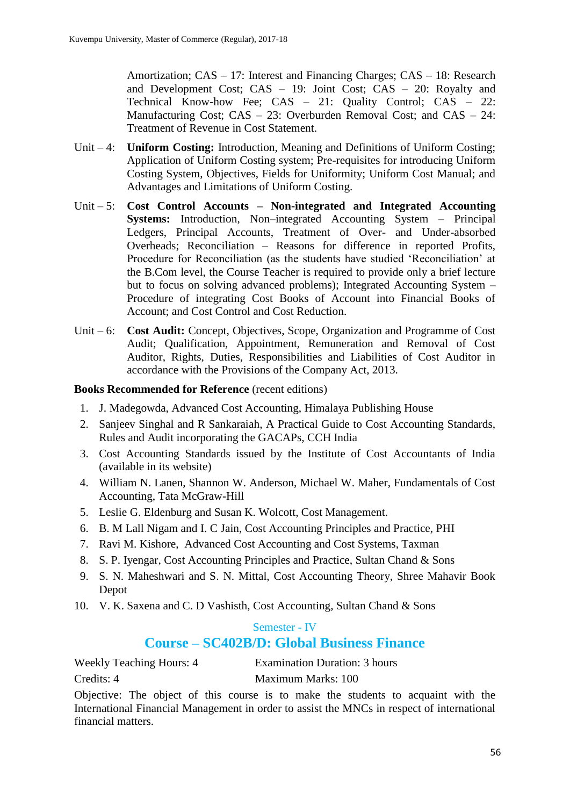Amortization; CAS – 17: Interest and Financing Charges; CAS – 18: Research and Development Cost; CAS – 19: Joint Cost; CAS – 20: Royalty and Technical Know-how Fee; CAS – 21: Quality Control; CAS – 22: Manufacturing Cost; CAS – 23: Overburden Removal Cost; and CAS – 24: Treatment of Revenue in Cost Statement.

- Unit 4: **Uniform Costing:** Introduction, Meaning and Definitions of Uniform Costing; Application of Uniform Costing system; Pre-requisites for introducing Uniform Costing System, Objectives, Fields for Uniformity; Uniform Cost Manual; and Advantages and Limitations of Uniform Costing.
- Unit 5: **Cost Control Accounts – Non-integrated and Integrated Accounting Systems:** Introduction, Non–integrated Accounting System – Principal Ledgers, Principal Accounts, Treatment of Over- and Under-absorbed Overheads; Reconciliation – Reasons for difference in reported Profits, Procedure for Reconciliation (as the students have studied 'Reconciliation' at the B.Com level, the Course Teacher is required to provide only a brief lecture but to focus on solving advanced problems); Integrated Accounting System – Procedure of integrating Cost Books of Account into Financial Books of Account; and Cost Control and Cost Reduction.
- Unit 6: **Cost Audit:** Concept, Objectives, Scope, Organization and Programme of Cost Audit; Qualification, Appointment, Remuneration and Removal of Cost Auditor, Rights, Duties, Responsibilities and Liabilities of Cost Auditor in accordance with the Provisions of the Company Act, 2013.

### **Books Recommended for Reference** (recent editions)

- 1. J. Madegowda, Advanced Cost Accounting, Himalaya Publishing House
- 2. Sanjeev Singhal and R Sankaraiah, A Practical Guide to Cost Accounting Standards, Rules and Audit incorporating the GACAPs, CCH India
- 3. Cost Accounting Standards issued by the Institute of Cost Accountants of India (available in its website)
- 4. William N. Lanen, Shannon W. Anderson, Michael W. Maher, Fundamentals of Cost Accounting, Tata McGraw-Hill
- 5. Leslie G. Eldenburg and Susan K. Wolcott, Cost Management.
- 6. B. M Lall Nigam and I. C Jain, Cost Accounting Principles and Practice, PHI
- 7. Ravi M. Kishore, Advanced Cost Accounting and Cost Systems, Taxman
- 8. S. P. Iyengar, Cost Accounting Principles and Practice, Sultan Chand & Sons
- 9. S. N. Maheshwari and S. N. Mittal, Cost Accounting Theory, Shree Mahavir Book Depot
- 10. V. K. Saxena and C. D Vashisth, Cost Accounting, Sultan Chand & Sons

# Semester - IV **Course – SC402B/D: Global Business Finance**

Weekly Teaching Hours: 4 Examination Duration: 3 hours

Credits: 4 Maximum Marks: 100

Objective: The object of this course is to make the students to acquaint with the International Financial Management in order to assist the MNCs in respect of international financial matters.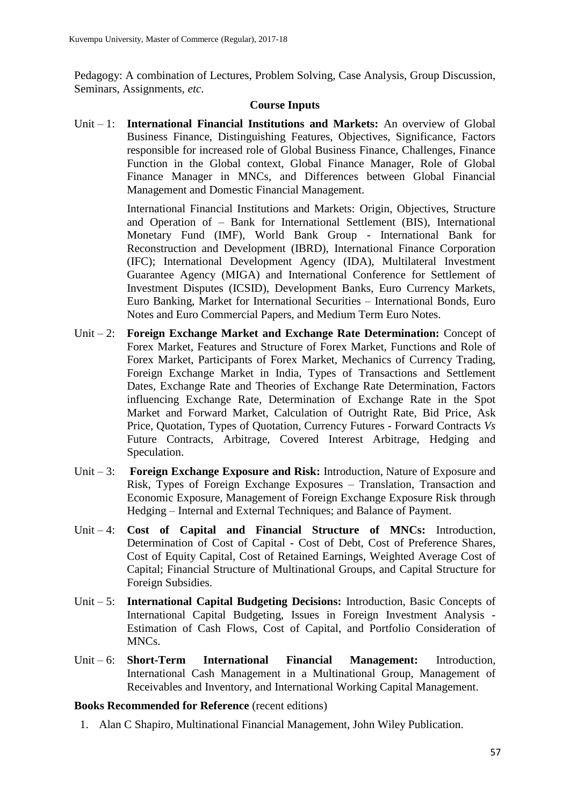Pedagogy: A combination of Lectures, Problem Solving, Case Analysis, Group Discussion, Seminars, Assignments, *etc*.

#### **Course Inputs**

Unit – 1: **International Financial Institutions and Markets:** An overview of Global Business Finance, Distinguishing Features, Objectives, Significance, Factors responsible for increased role of Global Business Finance, Challenges, Finance Function in the Global context, Global Finance Manager, Role of Global Finance Manager in MNCs, and Differences between Global Financial Management and Domestic Financial Management.

> International Financial Institutions and Markets: Origin, Objectives, Structure and Operation of – Bank for International Settlement (BIS), International Monetary Fund (IMF), World Bank Group - International Bank for Reconstruction and Development (IBRD), International Finance Corporation (IFC); International Development Agency (IDA), Multilateral Investment Guarantee Agency (MIGA) and International Conference for Settlement of Investment Disputes (ICSID), Development Banks, Euro Currency Markets, Euro Banking, Market for International Securities – International Bonds, Euro Notes and Euro Commercial Papers, and Medium Term Euro Notes.

- Unit 2: **Foreign Exchange Market and Exchange Rate Determination:** Concept of Forex Market, Features and Structure of Forex Market, Functions and Role of Forex Market, Participants of Forex Market, Mechanics of Currency Trading, Foreign Exchange Market in India, Types of Transactions and Settlement Dates, Exchange Rate and Theories of Exchange Rate Determination, Factors influencing Exchange Rate, Determination of Exchange Rate in the Spot Market and Forward Market, Calculation of Outright Rate, Bid Price, Ask Price, Quotation, Types of Quotation, Currency Futures - Forward Contracts *Vs* Future Contracts, Arbitrage, Covered Interest Arbitrage, Hedging and Speculation.
- Unit 3: **Foreign Exchange Exposure and Risk:** Introduction, Nature of Exposure and Risk, Types of Foreign Exchange Exposures – Translation, Transaction and Economic Exposure, Management of Foreign Exchange Exposure Risk through Hedging – Internal and External Techniques; and Balance of Payment.
- Unit 4: **Cost of Capital and Financial Structure of MNCs:** Introduction, Determination of Cost of Capital - Cost of Debt, Cost of Preference Shares, Cost of Equity Capital, Cost of Retained Earnings, Weighted Average Cost of Capital; Financial Structure of Multinational Groups, and Capital Structure for Foreign Subsidies.
- Unit 5: **International Capital Budgeting Decisions:** Introduction, Basic Concepts of International Capital Budgeting, Issues in Foreign Investment Analysis - Estimation of Cash Flows, Cost of Capital, and Portfolio Consideration of MNCs.
- Unit 6: **Short-Term International Financial Management:** Introduction, International Cash Management in a Multinational Group, Management of Receivables and Inventory, and International Working Capital Management.

#### **Books Recommended for Reference** (recent editions)

1. Alan C Shapiro, Multinational Financial Management, John Wiley Publication.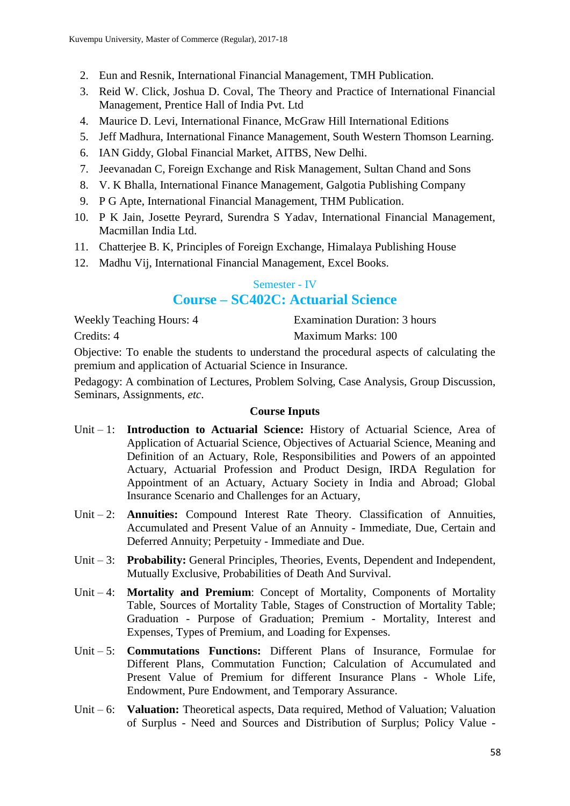- 2. Eun and Resnik, International Financial Management, TMH Publication.
- 3. Reid W. Click, Joshua D. Coval, The Theory and Practice of International Financial Management, Prentice Hall of India Pvt. Ltd
- 4. Maurice D. Levi, International Finance, McGraw Hill International Editions
- 5. Jeff Madhura, International Finance Management, South Western Thomson Learning.
- 6. IAN Giddy, Global Financial Market, AITBS, New Delhi.
- 7. Jeevanadan C, Foreign Exchange and Risk Management, Sultan Chand and Sons
- 8. V. K Bhalla, International Finance Management, Galgotia Publishing Company
- 9. P G Apte, International Financial Management, THM Publication.
- 10. P K Jain, Josette Peyrard, Surendra S Yadav, International Financial Management, Macmillan India Ltd.
- 11. Chatterjee B. K, Principles of Foreign Exchange, Himalaya Publishing House
- 12. Madhu Vij, International Financial Management, Excel Books.

# Semester - IV **Course – SC402C: Actuarial Science**

Weekly Teaching Hours: 4 Examination Duration: 3 hours

Credits: 4 Maximum Marks: 100

Objective: To enable the students to understand the procedural aspects of calculating the premium and application of Actuarial Science in Insurance.

Pedagogy: A combination of Lectures, Problem Solving, Case Analysis, Group Discussion, Seminars, Assignments, *etc*.

- Unit 1: **Introduction to Actuarial Science:** History of Actuarial Science, Area of Application of Actuarial Science, Objectives of Actuarial Science, Meaning and Definition of an Actuary, Role, Responsibilities and Powers of an appointed Actuary, Actuarial Profession and Product Design, IRDA Regulation for Appointment of an Actuary, Actuary Society in India and Abroad; Global Insurance Scenario and Challenges for an Actuary,
- Unit 2: **Annuities:** Compound Interest Rate Theory. Classification of Annuities, Accumulated and Present Value of an Annuity - Immediate, Due, Certain and Deferred Annuity; Perpetuity - Immediate and Due.
- Unit 3: **Probability:** General Principles, Theories, Events, Dependent and Independent, Mutually Exclusive, Probabilities of Death And Survival.
- Unit 4: **Mortality and Premium**: Concept of Mortality, Components of Mortality Table, Sources of Mortality Table, Stages of Construction of Mortality Table; Graduation - Purpose of Graduation; Premium - Mortality, Interest and Expenses, Types of Premium, and Loading for Expenses.
- Unit 5: **Commutations Functions:** Different Plans of Insurance, Formulae for Different Plans, Commutation Function; Calculation of Accumulated and Present Value of Premium for different Insurance Plans - Whole Life, Endowment, Pure Endowment, and Temporary Assurance.
- Unit 6: **Valuation:** Theoretical aspects, Data required, Method of Valuation; Valuation of Surplus - Need and Sources and Distribution of Surplus; Policy Value -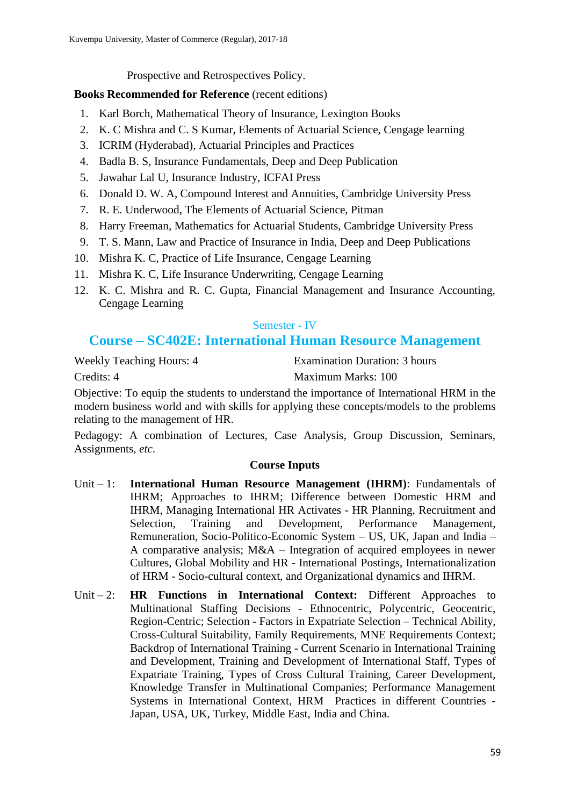Prospective and Retrospectives Policy.

# **Books Recommended for Reference** (recent editions)

- 1. Karl Borch, Mathematical Theory of Insurance, Lexington Books
- 2. K. C Mishra and C. S Kumar, Elements of Actuarial Science, Cengage learning
- 3. ICRIM (Hyderabad), Actuarial Principles and Practices
- 4. Badla B. S, Insurance Fundamentals, Deep and Deep Publication
- 5. Jawahar Lal U, Insurance Industry, ICFAI Press
- 6. Donald D. W. A, Compound Interest and Annuities, Cambridge University Press
- 7. R. E. Underwood, The Elements of Actuarial Science, Pitman
- 8. Harry Freeman, Mathematics for Actuarial Students, Cambridge University Press
- 9. T. S. Mann, Law and Practice of Insurance in India, Deep and Deep Publications
- 10. Mishra K. C, Practice of Life Insurance, Cengage Learning
- 11. Mishra K. C, Life Insurance Underwriting, Cengage Learning
- 12. K. C. Mishra and R. C. Gupta, Financial Management and Insurance Accounting, Cengage Learning

### Semester - IV

# **Course – SC402E: International Human Resource Management**

Weekly Teaching Hours: 4 Examination Duration: 3 hours Credits: 4 Maximum Marks: 100

Objective: To equip the students to understand the importance of International HRM in the modern business world and with skills for applying these concepts/models to the problems relating to the management of HR.

Pedagogy: A combination of Lectures, Case Analysis, Group Discussion, Seminars, Assignments, *etc*.

- Unit 1: **International Human Resource Management (IHRM)**: Fundamentals of IHRM; Approaches to IHRM; Difference between Domestic HRM and IHRM, Managing International HR Activates - HR Planning, Recruitment and Selection, Training and Development, Performance Management, Remuneration, Socio-Politico-Economic System – US, UK, Japan and India – A comparative analysis; M&A – Integration of acquired employees in newer Cultures, Global Mobility and HR - International Postings, Internationalization of HRM - Socio-cultural context, and Organizational dynamics and IHRM.
- Unit 2: **HR Functions in International Context:** Different Approaches to Multinational Staffing Decisions - Ethnocentric, Polycentric, Geocentric, Region-Centric; Selection - Factors in Expatriate Selection – Technical Ability, Cross-Cultural Suitability, Family Requirements, MNE Requirements Context; Backdrop of International Training - Current Scenario in International Training and Development, Training and Development of International Staff, Types of Expatriate Training, Types of Cross Cultural Training, Career Development, Knowledge Transfer in Multinational Companies; Performance Management Systems in International Context, HRM Practices in different Countries - Japan, USA, UK, Turkey, Middle East, India and China.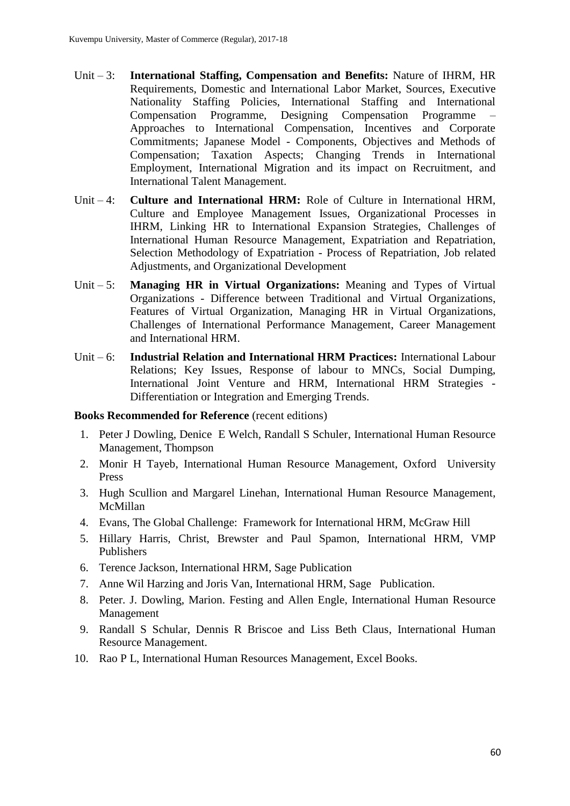- Unit 3: **International Staffing, Compensation and Benefits:** Nature of IHRM, HR Requirements, Domestic and International Labor Market, Sources, Executive Nationality Staffing Policies, International Staffing and International Compensation Programme, Designing Compensation Programme – Approaches to International Compensation, Incentives and Corporate Commitments; Japanese Model - Components, Objectives and Methods of Compensation; Taxation Aspects; Changing Trends in International Employment, International Migration and its impact on Recruitment, and International Talent Management.
- Unit 4: **Culture and International HRM:** Role of Culture in International HRM, Culture and Employee Management Issues, Organizational Processes in IHRM, Linking HR to International Expansion Strategies, Challenges of International Human Resource Management, Expatriation and Repatriation, Selection Methodology of Expatriation - Process of Repatriation, Job related Adjustments, and Organizational Development
- Unit 5: **Managing HR in Virtual Organizations:** Meaning and Types of Virtual Organizations - Difference between Traditional and Virtual Organizations, Features of Virtual Organization, Managing HR in Virtual Organizations, Challenges of International Performance Management, Career Management and International HRM.
- Unit 6: **Industrial Relation and International HRM Practices:** International Labour Relations; Key Issues, Response of labour to MNCs, Social Dumping, International Joint Venture and HRM, International HRM Strategies - Differentiation or Integration and Emerging Trends.

- 1. Peter J Dowling, Denice E Welch, Randall S Schuler, International Human Resource Management, Thompson
- 2. Monir H Tayeb, International Human Resource Management, Oxford University Press
- 3. Hugh Scullion and Margarel Linehan, International Human Resource Management, McMillan
- 4. Evans, The Global Challenge: Framework for International HRM, McGraw Hill
- 5. Hillary Harris, Christ, Brewster and Paul Spamon, International HRM, VMP Publishers
- 6. Terence Jackson, International HRM, Sage Publication
- 7. Anne Wil Harzing and Joris Van, International HRM, Sage Publication.
- 8. Peter. J. Dowling, Marion. Festing and Allen Engle, International Human Resource Management
- 9. Randall S Schular, Dennis R Briscoe and Liss Beth Claus, International Human Resource Management.
- 10. Rao P L, International Human Resources Management, Excel Books.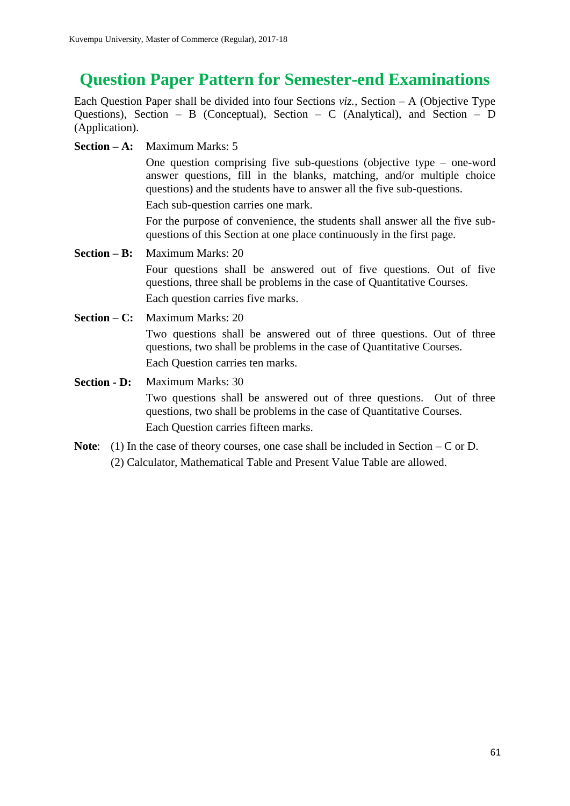# **Question Paper Pattern for Semester-end Examinations**

Each Question Paper shall be divided into four Sections *viz.*, Section – A (Objective Type Questions), Section – B (Conceptual), Section – C (Analytical), and Section – D (Application).

**Section – A:** Maximum Marks: 5

One question comprising five sub-questions (objective type – one-word answer questions, fill in the blanks, matching, and/or multiple choice questions) and the students have to answer all the five sub-questions.

Each sub-question carries one mark.

For the purpose of convenience, the students shall answer all the five subquestions of this Section at one place continuously in the first page.

- **Section – B:** Maximum Marks: 20 Four questions shall be answered out of five questions. Out of five questions, three shall be problems in the case of Quantitative Courses. Each question carries five marks.
- **Section C:** Maximum Marks: 20 Two questions shall be answered out of three questions. Out of three questions, two shall be problems in the case of Quantitative Courses. Each Question carries ten marks.
- **Section D:** Maximum Marks: 30 Two questions shall be answered out of three questions. Out of three questions, two shall be problems in the case of Quantitative Courses. Each Question carries fifteen marks.
- Note: (1) In the case of theory courses, one case shall be included in Section C or D. (2) Calculator, Mathematical Table and Present Value Table are allowed.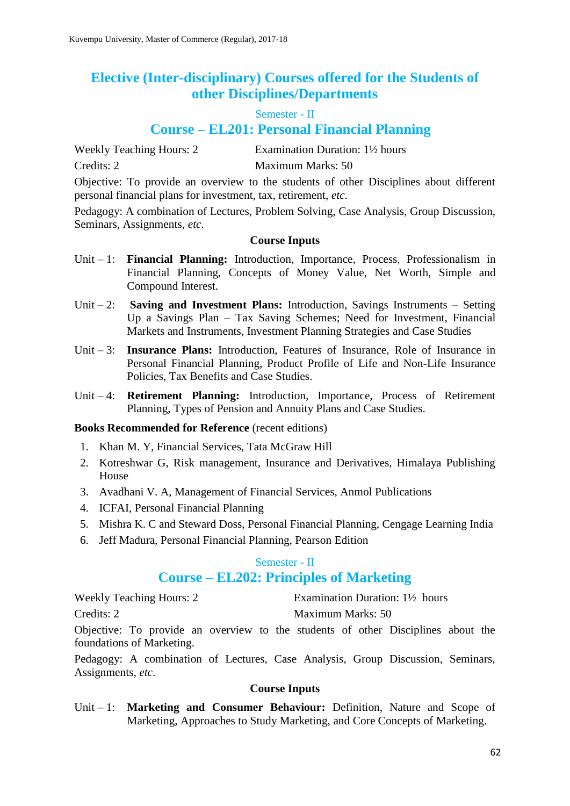# **Elective (Inter-disciplinary) Courses offered for the Students of other Disciplines/Departments**

Semester - II

# **Course – EL201: Personal Financial Planning**

Credits: 2 Maximum Marks: 50

Weekly Teaching Hours: 2 Examination Duration: 1<sup>1</sup>/<sub>2</sub> hours

Objective: To provide an overview to the students of other Disciplines about different personal financial plans for investment, tax, retirement, *etc*.

Pedagogy: A combination of Lectures, Problem Solving, Case Analysis, Group Discussion, Seminars, Assignments, *etc*.

### **Course Inputs**

- Unit 1: **Financial Planning:** Introduction, Importance, Process, Professionalism in Financial Planning, Concepts of Money Value, Net Worth, Simple and Compound Interest.
- Unit 2: **Saving and Investment Plans:** Introduction, Savings Instruments Setting Up a Savings Plan – Tax Saving Schemes; Need for Investment, Financial Markets and Instruments, Investment Planning Strategies and Case Studies
- Unit 3: **Insurance Plans:** Introduction, Features of Insurance, Role of Insurance in Personal Financial Planning, Product Profile of Life and Non-Life Insurance Policies, Tax Benefits and Case Studies.
- Unit 4: **Retirement Planning:** Introduction, Importance, Process of Retirement Planning, Types of Pension and Annuity Plans and Case Studies.

### **Books Recommended for Reference** (recent editions)

- 1. Khan M. Y, Financial Services, Tata McGraw Hill
- 2. Kotreshwar G, Risk management, Insurance and Derivatives, Himalaya Publishing House
- 3. Avadhani V. A, Management of Financial Services, Anmol Publications
- 4. ICFAI, Personal Financial Planning
- 5. Mishra K. C and Steward Doss, Personal Financial Planning, Cengage Learning India
- 6. Jeff Madura, Personal Financial Planning, Pearson Edition

### Semester - II

# **Course – EL202: Principles of Marketing**

Weekly Teaching Hours: 2 Examination Duration: 1<sup>1/2</sup> hours

Credits: 2 Maximum Marks: 50

Objective: To provide an overview to the students of other Disciplines about the foundations of Marketing.

Pedagogy: A combination of Lectures, Case Analysis, Group Discussion, Seminars, Assignments, *etc*.

### **Course Inputs**

Unit – 1: **Marketing and Consumer Behaviour:** Definition, Nature and Scope of Marketing, Approaches to Study Marketing, and Core Concepts of Marketing.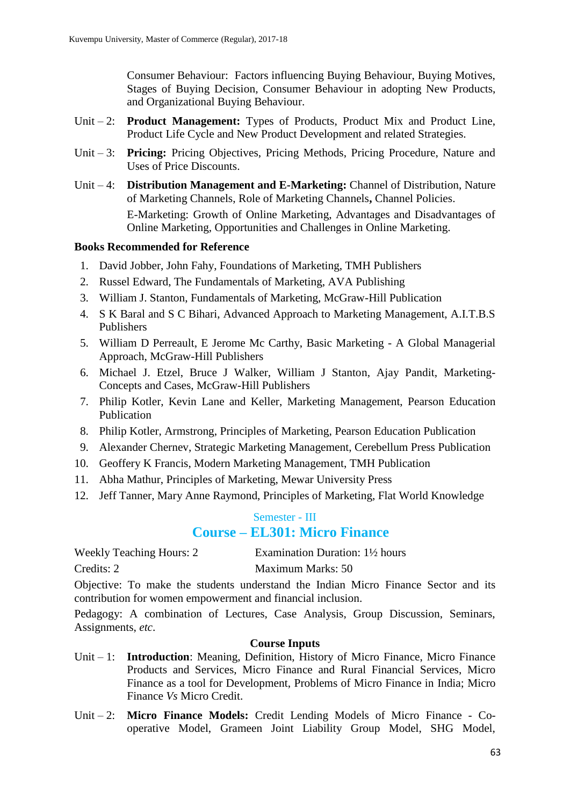Consumer Behaviour: Factors influencing Buying Behaviour, Buying Motives, Stages of Buying Decision, Consumer Behaviour in adopting New Products, and Organizational Buying Behaviour.

- Unit 2: **Product Management:** Types of Products, Product Mix and Product Line, Product Life Cycle and New Product Development and related Strategies.
- Unit 3: **Pricing:** Pricing Objectives, Pricing Methods, Pricing Procedure, Nature and Uses of Price Discounts.
- Unit 4: **Distribution Management and E-Marketing:** Channel of Distribution, Nature of Marketing Channels, Role of Marketing Channels**,** Channel Policies. E-Marketing: Growth of Online Marketing, Advantages and Disadvantages of Online Marketing, Opportunities and Challenges in Online Marketing.

### **Books Recommended for Reference**

- 1. David Jobber, John Fahy, Foundations of Marketing, TMH Publishers
- 2. Russel Edward, The Fundamentals of Marketing, AVA Publishing
- 3. William J. Stanton, Fundamentals of Marketing, McGraw-Hill Publication
- 4. S K Baral and S C Bihari, Advanced Approach to Marketing Management, A.I.T.B.S Publishers
- 5. William D Perreault, E Jerome Mc Carthy, Basic Marketing A Global Managerial Approach, McGraw-Hill Publishers
- 6. Michael J. Etzel, Bruce J Walker, William J Stanton, Ajay Pandit, Marketing-Concepts and Cases, McGraw-Hill Publishers
- 7. Philip Kotler, Kevin Lane and Keller, Marketing Management, Pearson Education Publication
- 8. Philip Kotler, Armstrong, Principles of Marketing, Pearson Education Publication
- 9. Alexander Chernev, Strategic Marketing Management, Cerebellum Press Publication
- 10. Geoffery K Francis, Modern Marketing Management, TMH Publication
- 11. Abha Mathur, Principles of Marketing, Mewar University Press
- 12. Jeff Tanner, Mary Anne Raymond, Principles of Marketing, Flat World Knowledge

### Semester - III

# **Course – EL301: Micro Finance**

| <b>Weekly Teaching Hours: 2</b> | Examination Duration: $1\frac{1}{2}$ hours |
|---------------------------------|--------------------------------------------|
|---------------------------------|--------------------------------------------|

Credits: 2 Maximum Marks: 50

Objective: To make the students understand the Indian Micro Finance Sector and its contribution for women empowerment and financial inclusion.

Pedagogy: A combination of Lectures, Case Analysis, Group Discussion, Seminars, Assignments, *etc*.

- Unit 1: **Introduction**: Meaning, Definition, History of Micro Finance, Micro Finance Products and Services, Micro Finance and Rural Financial Services, Micro Finance as a tool for Development, Problems of Micro Finance in India; Micro Finance *Vs* Micro Credit.
- Unit 2: **Micro Finance Models:** Credit Lending Models of Micro Finance Cooperative Model, Grameen Joint Liability Group Model, SHG Model,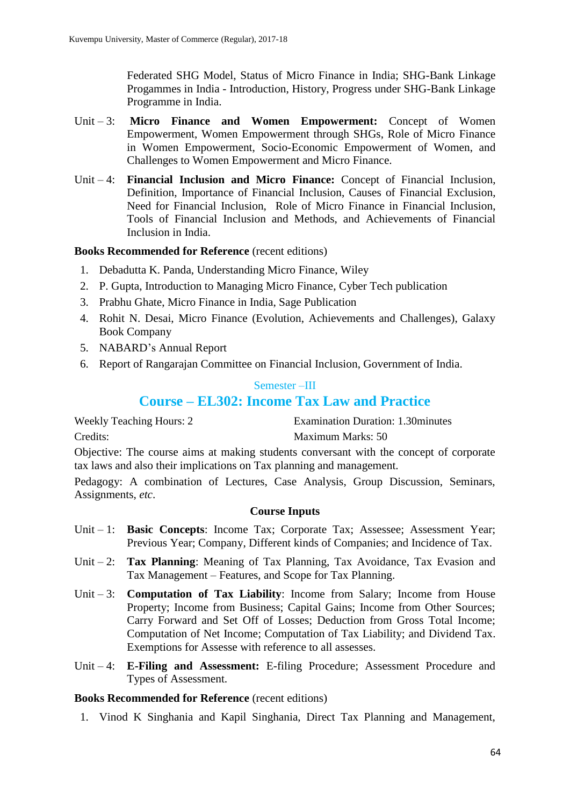Federated SHG Model, Status of Micro Finance in India; SHG-Bank Linkage Progammes in India - Introduction, History, Progress under SHG-Bank Linkage Programme in India.

- Unit 3: **Micro Finance and Women Empowerment:** Concept of Women Empowerment, Women Empowerment through SHGs, Role of Micro Finance in Women Empowerment, Socio-Economic Empowerment of Women, and Challenges to Women Empowerment and Micro Finance.
- Unit 4: **Financial Inclusion and Micro Finance:** Concept of Financial Inclusion, Definition, Importance of Financial Inclusion, Causes of Financial Exclusion, Need for Financial Inclusion, Role of Micro Finance in Financial Inclusion, Tools of Financial Inclusion and Methods, and Achievements of Financial Inclusion in India.

### **Books Recommended for Reference** (recent editions)

- 1. Debadutta K. Panda, Understanding Micro Finance, Wiley
- 2. P. Gupta, Introduction to Managing Micro Finance, Cyber Tech publication
- 3. Prabhu Ghate, Micro Finance in India, Sage Publication
- 4. Rohit N. Desai, Micro Finance (Evolution, Achievements and Challenges), Galaxy Book Company
- 5. NABARD's Annual Report
- 6. Report of Rangarajan Committee on Financial Inclusion, Government of India.

# Semester –III **Course – EL302: Income Tax Law and Practice**

Weekly Teaching Hours: 2 Examination Duration: 1.30minutes Credits: Maximum Marks: 50

Objective: The course aims at making students conversant with the concept of corporate tax laws and also their implications on Tax planning and management.

Pedagogy: A combination of Lectures, Case Analysis, Group Discussion, Seminars, Assignments, *etc*.

### **Course Inputs**

- Unit 1: **Basic Concepts**: Income Tax; Corporate Tax; Assessee; Assessment Year; Previous Year; Company, Different kinds of Companies; and Incidence of Tax.
- Unit 2: **Tax Planning**: Meaning of Tax Planning, Tax Avoidance, Tax Evasion and Tax Management – Features, and Scope for Tax Planning.
- Unit 3: **Computation of Tax Liability**: Income from Salary; Income from House Property; Income from Business; Capital Gains; Income from Other Sources; Carry Forward and Set Off of Losses; Deduction from Gross Total Income; Computation of Net Income; Computation of Tax Liability; and Dividend Tax. Exemptions for Assesse with reference to all assesses.
- Unit 4: **E-Filing and Assessment:** E-filing Procedure; Assessment Procedure and Types of Assessment.

### **Books Recommended for Reference** (recent editions)

1. Vinod K Singhania and Kapil Singhania, Direct Tax Planning and Management,